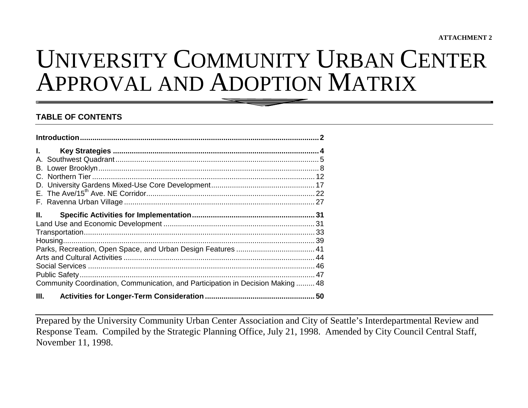# UNIVERSITY COMMUNITY URBAN CENTERAPPROVAL AND ADOPTION MATRIX

#### **TABLE OF CONTENTS**

| $\mathbf{L}$                                                                    |  |
|---------------------------------------------------------------------------------|--|
|                                                                                 |  |
|                                                                                 |  |
| Ш.                                                                              |  |
|                                                                                 |  |
| Community Coordination, Communication, and Participation in Decision Making  48 |  |
| III.                                                                            |  |

Prepared by the University Community Urban Center Association and City of Seattle's Interdepartmental Review and Response Team. Compiled by the Strategic Planning Office, July 21, 1998. Amended by City Council Central Staff, November 11, 1998.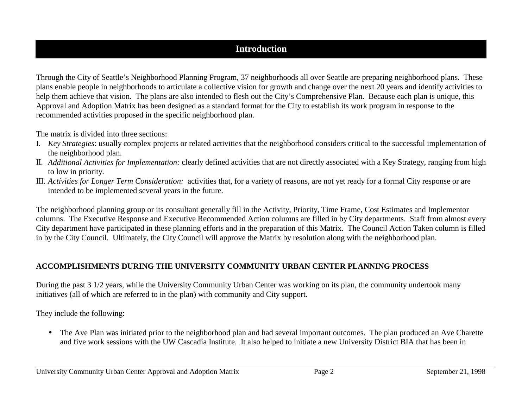### **Introduction**

Through the City of Seattle's Neighborhood Planning Program, 37 neighborhoods all over Seattle are preparing neighborhood plans. These plans enable people in neighborhoods to articulate a collective vision for growth and change over the next 20 years and identify activities to help them achieve that vision. The plans are also intended to flesh out the City's Comprehensive Plan. Because each plan is unique, this Approval and Adoption Matrix has been designed as a standard format for the City to establish its work program in response to the recommended activities proposed in the specific neighborhood plan.

The matrix is divided into three sections:

- I. *Key Strategies*: usually complex projects or related activities that the neighborhood considers critical to the successful implementation of the neighborhood plan.
- II. *Additional Activities for Implementation:* clearly defined activities that are not directly associated with a Key Strategy, ranging from high to low in priority.
- III. *Activities for Longer Term Consideration:* activities that, for a variety of reasons, are not yet ready for a formal City response or are intended to be implemented several years in the future.

The neighborhood planning group or its consultant generally fill in the Activity, Priority, Time Frame, Cost Estimates and Implementor columns. The Executive Response and Executive Recommended Action columns are filled in by City departments. Staff from almost every City department have participated in these planning efforts and in the preparation of this Matrix. The Council Action Taken column is filled in by the City Council. Ultimately, the City Council will approve the Matrix by resolution along with the neighborhood plan.

### **ACCOMPLISHMENTS DURING THE UNIVERSITY COMMUNITY URBAN CENTER PLANNING PROCESS**

During the past 3 1/2 years, while the University Community Urban Center was working on its plan, the community undertook many initiatives (all of which are referred to in the plan) with community and City support.

They include the following:

• The Ave Plan was initiated prior to the neighborhood plan and had several important outcomes. The plan produced an Ave Charette and five work sessions with the UW Cascadia Institute. It also helped to initiate a new University District BIA that has been in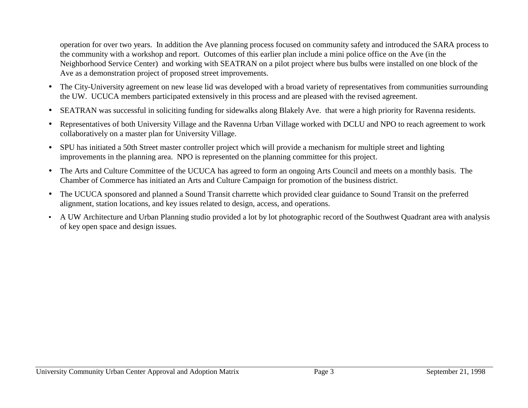operation for over two years. In addition the Ave planning process focused on community safety and introduced the SARA process to the community with a workshop and report. Outcomes of this earlier plan include a mini police office on the Ave (in the Neighborhood Service Center) and working with SEATRAN on a pilot project where bus bulbs were installed on one block of the Ave as a demonstration project of proposed street improvements.

- The City-University agreement on new lease lid was developed with a broad variety of representatives from communities surrounding the UW. UCUCA members participated extensively in this process and are pleased with the revised agreement.
- $\bullet$ SEATRAN was successful in soliciting funding for sidewalks along Blakely Ave. that were a high priority for Ravenna residents.
- Representatives of both University Village and the Ravenna Urban Village worked with DCLU and NPO to reach agreement to work collaboratively on a master plan for University Village.
- SPU has initiated a 50th Street master controller project which will provide a mechanism for multiple street and lighting improvements in the planning area. NPO is represented on the planning committee for this project.
- The Arts and Culture Committee of the UCUCA has agreed to form an ongoing Arts Council and meets on a monthly basis. The Chamber of Commerce has initiated an Arts and Culture Campaign for promotion of the business district.
- The UCUCA sponsored and planned a Sound Transit charrette which provided clear guidance to Sound Transit on the preferred alignment, station locations, and key issues related to design, access, and operations.
- A UW Architecture and Urban Planning studio provided a lot by lot photographic record of the Southwest Quadrant area with analysis of key open space and design issues.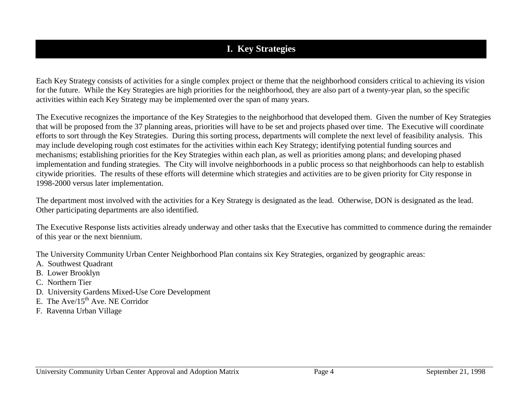# **I. Key Strategies**

Each Key Strategy consists of activities for a single complex project or theme that the neighborhood considers critical to achieving its vision for the future. While the Key Strategies are high priorities for the neighborhood, they are also part of a twenty-year plan, so the specific activities within each Key Strategy may be implemented over the span of many years.

The Executive recognizes the importance of the Key Strategies to the neighborhood that developed them. Given the number of Key Strategies that will be proposed from the 37 planning areas, priorities will have to be set and projects phased over time. The Executive will coordinate efforts to sort through the Key Strategies. During this sorting process, departments will complete the next level of feasibility analysis. This may include developing rough cost estimates for the activities within each Key Strategy; identifying potential funding sources and mechanisms; establishing priorities for the Key Strategies within each plan, as well as priorities among plans; and developing phased implementation and funding strategies. The City will involve neighborhoods in a public process so that neighborhoods can help to establish citywide priorities. The results of these efforts will determine which strategies and activities are to be given priority for City response in 1998-2000 versus later implementation.

The department most involved with the activities for a Key Strategy is designated as the lead. Otherwise, DON is designated as the lead. Other participating departments are also identified.

The Executive Response lists activities already underway and other tasks that the Executive has committed to commence during the remainder of this year or the next biennium.

The University Community Urban Center Neighborhood Plan contains six Key Strategies, organized by geographic areas:

- A. Southwest Quadrant
- B. Lower Brooklyn
- C. Northern Tier
- D. University Gardens Mixed-Use Core Development
- E. The  $Ave/15^{th}$  Ave. NE Corridor
- F. Ravenna Urban Village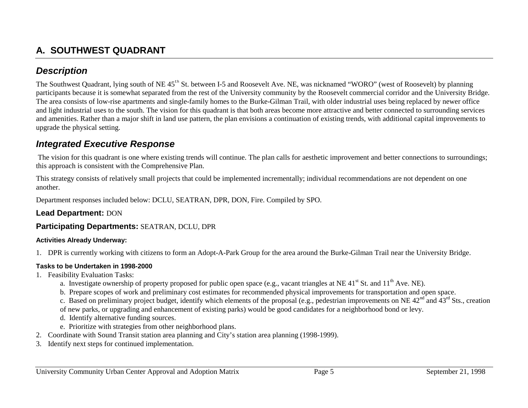# **A. SOUTHWEST QUADRANT**

### *Description*

The Southwest Quadrant, lying south of NE 45<sup>th</sup> St. between I-5 and Roosevelt Ave. NE, was nicknamed "WORO" (west of Roosevelt) by planning participants because it is somewhat separated from the rest of the University community by the Roosevelt commercial corridor and the University Bridge. The area consists of low-rise apartments and single-family homes to the Burke-Gilman Trail, with older industrial uses being replaced by newer office and light industrial uses to the south. The vision for this quadrant is that both areas become more attractive and better connected to surrounding services and amenities. Rather than a major shift in land use pattern, the plan envisions a continuation of existing trends, with additional capital improvements to upgrade the physical setting.

### *Integrated Executive Response*

 The vision for this quadrant is one where existing trends will continue. The plan calls for aesthetic improvement and better connections to surroundings; this approach is consistent with the Comprehensive Plan.

This strategy consists of relatively small projects that could be implemented incrementally; individual recommendations are not dependent on one another.

Department responses included below: DCLU, SEATRAN, DPR, DON, Fire. Compiled by SPO.

### **Lead Department:** DON

### **Participating Departments:** SEATRAN, DCLU, DPR

#### **Activities Already Underway:**

1. DPR is currently working with citizens to form an Adopt-A-Park Group for the area around the Burke-Gilman Trail near the University Bridge.

#### **Tasks to be Undertaken in 1998-2000**

- 1. Feasibility Evaluation Tasks:
	- a. Investigate ownership of property proposed for public open space (e.g., vacant triangles at NE 41<sup>st</sup> St. and  $11<sup>th</sup>$  Ave. NE).
	- b. Prepare scopes of work and preliminary cost estimates for recommended physical improvements for transportation and open space.

c. Based on preliminary project budget, identify which elements of the proposal (e.g., pedestrian improvements on NE  $42<sup>nd</sup>$  and  $43<sup>rd</sup>$  Sts., creation of new parks, or upgrading and enhancement of existing parks) would be good candidates for a neighborhood bond or levy.

- d. Identify alternative funding sources.
- e. Prioritize with strategies from other neighborhood plans.
- 2. Coordinate with Sound Transit station area planning and City's station area planning (1998-1999).
- 3. Identify next steps for continued implementation.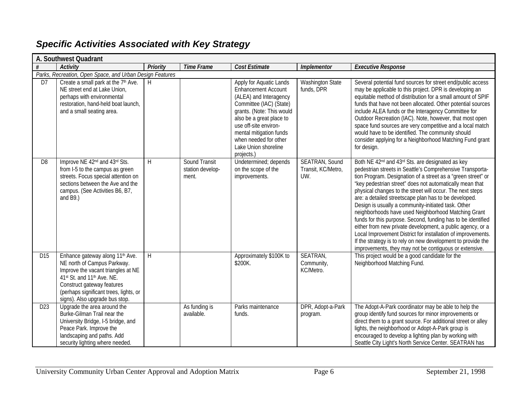|                 | A. Southwest Quadrant                                                                                                                                                                                                                                    |                 |                                            |                                                                                                                                                                                                                                                                                        |                                                    |                                                                                                                                                                                                                                                                                                                                                                                                                                                                                                                                                                                                                                                                                                                                                                                                                               |
|-----------------|----------------------------------------------------------------------------------------------------------------------------------------------------------------------------------------------------------------------------------------------------------|-----------------|--------------------------------------------|----------------------------------------------------------------------------------------------------------------------------------------------------------------------------------------------------------------------------------------------------------------------------------------|----------------------------------------------------|-------------------------------------------------------------------------------------------------------------------------------------------------------------------------------------------------------------------------------------------------------------------------------------------------------------------------------------------------------------------------------------------------------------------------------------------------------------------------------------------------------------------------------------------------------------------------------------------------------------------------------------------------------------------------------------------------------------------------------------------------------------------------------------------------------------------------------|
|                 | <b>Activity</b>                                                                                                                                                                                                                                          | <b>Priority</b> | <b>Time Frame</b>                          | Cost Estimate                                                                                                                                                                                                                                                                          | <b>Implementor</b>                                 | <b>Executive Response</b>                                                                                                                                                                                                                                                                                                                                                                                                                                                                                                                                                                                                                                                                                                                                                                                                     |
|                 | Parks, Recreation, Open Space, and Urban Design Features                                                                                                                                                                                                 |                 |                                            |                                                                                                                                                                                                                                                                                        |                                                    |                                                                                                                                                                                                                                                                                                                                                                                                                                                                                                                                                                                                                                                                                                                                                                                                                               |
| D <sub>7</sub>  | Create a small park at the 7 <sup>th</sup> Ave.<br>NE street end at Lake Union,<br>perhaps with environmental<br>restoration, hand-held boat launch,<br>and a small seating area.                                                                        | H               |                                            | Apply for Aquatic Lands<br><b>Enhancement Account</b><br>(ALEA) and Interagency<br>Committee (IAC) (State)<br>grants. (Note: This would<br>also be a great place to<br>use off-site environ-<br>mental mitigation funds<br>when needed for other<br>Lake Union shoreline<br>projects.) | <b>Washington State</b><br>funds, DPR              | Several potential fund sources for street end/public access<br>may be applicable to this project. DPR is developing an<br>equitable method of distribution for a small amount of SPIF<br>funds that have not been allocated. Other potential sources<br>include ALEA funds or the Interagency Committee for<br>Outdoor Recreation (IAC). Note, however, that most open<br>space fund sources are very competitive and a local match<br>would have to be identified. The community should<br>consider applying for a Neighborhood Matching Fund grant<br>for design.                                                                                                                                                                                                                                                           |
| D <sub>8</sub>  | Improve NE 42 <sup>nd</sup> and 43 <sup>rd</sup> Sts.<br>from I-5 to the campus as green<br>streets. Focus special attention on<br>sections between the Ave and the<br>campus. (See Activities B6, B7,<br>and $B9.$ )                                    | H               | Sound Transit<br>station develop-<br>ment. | Undetermined; depends<br>on the scope of the<br>improvements.                                                                                                                                                                                                                          | <b>SEATRAN, Sound</b><br>Transit, KC/Metro,<br>UW. | Both NE 42 <sup>nd</sup> and 43 <sup>rd</sup> Sts. are designated as key<br>pedestrian streets in Seattle's Comprehensive Transporta-<br>tion Program. Designation of a street as a "green street" or<br>"key pedestrian street" does not automatically mean that<br>physical changes to the street will occur. The next steps<br>are: a detailed streetscape plan has to be developed.<br>Design is usually a community-initiated task. Other<br>neighborhoods have used Neighborhood Matching Grant<br>funds for this purpose. Second, funding has to be identified<br>either from new private development, a public agency, or a<br>Local Improvement District for installation of improvements.<br>If the strategy is to rely on new development to provide the<br>improvements, they may not be contiguous or extensive. |
| D <sub>15</sub> | Enhance gateway along 11 <sup>th</sup> Ave.<br>NE north of Campus Parkway.<br>Improve the vacant triangles at NE<br>41st St. and 11th Ave. NE.<br>Construct gateway features<br>(perhaps significant trees, lights, or<br>signs). Also upgrade bus stop. | $\mathsf{H}$    |                                            | Approximately \$100K to<br>\$200K.                                                                                                                                                                                                                                                     | SEATRAN,<br>Community,<br>KC/Metro.                | This project would be a good candidate for the<br>Neighborhood Matching Fund.                                                                                                                                                                                                                                                                                                                                                                                                                                                                                                                                                                                                                                                                                                                                                 |
| D <sub>23</sub> | Upgrade the area around the<br>Burke-Gilman Trail near the<br>University Bridge, I-5 bridge, and<br>Peace Park. Improve the<br>landscaping and paths. Add<br>security lighting where needed.                                                             |                 | As funding is<br>available.                | Parks maintenance<br>funds.                                                                                                                                                                                                                                                            | DPR, Adopt-a-Park<br>program.                      | The Adopt-A-Park coordinator may be able to help the<br>group identify fund sources for minor improvements or<br>direct them to a grant source. For additional street or alley<br>lights, the neighborhood or Adopt-A-Park group is<br>encouraged to develop a lighting plan by working with<br>Seattle City Light's North Service Center. SEATRAN has                                                                                                                                                                                                                                                                                                                                                                                                                                                                        |

### *Specific Activities Associated with Key Strategy*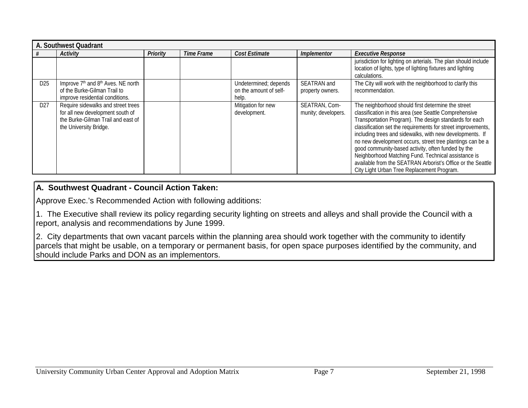|                 | A. Southwest Quadrant                                                                                                                  |                 |            |                                                          |                                        |                                                                                                                                                                                                                                                                                                                                                                                                                                                                                                                                                                                           |  |  |  |  |
|-----------------|----------------------------------------------------------------------------------------------------------------------------------------|-----------------|------------|----------------------------------------------------------|----------------------------------------|-------------------------------------------------------------------------------------------------------------------------------------------------------------------------------------------------------------------------------------------------------------------------------------------------------------------------------------------------------------------------------------------------------------------------------------------------------------------------------------------------------------------------------------------------------------------------------------------|--|--|--|--|
|                 | <b>Activity</b>                                                                                                                        | <b>Priority</b> | Time Frame | <b>Cost Estimate</b>                                     | <b>Implementor</b>                     | <b>Executive Response</b>                                                                                                                                                                                                                                                                                                                                                                                                                                                                                                                                                                 |  |  |  |  |
|                 |                                                                                                                                        |                 |            |                                                          |                                        | jurisdiction for lighting on arterials. The plan should include<br>location of lights, type of lighting fixtures and lighting<br>calculations.                                                                                                                                                                                                                                                                                                                                                                                                                                            |  |  |  |  |
| D <sub>25</sub> | Improve 7 <sup>th</sup> and 8 <sup>th</sup> Aves. NE north<br>of the Burke-Gilman Trail to<br>improve residential conditions.          |                 |            | Undetermined; depends<br>on the amount of self-<br>help. | <b>SEATRAN</b> and<br>property owners. | The City will work with the neighborhood to clarify this<br>recommendation.                                                                                                                                                                                                                                                                                                                                                                                                                                                                                                               |  |  |  |  |
| D <sub>27</sub> | Require sidewalks and street trees<br>for all new development south of<br>the Burke-Gilman Trail and east of<br>the University Bridge. |                 |            | Mitigation for new<br>development.                       | SEATRAN, Com-<br>munity; developers.   | The neighborhood should first determine the street<br>classification in this area (see Seattle Comprehensive<br>Transportation Program). The design standards for each<br>classification set the requirements for street improvements,<br>including trees and sidewalks, with new developments. If<br>no new development occurs, street tree plantings can be a<br>good community-based activity, often funded by the<br>Neighborhood Matching Fund. Technical assistance is<br>available from the SEATRAN Arborist's Office or the Seattle<br>City Light Urban Tree Replacement Program. |  |  |  |  |

### **A. Southwest Quadrant - Council Action Taken:**

Approve Exec.'s Recommended Action with following additions:

1. The Executive shall review its policy regarding security lighting on streets and alleys and shall provide the Council with a report, analysis and recommendations by June 1999.

2. City departments that own vacant parcels within the planning area should work together with the community to identify parcels that might be usable, on a temporary or permanent basis, for open space purposes identified by the community, and should include Parks and DON as an implementors.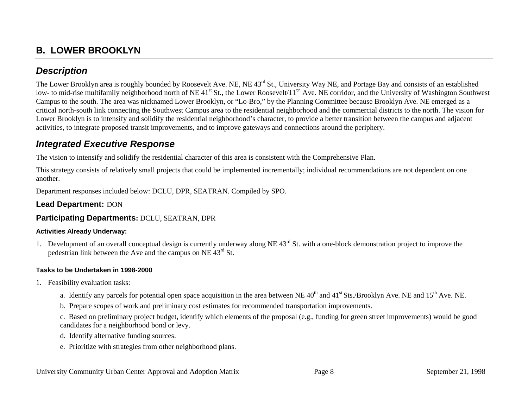# **B. LOWER BROOKLYN**

### *Description*

The Lower Brooklyn area is roughly bounded by Roosevelt Ave. NE, NE 43<sup>rd</sup> St., University Way NE, and Portage Bay and consists of an established low- to mid-rise multifamily neighborhood north of NE 41<sup>st</sup> St., the Lower Roosevelt/11<sup>th</sup> Ave. NE corridor, and the University of Washington Southwest Campus to the south. The area was nicknamed Lower Brooklyn, or "Lo-Bro," by the Planning Committee because Brooklyn Ave. NE emerged as a critical north-south link connecting the Southwest Campus area to the residential neighborhood and the commercial districts to the north. The vision for Lower Brooklyn is to intensify and solidify the residential neighborhood's character, to provide a better transition between the campus and adjacent activities, to integrate proposed transit improvements, and to improve gateways and connections around the periphery.

### *Integrated Executive Response*

The vision to intensify and solidify the residential character of this area is consistent with the Comprehensive Plan.

This strategy consists of relatively small projects that could be implemented incrementally; individual recommendations are not dependent on one another.

Department responses included below: DCLU, DPR, SEATRAN. Compiled by SPO.

### **Lead Department:** DON

### **Participating Departments:** DCLU, SEATRAN, DPR

#### **Activities Already Underway:**

1. Development of an overall conceptual design is currently underway along NE  $43<sup>rd</sup>$  St. with a one-block demonstration project to improve the pedestrian link between the Ave and the campus on NE 43rd St.

### **Tasks to be Undertaken in 1998-2000**

- 1. Feasibility evaluation tasks:
	- a. Identify any parcels for potential open space acquisition in the area between NE  $40<sup>th</sup>$  and  $41<sup>st</sup>$  Sts./Brooklyn Ave. NE and  $15<sup>th</sup>$  Ave. NE.
	- b. Prepare scopes of work and preliminary cost estimates for recommended transportation improvements.

c. Based on preliminary project budget, identify which elements of the proposal (e.g., funding for green street improvements) would be good candidates for a neighborhood bond or levy.

- d. Identify alternative funding sources.
- e. Prioritize with strategies from other neighborhood plans.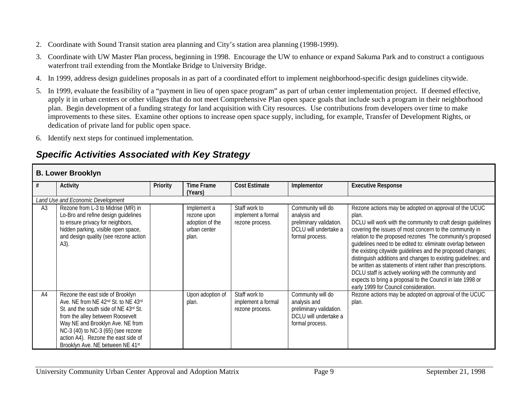- 2. Coordinate with Sound Transit station area planning and City's station area planning (1998-1999).
- 3. Coordinate with UW Master Plan process, beginning in 1998. Encourage the UW to enhance or expand Sakuma Park and to construct a contiguous waterfront trail extending from the Montlake Bridge to University Bridge.
- 4. In 1999, address design guidelines proposals in as part of a coordinated effort to implement neighborhood-specific design guidelines citywide.
- 5. In 1999, evaluate the feasibility of a "payment in lieu of open space program" as part of urban center implementation project. If deemed effective, apply it in urban centers or other villages that do not meet Comprehensive Plan open space goals that include such a program in their neighborhood plan. Begin development of a funding strategy for land acquisition with City resources. Use contributions from developers over time to make improvements to these sites. Examine other options to increase open space supply, including, for example, Transfer of Development Rights, or dedication of private land for public open space.
- 6. Identify next steps for continued implementation.

# *Specific Activities Associated with Key Strategy*

### **B. Lower Brooklyn**

|                | <b>Activity</b>                                                                                                                                                                                                                                                                                           | <b>Priority</b> | <b>Time Frame</b><br>(Years)                                           | <b>Cost Estimate</b>                                   | Implementor                                                                                              | <b>Executive Response</b>                                                                                                                                                                                                                                                                                                                                                                                                                                                                                                                                                                                                                                                            |  |  |  |
|----------------|-----------------------------------------------------------------------------------------------------------------------------------------------------------------------------------------------------------------------------------------------------------------------------------------------------------|-----------------|------------------------------------------------------------------------|--------------------------------------------------------|----------------------------------------------------------------------------------------------------------|--------------------------------------------------------------------------------------------------------------------------------------------------------------------------------------------------------------------------------------------------------------------------------------------------------------------------------------------------------------------------------------------------------------------------------------------------------------------------------------------------------------------------------------------------------------------------------------------------------------------------------------------------------------------------------------|--|--|--|
|                | Land Use and Economic Development                                                                                                                                                                                                                                                                         |                 |                                                                        |                                                        |                                                                                                          |                                                                                                                                                                                                                                                                                                                                                                                                                                                                                                                                                                                                                                                                                      |  |  |  |
| A <sub>3</sub> | Rezone from L-3 to Midrise (MR) in<br>Lo-Bro and refine design guidelines<br>to ensure privacy for neighbors,<br>hidden parking, visible open space,<br>and design quality (see rezone action<br>$(A3)$ .                                                                                                 |                 | Implement a<br>rezone upon<br>adoption of the<br>urban center<br>plan. | Staff work to<br>implement a formal<br>rezone process. | Community will do<br>analysis and<br>preliminary validation.<br>DCLU will undertake a<br>formal process. | Rezone actions may be adopted on approval of the UCUC<br>plan.<br>DCLU will work with the community to craft design guidelines<br>covering the issues of most concern to the community in<br>relation to the proposed rezones The community's proposed<br>quidelines need to be edited to: eliminate overlap between<br>the existing citywide guidelines and the proposed changes;<br>distinguish additions and changes to existing guidelines; and<br>be written as statements of intent rather than prescriptions.<br>DCLU staff is actively working with the community and<br>expects to bring a proposal to the Council in late 1998 or<br>early 1999 for Council consideration. |  |  |  |
| A4             | Rezone the east side of Brooklyn<br>Ave. NE from NE 42nd St. to NE 43rd<br>St. and the south side of NE 43rd St.<br>from the alley between Roosevelt<br>Way NE and Brooklyn Ave. NE from<br>NC-3 (40) to NC-3 (65) (see rezone<br>action A4). Rezone the east side of<br>Brooklyn Ave. NE between NE 41st |                 | Upon adoption of<br>plan.                                              | Staff work to<br>implement a formal<br>rezone process. | Community will do<br>analysis and<br>preliminary validation.<br>DCLU will undertake a<br>formal process. | Rezone actions may be adopted on approval of the UCUC<br>plan.                                                                                                                                                                                                                                                                                                                                                                                                                                                                                                                                                                                                                       |  |  |  |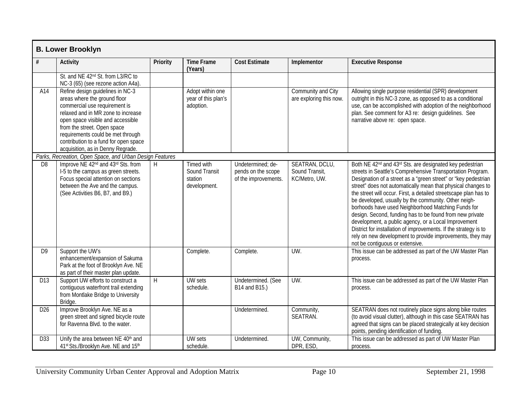|                 | <b>B. Lower Brooklyn</b>                                                                                                                                                                                                                                                                                                       |          |                                                        |                                                                 |                                                   |                                                                                                                                                                                                                                                                                                                                                                                                                                                                                                                                                                                                                                                                                                                                                            |
|-----------------|--------------------------------------------------------------------------------------------------------------------------------------------------------------------------------------------------------------------------------------------------------------------------------------------------------------------------------|----------|--------------------------------------------------------|-----------------------------------------------------------------|---------------------------------------------------|------------------------------------------------------------------------------------------------------------------------------------------------------------------------------------------------------------------------------------------------------------------------------------------------------------------------------------------------------------------------------------------------------------------------------------------------------------------------------------------------------------------------------------------------------------------------------------------------------------------------------------------------------------------------------------------------------------------------------------------------------------|
| $\#$            | <b>Activity</b>                                                                                                                                                                                                                                                                                                                | Priority | <b>Time Frame</b><br>(Years)                           | <b>Cost Estimate</b>                                            | Implementor                                       | <b>Executive Response</b>                                                                                                                                                                                                                                                                                                                                                                                                                                                                                                                                                                                                                                                                                                                                  |
|                 | St. and NE 42 <sup>nd</sup> St. from L3/RC to<br>NC-3 (65) (see rezone action A4a).                                                                                                                                                                                                                                            |          |                                                        |                                                                 |                                                   |                                                                                                                                                                                                                                                                                                                                                                                                                                                                                                                                                                                                                                                                                                                                                            |
| A14             | Refine design guidelines in NC-3<br>areas where the ground floor<br>commercial use requirement is<br>relaxed and in MR zone to increase<br>open space visible and accessible<br>from the street. Open space<br>requirements could be met through<br>contribution to a fund for open space<br>acquisition, as in Denny Regrade. |          | Adopt within one<br>year of this plan's<br>adoption.   |                                                                 | Community and City<br>are exploring this now.     | Allowing single purpose residential (SPR) development<br>outright in this NC-3 zone, as opposed to as a conditional<br>use, can be accomplished with adoption of the neighborhood<br>plan. See comment for A3 re: design guidelines. See<br>narrative above re: open space.                                                                                                                                                                                                                                                                                                                                                                                                                                                                                |
|                 | Parks, Recreation, Open Space, and Urban Design Features                                                                                                                                                                                                                                                                       |          |                                                        |                                                                 |                                                   |                                                                                                                                                                                                                                                                                                                                                                                                                                                                                                                                                                                                                                                                                                                                                            |
| D <sub>8</sub>  | Improve NE 42 <sup>nd</sup> and 43 <sup>rd</sup> Sts. from<br>I-5 to the campus as green streets.<br>Focus special attention on sections<br>between the Ave and the campus.<br>(See Activities B6, B7, and B9.)                                                                                                                | H        | Timed with<br>Sound Transit<br>station<br>development. | Undetermined; de-<br>pends on the scope<br>of the improvements. | SEATRAN, DCLU,<br>Sound Transit,<br>KC/Metro, UW. | Both NE 42 <sup>nd</sup> and 43 <sup>rd</sup> Sts. are designated key pedestrian<br>streets in Seattle's Comprehensive Transportation Program.<br>Designation of a street as a "green street" or "key pedestrian<br>street" does not automatically mean that physical changes to<br>the street will occur. First, a detailed streetscape plan has to<br>be developed, usually by the community. Other neigh-<br>borhoods have used Neighborhood Matching Funds for<br>design. Second, funding has to be found from new private<br>development, a public agency, or a Local Improvement<br>District for installation of improvements. If the strategy is to<br>rely on new development to provide improvements, they may<br>not be contiguous or extensive. |
| D <sub>9</sub>  | Support the UW's<br>enhancement/expansion of Sakuma<br>Park at the foot of Brooklyn Ave. NE<br>as part of their master plan update.                                                                                                                                                                                            |          | Complete.                                              | Complete.                                                       | $UW$ .                                            | This issue can be addressed as part of the UW Master Plan<br>process.                                                                                                                                                                                                                                                                                                                                                                                                                                                                                                                                                                                                                                                                                      |
| D13             | Support UW efforts to construct a<br>contiquous waterfront trail extending<br>from Montlake Bridge to University<br>Bridge.                                                                                                                                                                                                    | H        | <b>UW</b> sets<br>schedule.                            | Undetermined. (See<br>B14 and B15.)                             | UW.                                               | This issue can be addressed as part of the UW Master Plan<br>process.                                                                                                                                                                                                                                                                                                                                                                                                                                                                                                                                                                                                                                                                                      |
| D <sub>26</sub> | Improve Brooklyn Ave. NE as a<br>green street and signed bicycle route<br>for Ravenna Blvd, to the water.                                                                                                                                                                                                                      |          |                                                        | Undetermined.                                                   | Community,<br>SEATRAN.                            | SEATRAN does not routinely place signs along bike routes<br>(to avoid visual clutter), although in this case SEATRAN has<br>agreed that signs can be placed strategically at key decision<br>points, pending identification of funding.                                                                                                                                                                                                                                                                                                                                                                                                                                                                                                                    |
| D33             | Unify the area between NE 40th and<br>41st Sts./Brooklyn Ave. NE and 15th                                                                                                                                                                                                                                                      |          | <b>UW</b> sets<br>schedule.                            | Undetermined.                                                   | UW, Community,<br>DPR, ESD,                       | This issue can be addressed as part of UW Master Plan<br>process.                                                                                                                                                                                                                                                                                                                                                                                                                                                                                                                                                                                                                                                                                          |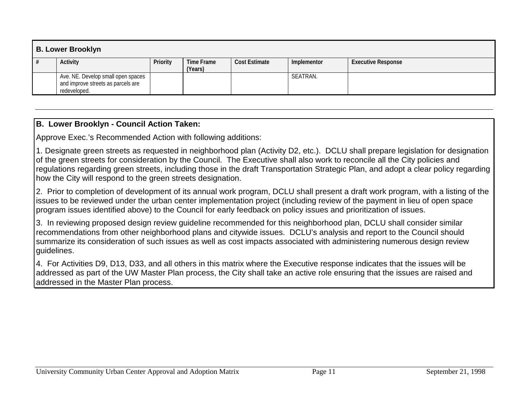| <b>B. Lower Brooklyn</b> |                                                                                          |          |                              |                      |             |                           |  |
|--------------------------|------------------------------------------------------------------------------------------|----------|------------------------------|----------------------|-------------|---------------------------|--|
|                          | Activity                                                                                 | Priority | <b>Time Frame</b><br>(Years) | <b>Cost Estimate</b> | Implementor | <b>Executive Response</b> |  |
|                          | Ave. NE. Develop small open spaces<br>and improve streets as parcels are<br>redeveloped. |          |                              |                      | SEATRAN.    |                           |  |

### **B. Lower Brooklyn - Council Action Taken:**

Approve Exec.'s Recommended Action with following additions:

1. Designate green streets as requested in neighborhood plan (Activity D2, etc.). DCLU shall prepare legislation for designation of the green streets for consideration by the Council. The Executive shall also work to reconcile all the City policies and regulations regarding green streets, including those in the draft Transportation Strategic Plan, and adopt a clear policy regarding how the City will respond to the green streets designation.

2. Prior to completion of development of its annual work program, DCLU shall present a draft work program, with a listing of the issues to be reviewed under the urban center implementation project (including review of the payment in lieu of open space program issues identified above) to the Council for early feedback on policy issues and prioritization of issues.

3. In reviewing proposed design review guideline recommended for this neighborhood plan, DCLU shall consider similar recommendations from other neighborhood plans and citywide issues. DCLU's analysis and report to the Council should summarize its consideration of such issues as well as cost impacts associated with administering numerous design review guidelines.

4. For Activities D9, D13, D33, and all others in this matrix where the Executive response indicates that the issues will be addressed as part of the UW Master Plan process, the City shall take an active role ensuring that the issues are raised and addressed in the Master Plan process.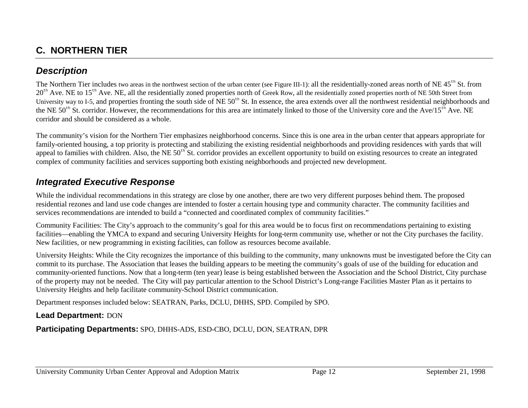# **C. NORTHERN TIER**

### *Description*

The Northern Tier includes two areas in the northwest section of the urban center (see Figure III-1): all the residentially-zoned areas north of NE  $45<sup>th</sup>$  St. from  $20<sup>th</sup>$  Ave. NE to  $15<sup>th</sup>$  Ave. NE, all the residentially zoned properties north of Greek Row, all the residentially zoned properties north of NE 50th Street from University way to I-5, and properties fronting the south side of  $NE 50<sup>th</sup>$  St. In essence, the area extends over all the northwest residential neighborhoods and the NE  $50<sup>th</sup>$  St. corridor. However, the recommendations for this area are intimately linked to those of the University core and the Ave/15<sup>th</sup> Ave. NE corridor and should be considered as a whole.

The community's vision for the Northern Tier emphasizes neighborhood concerns. Since this is one area in the urban center that appears appropriate for family-oriented housing, a top priority is protecting and stabilizing the existing residential neighborhoods and providing residences with yards that will appeal to families with children. Also, the NE  $50<sup>th</sup>$  St. corridor provides an excellent opportunity to build on existing resources to create an integrated complex of community facilities and services supporting both existing neighborhoods and projected new development.

### *Integrated Executive Response*

While the individual recommendations in this strategy are close by one another, there are two very different purposes behind them. The proposed residential rezones and land use code changes are intended to foster a certain housing type and community character. The community facilities and services recommendations are intended to build a "connected and coordinated complex of community facilities."

Community Facilities: The City's approach to the community's goal for this area would be to focus first on recommendations pertaining to existing facilities—enabling the YMCA to expand and securing University Heights for long-term community use, whether or not the City purchases the facility. New facilities, or new programming in existing facilities, can follow as resources become available.

University Heights: While the City recognizes the importance of this building to the community, many unknowns must be investigated before the City can commit to its purchase. The Association that leases the building appears to be meeting the community's goals of use of the building for education and community-oriented functions. Now that a long-term (ten year) lease is being established between the Association and the School District, City purchase of the property may not be needed. The City will pay particular attention to the School District's Long-range Facilities Master Plan as it pertains to University Heights and help facilitate community-School District communication.

Department responses included below: SEATRAN, Parks, DCLU, DHHS, SPD. Compiled by SPO.

### **Lead Department:** DON

**Participating Departments:** SPO, DHHS-ADS, ESD-CBO, DCLU, DON, SEATRAN, DPR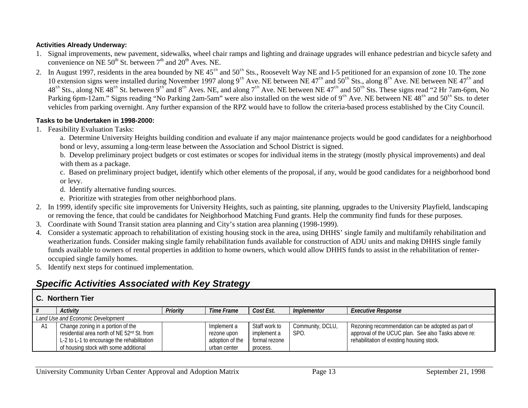#### **Activities Already Underway:**

- 1. Signal improvements, new pavement, sidewalks, wheel chair ramps and lighting and drainage upgrades will enhance pedestrian and bicycle safety and convenience on NE  $50^{th}$  St. between  $7^{th}$  and  $20^{th}$  Aves. NE.
- 2. In August 1997, residents in the area bounded by NE  $45<sup>th</sup>$  and  $50<sup>th</sup>$  Sts., Roosevelt Way NE and I-5 petitioned for an expansion of zone 10. The zone 10 extension signs were installed during November 1997 along 9<sup>th</sup> Ave. NE between NE 47<sup>th</sup> and 50<sup>th</sup> Sts., along 8<sup>th</sup> Ave. NE between NE 47<sup>th</sup> and  $48<sup>th</sup>$  Sts., along NE  $48<sup>th</sup>$  St. between  $9<sup>th</sup>$  and  $8<sup>th</sup>$  Aves. NE, and along  $7<sup>th</sup>$  Ave. NE between NE  $47<sup>th</sup>$  and  $50<sup>th</sup>$  Sts. These signs read "2 Hr 7am-6pm, No Parking 6pm-12am." Signs reading "No Parking 2am-5am" were also installed on the west side of 9<sup>th</sup> Ave. NE between NE 48<sup>th</sup> and 50<sup>th</sup> Sts. to deter vehicles from parking overnight. Any further expansion of the RPZ would have to follow the criteria-based process established by the City Council.

#### **Tasks to be Undertaken in 1998-2000:**

1. Feasibility Evaluation Tasks:

a. Determine University Heights building condition and evaluate if any major maintenance projects would be good candidates for a neighborhood bond or levy, assuming a long-term lease between the Association and School District is signed.

b. Develop preliminary project budgets or cost estimates or scopes for individual items in the strategy (mostly physical improvements) and deal with them as a package.

c. Based on preliminary project budget, identify which other elements of the proposal, if any, would be good candidates for a neighborhood bond or levy.

- d. Identify alternative funding sources.
- e. Prioritize with strategies from other neighborhood plans.
- 2. In 1999, identify specific site improvements for University Heights, such as painting, site planning, upgrades to the University Playfield, landscaping or removing the fence, that could be candidates for Neighborhood Matching Fund grants. Help the community find funds for these purposes.
- 3. Coordinate with Sound Transit station area planning and City's station area planning (1998-1999).
- 4. Consider a systematic approach to rehabilitation of existing housing stock in the area, using DHHS' single family and multifamily rehabilitation and weatherization funds. Consider making single family rehabilitation funds available for construction of ADU units and making DHHS single family funds available to owners of rental properties in addition to home owners, which would allow DHHS funds to assist in the rehabilitation of renteroccupied single family homes.
- 5. Identify next steps for continued implementation.

# *Specific Activities Associated with Key Strategy*

#### **C. Northern Tier**

|    | Activity                                                                                                                                                                           | Priority | Time Frame                                                    | Cost Est.                                                 | Implementor              | <i>Executive Response</i>                                                                                                                             |  |  |  |
|----|------------------------------------------------------------------------------------------------------------------------------------------------------------------------------------|----------|---------------------------------------------------------------|-----------------------------------------------------------|--------------------------|-------------------------------------------------------------------------------------------------------------------------------------------------------|--|--|--|
|    | Land Use and Economic Development                                                                                                                                                  |          |                                                               |                                                           |                          |                                                                                                                                                       |  |  |  |
| A1 | Change zoning in a portion of the<br>residential area north of NE 52 <sup>nd</sup> St. from<br>L-2 to L-1 to encourage the rehabilitation<br>of housing stock with some additional |          | Implement a<br>rezone upon<br>adoption of the<br>urban center | Staff work to<br>implement a<br>formal rezone<br>process. | Community, DCLU,<br>SPO. | Rezoning recommendation can be adopted as part of<br>approval of the UCUC plan. See also Tasks above re:<br>rehabilitation of existing housing stock. |  |  |  |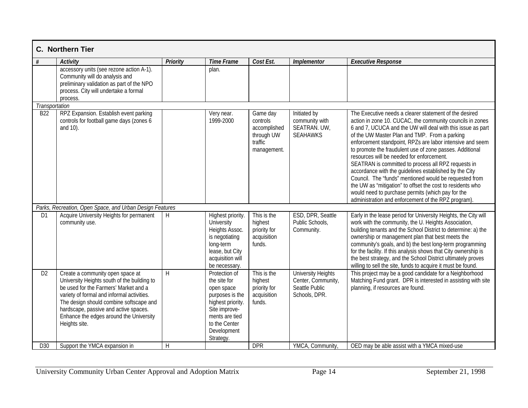|                 | C. Northern Tier                                                                                                                                                                                                                                                                                                       |                 |                                                                                                                                                                     |                                                                              |                                                                                    |                                                                                                                                                                                                                                                                                                                                                                                                                                                                                                                                                                                                                                                                                                                                                                |
|-----------------|------------------------------------------------------------------------------------------------------------------------------------------------------------------------------------------------------------------------------------------------------------------------------------------------------------------------|-----------------|---------------------------------------------------------------------------------------------------------------------------------------------------------------------|------------------------------------------------------------------------------|------------------------------------------------------------------------------------|----------------------------------------------------------------------------------------------------------------------------------------------------------------------------------------------------------------------------------------------------------------------------------------------------------------------------------------------------------------------------------------------------------------------------------------------------------------------------------------------------------------------------------------------------------------------------------------------------------------------------------------------------------------------------------------------------------------------------------------------------------------|
| #               | <b>Activity</b>                                                                                                                                                                                                                                                                                                        | <b>Priority</b> | <b>Time Frame</b>                                                                                                                                                   | Cost Est.                                                                    | Implementor                                                                        | <b>Executive Response</b>                                                                                                                                                                                                                                                                                                                                                                                                                                                                                                                                                                                                                                                                                                                                      |
|                 | accessory units (see rezone action A-1).<br>Community will do analysis and<br>preliminary validation as part of the NPO<br>process. City will undertake a formal<br>process.                                                                                                                                           |                 | plan.                                                                                                                                                               |                                                                              |                                                                                    |                                                                                                                                                                                                                                                                                                                                                                                                                                                                                                                                                                                                                                                                                                                                                                |
| Transportation  |                                                                                                                                                                                                                                                                                                                        |                 |                                                                                                                                                                     |                                                                              |                                                                                    |                                                                                                                                                                                                                                                                                                                                                                                                                                                                                                                                                                                                                                                                                                                                                                |
| B <sub>22</sub> | RPZ Expansion. Establish event parking<br>controls for football game days (zones 6<br>and 10).                                                                                                                                                                                                                         |                 | Very near.<br>1999-2000                                                                                                                                             | Game day<br>controls<br>accomplished<br>through UW<br>traffic<br>management. | Initiated by<br>community with<br>SEATRAN. UW,<br><b>SEAHAWKS</b>                  | The Executive needs a clearer statement of the desired<br>action in zone 10. CUCAC, the community councils in zones<br>6 and 7, UCUCA and the UW will deal with this issue as part<br>of the UW Master Plan and TMP. From a parking<br>enforcement standpoint, RPZs are labor intensive and seem<br>to promote the fraudulent use of zone passes. Additional<br>resources will be needed for enforcement.<br>SEATRAN is committed to process all RPZ requests in<br>accordance with the guidelines established by the City<br>Council. The "funds" mentioned would be requested from<br>the UW as "mitigation" to offset the cost to residents who<br>would need to purchase permits (which pay for the<br>administration and enforcement of the RPZ program). |
|                 | Parks, Recreation, Open Space, and Urban Design Features                                                                                                                                                                                                                                                               |                 |                                                                                                                                                                     |                                                                              |                                                                                    |                                                                                                                                                                                                                                                                                                                                                                                                                                                                                                                                                                                                                                                                                                                                                                |
| D <sub>1</sub>  | Acquire University Heights for permanent<br>community use.                                                                                                                                                                                                                                                             | H               | Highest priority.<br>University<br>Heights Assoc.<br>is negotiating<br>long-term<br>lease, but City<br>acquisition will<br>be necessary.                            | This is the<br>highest<br>priority for<br>acquisition<br>funds.              | ESD, DPR, Seattle<br>Public Schools,<br>Community.                                 | Early in the lease period for University Heights, the City will<br>work with the community, the U. Heights Association,<br>building tenants and the School District to determine: a) the<br>ownership or management plan that best meets the<br>community's goals, and b) the best long-term programming<br>for the facility. If this analysis shows that City ownership is<br>the best strategy, and the School District ultimately proves<br>willing to sell the site, funds to acquire it must be found.                                                                                                                                                                                                                                                    |
| D <sub>2</sub>  | Create a community open space at<br>University Heights south of the building to<br>be used for the Farmers' Market and a<br>variety of formal and informal activities.<br>The design should combine softscape and<br>hardscape, passive and active spaces.<br>Enhance the edges around the University<br>Heights site. | H               | Protection of<br>the site for<br>open space<br>purposes is the<br>highest priority.<br>Site improve-<br>ments are tied<br>to the Center<br>Development<br>Strategy. | This is the<br>highest<br>priority for<br>acquisition<br>funds.              | <b>University Heights</b><br>Center, Community,<br>Seattle Public<br>Schools, DPR. | This project may be a good candidate for a Neighborhood<br>Matching Fund grant. DPR is interested in assisting with site<br>planning, if resources are found.                                                                                                                                                                                                                                                                                                                                                                                                                                                                                                                                                                                                  |
| D30             | Support the YMCA expansion in                                                                                                                                                                                                                                                                                          | H               |                                                                                                                                                                     | <b>DPR</b>                                                                   | YMCA, Community,                                                                   | OED may be able assist with a YMCA mixed-use                                                                                                                                                                                                                                                                                                                                                                                                                                                                                                                                                                                                                                                                                                                   |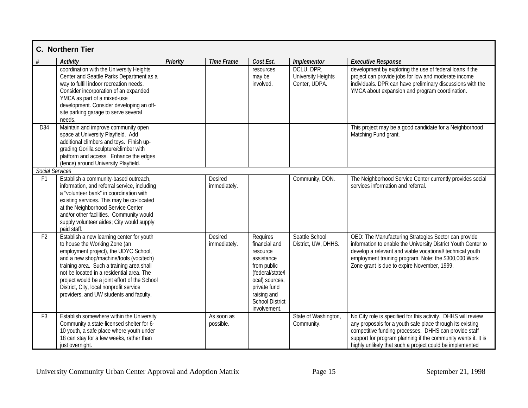|                                   | <b>C.</b> Northern Tier                                                                                                                                                                                                                                                                                                                                                                         |                 |                                |                                                                                                                                                                                   |                                                          |                                                                                                                                                                                                                                                                                                                  |
|-----------------------------------|-------------------------------------------------------------------------------------------------------------------------------------------------------------------------------------------------------------------------------------------------------------------------------------------------------------------------------------------------------------------------------------------------|-----------------|--------------------------------|-----------------------------------------------------------------------------------------------------------------------------------------------------------------------------------|----------------------------------------------------------|------------------------------------------------------------------------------------------------------------------------------------------------------------------------------------------------------------------------------------------------------------------------------------------------------------------|
| #                                 | <b>Activity</b>                                                                                                                                                                                                                                                                                                                                                                                 | <b>Priority</b> | <b>Time Frame</b>              | Cost Est.                                                                                                                                                                         | <b>Implementor</b>                                       | <b>Executive Response</b>                                                                                                                                                                                                                                                                                        |
|                                   | coordination with the University Heights<br>Center and Seattle Parks Department as a<br>way to fulfill indoor recreation needs.<br>Consider incorporation of an expanded<br>YMCA as part of a mixed-use<br>development. Consider developing an off-<br>site parking garage to serve several<br>needs.                                                                                           |                 |                                | resources<br>may be<br>involved.                                                                                                                                                  | DCLU, DPR,<br><b>University Heights</b><br>Center, UDPA. | development by exploring the use of federal loans if the<br>project can provide jobs for low and moderate income<br>individuals. DPR can have preliminary discussions with the<br>YMCA about expansion and program coordination.                                                                                 |
| D34                               | Maintain and improve community open<br>space at University Playfield. Add<br>additional climbers and toys. Finish up-<br>grading Gorilla sculpture/climber with<br>platform and access. Enhance the edges<br>(fence) around University Playfield.                                                                                                                                               |                 |                                |                                                                                                                                                                                   |                                                          | This project may be a good candidate for a Neighborhood<br>Matching Fund grant.                                                                                                                                                                                                                                  |
| Social Services<br>F <sub>1</sub> |                                                                                                                                                                                                                                                                                                                                                                                                 |                 | <b>Desired</b>                 |                                                                                                                                                                                   | Community, DON.                                          |                                                                                                                                                                                                                                                                                                                  |
|                                   | Establish a community-based outreach,<br>information, and referral service, including<br>a "volunteer bank" in coordination with<br>existing services. This may be co-located<br>at the Neighborhood Service Center<br>and/or other facilities. Community would<br>supply volunteer aides; City would supply<br>paid staff.                                                                     |                 | immediately.                   |                                                                                                                                                                                   |                                                          | The Neighborhood Service Center currently provides social<br>services information and referral.                                                                                                                                                                                                                  |
| F <sub>2</sub>                    | Establish a new learning center for youth<br>to house the Working Zone (an<br>employment project), the UDYC School,<br>and a new shop/machine/tools (voc/tech)<br>training area. Such a training area shall<br>not be located in a residential area. The<br>project would be a joint effort of the School<br>District, City, local nonprofit service<br>providers, and UW students and faculty. |                 | <b>Desired</b><br>immediately. | Requires<br>financial and<br>resource<br>assistance<br>from public<br>(federal/state/l<br>ocal) sources,<br>private fund<br>raising and<br><b>School District</b><br>involvement. | Seattle School<br>District, UW, DHHS.                    | OED: The Manufacturing Strategies Sector can provide<br>information to enable the University District Youth Center to<br>develop a relevant and viable vocational/ technical youth<br>employment training program. Note: the \$300,000 Work<br>Zone grant is due to expire November, 1999.                       |
| F <sub>3</sub>                    | Establish somewhere within the University<br>Community a state-licensed shelter for 6-<br>10 youth, a safe place where youth under<br>18 can stay for a few weeks, rather than<br>just overnight.                                                                                                                                                                                               |                 | As soon as<br>possible.        |                                                                                                                                                                                   | State of Washington,<br>Community.                       | No City role is specified for this activity. DHHS will review<br>any proposals for a youth safe place through its existing<br>competitive funding processes. DHHS can provide staff<br>support for program planning if the community wants it. It is<br>highly unlikely that such a project could be implemented |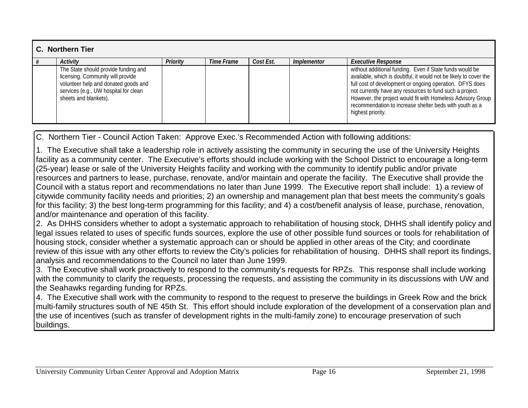| C. Northern Tier |                                                                                                                                                                                     |                 |            |           |                    |                                                                                                                                                                                                                                                                                                                                                                                                      |  |  |
|------------------|-------------------------------------------------------------------------------------------------------------------------------------------------------------------------------------|-----------------|------------|-----------|--------------------|------------------------------------------------------------------------------------------------------------------------------------------------------------------------------------------------------------------------------------------------------------------------------------------------------------------------------------------------------------------------------------------------------|--|--|
|                  | <b>Activity</b>                                                                                                                                                                     | <b>Priority</b> | Time Frame | Cost Est. | <i>Implementor</i> | <b>Executive Response</b>                                                                                                                                                                                                                                                                                                                                                                            |  |  |
|                  | The State should provide funding and<br>licensing. Community will provide<br>volunteer help and donated goods and<br>services (e.g., UW hospital for clean<br>sheets and blankets). |                 |            |           |                    | without additional funding. Even if State funds would be<br>available, which is doubtful, it would not be likely to cover the<br>full cost of development or ongoing operation. DFYS does<br>not currently have any resources to fund such a project.<br>However, the project would fit with Homeless Advisory Group<br>recommendation to increase shelter beds with youth as a<br>highest priority. |  |  |

C. Northern Tier - Council Action Taken: Approve Exec.'s Recommended Action with following additions:

1. The Executive shall take a leadership role in actively assisting the community in securing the use of the University Height s facility as a community center. The Executive's efforts should include working with the School District to encourage a long-term (25-year) lease or sale of the University Heights facility and working with the community to identify public and/or private resources and partners to lease, purchase, renovate, and/or maintain and operate the facility. The Executive shall provide the Council with a status report and recommendations no later than June 1999. The Executive report shall include: 1) a review of citywide community facility needs and priorities; 2) an ownership and management plan that best meets the community's goals for this facility; 3) the best long-term programming for this facility; and 4) a cost/benefit analysis of lease, purchase, renovation, and/or maintenance and operation of this facility.

2. As DHHS considers whether to adopt a systematic approach to rehabilitation of housing stock, DHHS shall identify policy and legal issues related to uses of specific funds sources, explore the use of other possible fund sources or tools for rehabilitation of housing stock, consider whether a systematic approach can or should be applied in other areas of the City; and coordinate review of this issue with any other efforts to review the City's policies for rehabilitation of housing. DHHS shall report its findings, analysis and recommendations to the Council no later than June 1999.

3. The Executive shall work proactively to respond to the community's requests for RPZs. This response shall include working with the community to clarify the requests, processing the requests, and assisting the community in its discussions with UW and the Seahawks regarding funding for RPZs.

4. The Executive shall work with the community to respond to the request to preserve the buildings in Greek Row and the brick multi-family structures south of NE 45th St. This effort should include exploration of the development of a conservation plan and the use of incentives (such as transfer of development rights in the multi-family zone) to encourage preservation of such buildings.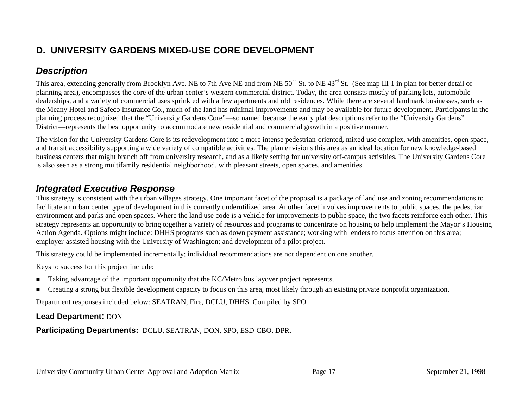## *Description*

This area, extending generally from Brooklyn Ave. NE to 7th Ave NE and from NE 50<sup>th</sup> St. to NE 43<sup>rd</sup> St. (See map III-1 in plan for better detail of planning area), encompasses the core of the urban center's western commercial district. Today, the area consists mostly of parking lots, automobile dealerships, and a variety of commercial uses sprinkled with a few apartments and old residences. While there are several landmark businesses, such as the Meany Hotel and Safeco Insurance Co., much of the land has minimal improvements and may be available for future development. Participants in the planning process recognized that the "University Gardens Core"—so named because the early plat descriptions refer to the "University Gardens" District—represents the best opportunity to accommodate new residential and commercial growth in a positive manner.

The vision for the University Gardens Core is its redevelopment into a more intense pedestrian-oriented, mixed-use complex, with amenities, open space, and transit accessibility supporting a wide variety of compatible activities. The plan envisions this area as an ideal location for new knowledge-based business centers that might branch off from university research, and as a likely setting for university off-campus activities. The University Gardens Core is also seen as a strong multifamily residential neighborhood, with pleasant streets, open spaces, and amenities.

### *Integrated Executive Response*

This strategy is consistent with the urban villages strategy. One important facet of the proposal is a package of land use and zoning recommendations to facilitate an urban center type of development in this currently underutilized area. Another facet involves improvements to public spaces, the pedestrian environment and parks and open spaces. Where the land use code is a vehicle for improvements to public space, the two facets reinforce each other. This strategy represents an opportunity to bring together a variety of resources and programs to concentrate on housing to help implement the Mayor's Housing Action Agenda. Options might include: DHHS programs such as down payment assistance; working with lenders to focus attention on this area; employer-assisted housing with the University of Washington; and development of a pilot project.

This strategy could be implemented incrementally; individual recommendations are not dependent on one another.

Keys to success for this project include:

- **I.** Taking advantage of the important opportunity that the KC/Metro bus layover project represents.
- !Creating a strong but flexible development capacity to focus on this area, most likely through an existing private nonprofit organization.

Department responses included below: SEATRAN, Fire, DCLU, DHHS. Compiled by SPO.

### **Lead Department:** DON

**Participating Departments:** DCLU, SEATRAN, DON, SPO, ESD-CBO, DPR.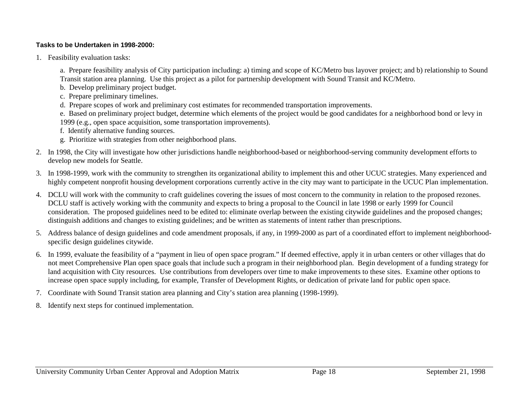#### **Tasks to be Undertaken in 1998-2000:**

1. Feasibility evaluation tasks:

a. Prepare feasibility analysis of City participation including: a) timing and scope of KC/Metro bus layover project; and b) relationship to Sound Transit station area planning. Use this project as a pilot for partnership development with Sound Transit and KC/Metro.

- b. Develop preliminary project budget.
- c. Prepare preliminary timelines.
- d. Prepare scopes of work and preliminary cost estimates for recommended transportation improvements.

e. Based on preliminary project budget, determine which elements of the project would be good candidates for a neighborhood bond or levy in 1999 (e.g., open space acquisition, some transportation improvements).

- f. Identify alternative funding sources.
- g. Prioritize with strategies from other neighborhood plans.
- 2. In 1998, the City will investigate how other jurisdictions handle neighborhood-based or neighborhood-serving community development efforts to develop new models for Seattle.
- 3. In 1998-1999, work with the community to strengthen its organizational ability to implement this and other UCUC strategies. Many experienced and highly competent nonprofit housing development corporations currently active in the city may want to participate in the UCUC Plan implementation.
- 4. DCLU will work with the community to craft guidelines covering the issues of most concern to the community in relation to the proposed rezones. DCLU staff is actively working with the community and expects to bring a proposal to the Council in late 1998 or early 1999 for Council consideration. The proposed guidelines need to be edited to: eliminate overlap between the existing citywide guidelines and the proposed changes; distinguish additions and changes to existing guidelines; and be written as statements of intent rather than prescriptions.
- 5. Address balance of design guidelines and code amendment proposals, if any, in 1999-2000 as part of a coordinated effort to implement neighborhoodspecific design guidelines citywide.
- 6. In 1999, evaluate the feasibility of a "payment in lieu of open space program." If deemed effective, apply it in urban centers or other villages that do not meet Comprehensive Plan open space goals that include such a program in their neighborhood plan. Begin development of a funding strategy for land acquisition with City resources. Use contributions from developers over time to make improvements to these sites. Examine other options to increase open space supply including, for example, Transfer of Development Rights, or dedication of private land for public open space.
- 7. Coordinate with Sound Transit station area planning and City's station area planning (1998-1999).
- 8. Identify next steps for continued implementation.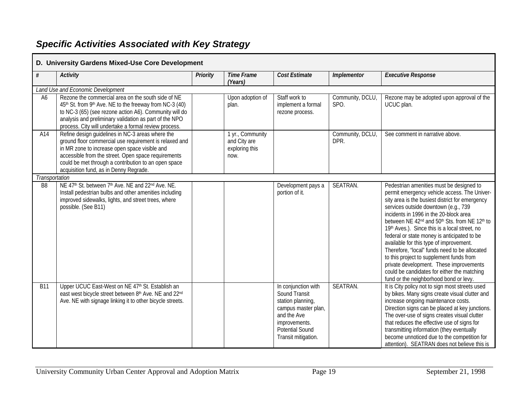# *Specific Activities Associated with Key Strategy*

F

| $\#$           | <b>Activity</b>                                                                                                                                                                                                                                                                                                      | <b>Priority</b> | <b>Time Frame</b><br>(Years)                               | Cost Estimate                                                                                                                                                     | <b>Implementor</b>       | <b>Executive Response</b>                                                                                                                                                                                                                                                                                                                                                                                                                                                                                                                                                                                                                                                                      |
|----------------|----------------------------------------------------------------------------------------------------------------------------------------------------------------------------------------------------------------------------------------------------------------------------------------------------------------------|-----------------|------------------------------------------------------------|-------------------------------------------------------------------------------------------------------------------------------------------------------------------|--------------------------|------------------------------------------------------------------------------------------------------------------------------------------------------------------------------------------------------------------------------------------------------------------------------------------------------------------------------------------------------------------------------------------------------------------------------------------------------------------------------------------------------------------------------------------------------------------------------------------------------------------------------------------------------------------------------------------------|
|                | Land Use and Economic Development                                                                                                                                                                                                                                                                                    |                 |                                                            |                                                                                                                                                                   |                          |                                                                                                                                                                                                                                                                                                                                                                                                                                                                                                                                                                                                                                                                                                |
| A6             | Rezone the commercial area on the south side of NE<br>45 <sup>th</sup> St. from 9 <sup>th</sup> Ave. NE to the freeway from NC-3 (40)<br>to NC-3 (65) (see rezone action A6). Community will do<br>analysis and preliminary validation as part of the NPO<br>process. City will undertake a formal review process.   |                 | Upon adoption of<br>plan.                                  | Staff work to<br>implement a formal<br>rezone process.                                                                                                            | Community, DCLU,<br>SPO. | Rezone may be adopted upon approval of the<br>UCUC plan.                                                                                                                                                                                                                                                                                                                                                                                                                                                                                                                                                                                                                                       |
| A14            | Refine design guidelines in NC-3 areas where the<br>ground floor commercial use requirement is relaxed and<br>in MR zone to increase open space visible and<br>accessible from the street. Open space requirements<br>could be met through a contribution to an open space<br>acquisition fund, as in Denny Regrade. |                 | 1 yr., Community<br>and City are<br>exploring this<br>now. |                                                                                                                                                                   | Community, DCLU,<br>DPR. | See comment in narrative above.                                                                                                                                                                                                                                                                                                                                                                                                                                                                                                                                                                                                                                                                |
| Transportation |                                                                                                                                                                                                                                                                                                                      |                 |                                                            |                                                                                                                                                                   |                          |                                                                                                                                                                                                                                                                                                                                                                                                                                                                                                                                                                                                                                                                                                |
| B <sub>8</sub> | NE 47 <sup>th</sup> St. between 7 <sup>th</sup> Ave. NE and 22 <sup>nd</sup> Ave. NE.<br>Install pedestrian bulbs and other amenities including<br>improved sidewalks, lights, and street trees, where<br>possible. (See B11)                                                                                        |                 |                                                            | Development pays a<br>portion of it.                                                                                                                              | SEATRAN.                 | Pedestrian amenities must be designed to<br>permit emergency vehicle access. The Univer-<br>sity area is the busiest district for emergency<br>services outside downtown (e.g., 739<br>incidents in 1996 in the 20-block area<br>between NE 42 <sup>nd</sup> and 50 <sup>th</sup> Sts. from NE 12 <sup>th</sup> to<br>19th Aves.). Since this is a local street, no<br>federal or state money is anticipated to be<br>available for this type of improvement.<br>Therefore, "local" funds need to be allocated<br>to this project to supplement funds from<br>private development. These improvements<br>could be candidates for either the matching<br>fund or the neighborhood bond or levy. |
| <b>B11</b>     | Upper UCUC East-West on NE 47th St. Establish an<br>east west bicycle street between 8th Ave. NE and 22nd<br>Ave. NE with signage linking it to other bicycle streets.                                                                                                                                               |                 |                                                            | In conjunction with<br>Sound Transit<br>station planning,<br>campus master plan,<br>and the Ave<br>improvements.<br><b>Potential Sound</b><br>Transit mitigation. | SEATRAN.                 | It is City policy not to sign most streets used<br>by bikes. Many signs create visual clutter and<br>increase ongoing maintenance costs.<br>Direction signs can be placed at key junctions.<br>The over-use of signs creates visual clutter<br>that reduces the effective use of signs for<br>transmitting information (they eventually<br>become unnoticed due to the competition for<br>attention). SEATRAN does not believe this is                                                                                                                                                                                                                                                         |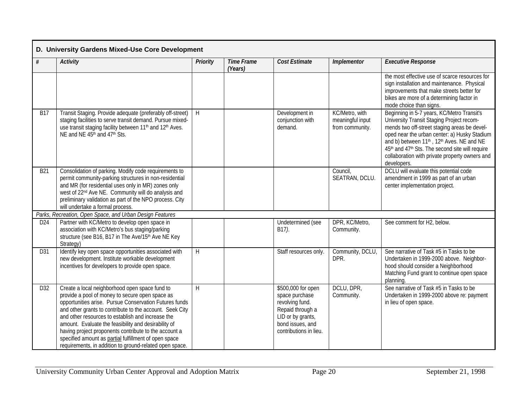|                 | D. University Gardens Mixed-Use Core Development                                                                                                                                                                                                                                                                                                                                                                                                                                                                  |                 |                              |                                                                                                                                                |                                                       |                                                                                                                                                                                                                                                                                                                                                                                                           |  |  |  |
|-----------------|-------------------------------------------------------------------------------------------------------------------------------------------------------------------------------------------------------------------------------------------------------------------------------------------------------------------------------------------------------------------------------------------------------------------------------------------------------------------------------------------------------------------|-----------------|------------------------------|------------------------------------------------------------------------------------------------------------------------------------------------|-------------------------------------------------------|-----------------------------------------------------------------------------------------------------------------------------------------------------------------------------------------------------------------------------------------------------------------------------------------------------------------------------------------------------------------------------------------------------------|--|--|--|
| #               | <b>Activity</b>                                                                                                                                                                                                                                                                                                                                                                                                                                                                                                   | <b>Priority</b> | <b>Time Frame</b><br>(Years) | <b>Cost Estimate</b>                                                                                                                           | <b>Implementor</b>                                    | <b>Executive Response</b>                                                                                                                                                                                                                                                                                                                                                                                 |  |  |  |
|                 |                                                                                                                                                                                                                                                                                                                                                                                                                                                                                                                   |                 |                              |                                                                                                                                                |                                                       | the most effective use of scarce resources for<br>sign installation and maintenance. Physical<br>improvements that make streets better for<br>bikes are more of a determining factor in<br>mode choice than signs.                                                                                                                                                                                        |  |  |  |
| <b>B17</b>      | Transit Staging. Provide adequate (preferably off-street)<br>staging facilities to serve transit demand. Pursue mixed-<br>use transit staging facility between 11 <sup>th</sup> and 12 <sup>th</sup> Aves.<br>NE and NE 45 <sup>th</sup> and 47 <sup>th</sup> Sts.                                                                                                                                                                                                                                                | H               |                              | Development in<br>conjunction with<br>demand.                                                                                                  | KC/Metro, with<br>meaningful input<br>from community. | Beginning in 5-7 years, KC/Metro Transit's<br>University Transit Staging Project recom-<br>mends two off-street staging areas be devel-<br>oped near the urban center: a) Husky Stadium<br>and b) between 11 <sup>th</sup> , 12 <sup>th</sup> Aves. NE and NE<br>45 <sup>th</sup> and 47 <sup>th</sup> Sts. The second site will require<br>collaboration with private property owners and<br>developers. |  |  |  |
| <b>B21</b>      | Consolidation of parking. Modify code requirements to<br>permit community-parking structures in non-residential<br>and MR (for residential uses only in MR) zones only<br>west of 22 <sup>nd</sup> Ave NE. Community will do analysis and<br>preliminary validation as part of the NPO process. City<br>will undertake a formal process.                                                                                                                                                                          |                 |                              |                                                                                                                                                | Council,<br>SEATRAN, DCLU.                            | DCLU will evaluate this potential code<br>amendment in 1999 as part of an urban<br>center implementation project.                                                                                                                                                                                                                                                                                         |  |  |  |
|                 | Parks, Recreation, Open Space, and Urban Design Features                                                                                                                                                                                                                                                                                                                                                                                                                                                          |                 |                              |                                                                                                                                                |                                                       |                                                                                                                                                                                                                                                                                                                                                                                                           |  |  |  |
| D <sub>24</sub> | Partner with KC/Metro to develop open space in<br>association with KC/Metro's bus staging/parking<br>structure (see B16, B17 in The Ave/15th Ave NE Key<br>Strategy)                                                                                                                                                                                                                                                                                                                                              |                 |                              | Undetermined (see<br>B17).                                                                                                                     | DPR, KC/Metro,<br>Community.                          | See comment for H2, below.                                                                                                                                                                                                                                                                                                                                                                                |  |  |  |
| D31             | Identify key open space opportunities associated with<br>new development. Institute workable development<br>incentives for developers to provide open space.                                                                                                                                                                                                                                                                                                                                                      | H               |                              | Staff resources only.                                                                                                                          | Community, DCLU,<br>DPR.                              | See narrative of Task #5 in Tasks to be<br>Undertaken in 1999-2000 above. Neighbor-<br>hood should consider a Neighborhood<br>Matching Fund grant to continue open space<br>planning.                                                                                                                                                                                                                     |  |  |  |
| D32             | Create a local neighborhood open space fund to<br>provide a pool of money to secure open space as<br>opportunities arise. Pursue Conservation Futures funds<br>and other grants to contribute to the account. Seek City<br>and other resources to establish and increase the<br>amount. Evaluate the feasibility and desirability of<br>having project proponents contribute to the account a<br>specified amount as partial fulfillment of open space<br>requirements, in addition to ground-related open space. | $\overline{H}$  |                              | \$500,000 for open<br>space purchase<br>revolving fund.<br>Repaid through a<br>LID or by grants,<br>bond issues, and<br>contributions in lieu. | DCLU, DPR,<br>Community.                              | See narrative of Task #5 in Tasks to be<br>Undertaken in 1999-2000 above re: payment<br>in lieu of open space.                                                                                                                                                                                                                                                                                            |  |  |  |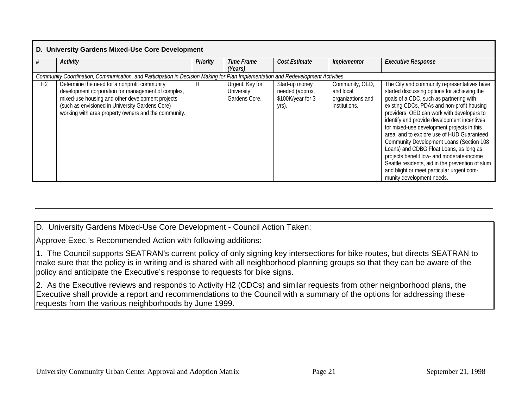|                | D. University Gardens Mixed-Use Core Development                                                                                                                                                                                                                  |                 |                                                |                                                                 |                                                                    |                                                                                                                                                                                                                                                                                                                                                                                                                                                                                                                                                                                                                                                 |  |  |  |  |  |  |  |  |
|----------------|-------------------------------------------------------------------------------------------------------------------------------------------------------------------------------------------------------------------------------------------------------------------|-----------------|------------------------------------------------|-----------------------------------------------------------------|--------------------------------------------------------------------|-------------------------------------------------------------------------------------------------------------------------------------------------------------------------------------------------------------------------------------------------------------------------------------------------------------------------------------------------------------------------------------------------------------------------------------------------------------------------------------------------------------------------------------------------------------------------------------------------------------------------------------------------|--|--|--|--|--|--|--|--|
|                | <b>Activity</b>                                                                                                                                                                                                                                                   | <b>Priority</b> | Time Frame<br>(Years)                          | Cost Estimate                                                   | <i><b>Implementor</b></i>                                          | <b>Executive Response</b>                                                                                                                                                                                                                                                                                                                                                                                                                                                                                                                                                                                                                       |  |  |  |  |  |  |  |  |
|                | Community Coordination, Communication, and Participation in Decision Making for Plan Implementation and Redevelopment Activities                                                                                                                                  |                 |                                                |                                                                 |                                                                    |                                                                                                                                                                                                                                                                                                                                                                                                                                                                                                                                                                                                                                                 |  |  |  |  |  |  |  |  |
| H <sub>2</sub> | Determine the need for a nonprofit community<br>development corporation for management of complex,<br>mixed-use housing and other development projects<br>(such as envisioned in University Gardens Core)<br>working with area property owners and the community. | Н               | Urgent. Key for<br>University<br>Gardens Core. | Start-up money<br>needed (approx.<br>\$100K/year for 3<br>yrs). | Community, OED,<br>and local<br>organizations and<br>institutions. | The City and community representatives have<br>started discussing options for achieving the<br>goals of a CDC, such as partnering with<br>existing CDCs, PDAs and non-profit housing<br>providers. OED can work with developers to<br>identify and provide development incentives<br>for mixed-use development projects in this<br>area, and to explore use of HUD Guaranteed<br>Community Development Loans (Section 108<br>Loans) and CDBG Float Loans, as long as<br>projects benefit low- and moderate-income<br>Seattle residents, aid in the prevention of slum<br>and blight or meet particular urgent com-<br>munity development needs. |  |  |  |  |  |  |  |  |

D. University Gardens Mixed-Use Core Development - Council Action Taken:

Approve Exec.'s Recommended Action with following additions:

1. The Council supports SEATRAN's current policy of only signing key intersections for bike routes, but directs SEATRAN to make sure that the policy is in writing and is shared with all neighborhood planning groups so that they can be aware of the policy and anticipate the Executive's response to requests for bike signs.

2. As the Executive reviews and responds to Activity H2 (CDCs) and similar requests from other neighborhood plans, the Executive shall provide a report and recommendations to the Council with a summary of the options for addressing these requests from the various neighborhoods by June 1999.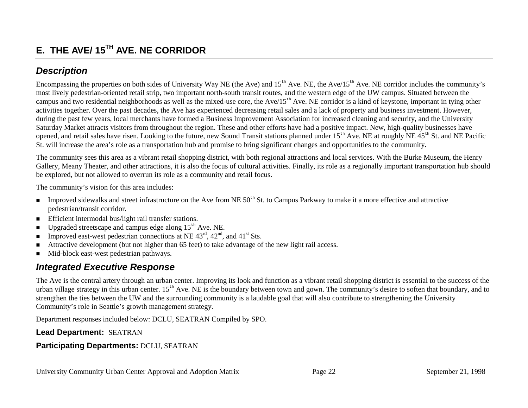# **E. THE AVE/ 15TH AVE. NE CORRIDOR**

### *Description*

Encompassing the properties on both sides of University Way NE (the Ave) and  $15<sup>th</sup>$  Ave. NE, the Ave/ $15<sup>th</sup>$  Ave. NE corridor includes the community's most lively pedestrian-oriented retail strip, two important north-south transit routes, and the western edge of the UW campus. Situated between the campus and two residential neighborhoods as well as the mixed-use core, the  $Ave/15<sup>th</sup> Ave$ . NE corridor is a kind of keystone, important in tying other activities together. Over the past decades, the Ave has experienced decreasing retail sales and a lack of property and business investment. However, during the past few years, local merchants have formed a Business Improvement Association for increased cleaning and security, and the University Saturday Market attracts visitors from throughout the region. These and other efforts have had a positive impact. New, high-quality businesses have opened, and retail sales have risen. Looking to the future, new Sound Transit stations planned under  $15<sup>th</sup>$  Ave. NE at roughly NE  $45<sup>th</sup>$  St. and NE Pacific St. will increase the area's role as a transportation hub and promise to bring significant changes and opportunities to the community.

The community sees this area as a vibrant retail shopping district, with both regional attractions and local services. With the Burke Museum, the Henry Gallery, Meany Theater, and other attractions, it is also the focus of cultural activities. Finally, its role as a regionally important transportation hub should be explored, but not allowed to overrun its role as a community and retail focus.

The community's vision for this area includes:

- **.** Improved sidewalks and street infrastructure on the Ave from NE 50<sup>th</sup> St. to Campus Parkway to make it a more effective and attractive pedestrian/transit corridor.
- **Efficient intermodal bus/light rail transfer stations.**
- Upgraded streetscape and campus edge along  $15<sup>th</sup>$  Ave. NE.
- !Improved east-west pedestrian connections at NE  $43^{\text{rd}}$ ,  $42^{\text{nd}}$ , and  $41^{\text{st}}$  Sts.
- Attractive development (but not higher than 65 feet) to take advantage of the new light rail access.
- !Mid-block east-west pedestrian pathways.

### *Integrated Executive Response*

The Ave is the central artery through an urban center. Improving its look and function as a vibrant retail shopping district is essential to the success of the urban village strategy in this urban center.  $15<sup>th</sup>$  Ave. NE is the boundary between town and gown. The community's desire to soften that boundary, and to strengthen the ties between the UW and the surrounding community is a laudable goal that will also contribute to strengthening the University Community's role in Seattle's growth management strategy.

Department responses included below: DCLU, SEATRAN Compiled by SPO.

### **Lead Department:** SEATRAN

### **Participating Departments:** DCLU, SEATRAN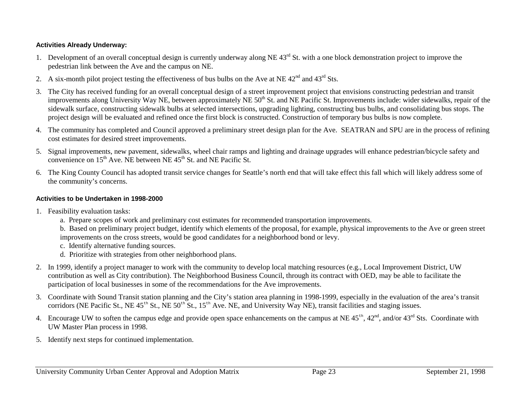#### **Activities Already Underway:**

- 1. Development of an overall conceptual design is currently underway along NE 43<sup>rd</sup> St. with a one block demonstration project to improve the pedestrian link between the Ave and the campus on NE.
- 2. A six-month pilot project testing the effectiveness of bus bulbs on the Ave at NE  $42<sup>nd</sup>$  and  $43<sup>rd</sup>$  Sts.
- 3. The City has received funding for an overall conceptual design of a street improvement project that envisions constructing pedestrian and transit improvements along University Way NE, between approximately NE 50<sup>th</sup> St. and NE Pacific St. Improvements include: wider sidewalks, repair of the sidewalk surface, constructing sidewalk bulbs at selected intersections, upgrading lighting, constructing bus bulbs, and consolidating bus stops. The project design will be evaluated and refined once the first block is constructed. Construction of temporary bus bulbs is now complete.
- 4. The community has completed and Council approved a preliminary street design plan for the Ave. SEATRAN and SPU are in the process of refining cost estimates for desired street improvements.
- 5. Signal improvements, new pavement, sidewalks, wheel chair ramps and lighting and drainage upgrades will enhance pedestrian/bicycle safety and convenience on  $15<sup>th</sup>$  Ave. NE between NE 45<sup>th</sup> St. and NE Pacific St.
- 6. The King County Council has adopted transit service changes for Seattle's north end that will take effect this fall which will likely address some of the community's concerns.

#### **Activities to be Undertaken in 1998-2000**

- 1. Feasibility evaluation tasks:
	- a. Prepare scopes of work and preliminary cost estimates for recommended transportation improvements.
	- b. Based on preliminary project budget, identify which elements of the proposal, for example, physical improvements to the Ave or green street improvements on the cross streets, would be good candidates for a neighborhood bond or levy.
	- c. Identify alternative funding sources.
	- d. Prioritize with strategies from other neighborhood plans.
- 2. In 1999, identify a project manager to work with the community to develop local matching resources (e.g., Local Improvement District, UW contribution as well as City contribution). The Neighborhood Business Council, through its contract with OED, may be able to facilitate the participation of local businesses in some of the recommendations for the Ave improvements.
- 3. Coordinate with Sound Transit station planning and the City's station area planning in 1998-1999, especially in the evaluation of the area's transit corridors (NE Pacific St., NE  $45<sup>th</sup>$  St.,  $\overline{NE}$   $50<sup>th</sup>$  St.,  $15<sup>th</sup>$  Ave. NE, and University Way NE), transit facilities and staging issues.
- 4. Encourage UW to soften the campus edge and provide open space enhancements on the campus at NE  $45<sup>th</sup>$ ,  $42<sup>nd</sup>$ , and/or  $43<sup>rd</sup>$  Sts. Coordinate with UW Master Plan process in 1998.
- 5. Identify next steps for continued implementation.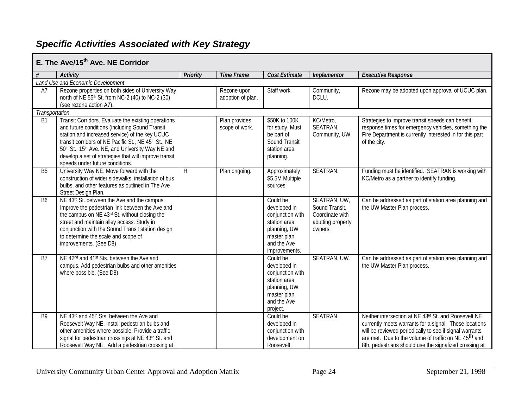## *Specific Activities Associated with Key Strategy*

|                | E. The Ave/15 <sup>th</sup> Ave. NE Corridor                                                                                                                                                                                                                                                                                                                     |                 |                                  |                                                                                                                              |                                                                                   |                                                                                                                                                                                                                                                                                                         |
|----------------|------------------------------------------------------------------------------------------------------------------------------------------------------------------------------------------------------------------------------------------------------------------------------------------------------------------------------------------------------------------|-----------------|----------------------------------|------------------------------------------------------------------------------------------------------------------------------|-----------------------------------------------------------------------------------|---------------------------------------------------------------------------------------------------------------------------------------------------------------------------------------------------------------------------------------------------------------------------------------------------------|
|                | <b>Activity</b>                                                                                                                                                                                                                                                                                                                                                  | <b>Priority</b> | <b>Time Frame</b>                | Cost Estimate                                                                                                                | Implementor                                                                       | <b>Executive Response</b>                                                                                                                                                                                                                                                                               |
|                | Land Use and Economic Development                                                                                                                                                                                                                                                                                                                                |                 |                                  |                                                                                                                              |                                                                                   |                                                                                                                                                                                                                                                                                                         |
| A7             | Rezone properties on both sides of University Way<br>north of NE 55 <sup>th</sup> St. from NC-2 (40) to NC-2 (30)<br>(see rezone action A7).                                                                                                                                                                                                                     |                 | Rezone upon<br>adoption of plan. | Staff work.                                                                                                                  | Community,<br>DCLU.                                                               | Rezone may be adopted upon approval of UCUC plan.                                                                                                                                                                                                                                                       |
| Transportation |                                                                                                                                                                                                                                                                                                                                                                  |                 |                                  |                                                                                                                              |                                                                                   |                                                                                                                                                                                                                                                                                                         |
| <b>B1</b>      | Transit Corridors. Evaluate the existing operations<br>and future conditions (including Sound Transit<br>station and increased service) of the key UCUC<br>transit corridors of NE Pacific St., NE 45th St., NE<br>50th St., 15th Ave. NE, and University Way NE and<br>develop a set of strategies that will improve transit<br>speeds under future conditions. |                 | Plan provides<br>scope of work.  | \$50K to 100K<br>for study. Must<br>be part of<br>Sound Transit<br>station area<br>planning.                                 | KC/Metro,<br>SEATRAN,<br>Community, UW.                                           | Strategies to improve transit speeds can benefit<br>response times for emergency vehicles, something the<br>Fire Department is currently interested in for this part<br>of the city.                                                                                                                    |
| B <sub>5</sub> | University Way NE. Move forward with the<br>construction of wider sidewalks, installation of bus<br>bulbs, and other features as outlined in The Ave<br>Street Design Plan.                                                                                                                                                                                      | H               | Plan ongoing.                    | Approximately<br>\$5.5M Multiple<br>sources.                                                                                 | SEATRAN.                                                                          | Funding must be identified. SEATRAN is working with<br>KC/Metro as a partner to identify funding.                                                                                                                                                                                                       |
| <b>B6</b>      | NE 43rd St. between the Ave and the campus.<br>Improve the pedestrian link between the Ave and<br>the campus on NE 43rd St. without closing the<br>street and maintain alley access. Study in<br>conjunction with the Sound Transit station design<br>to determine the scale and scope of<br>improvements. (See D8)                                              |                 |                                  | Could be<br>developed in<br>conjunction with<br>station area<br>planning, UW<br>master plan,<br>and the Ave<br>improvements. | SEATRAN, UW,<br>Sound Transit.<br>Coordinate with<br>abutting property<br>owners. | Can be addressed as part of station area planning and<br>the UW Master Plan process.                                                                                                                                                                                                                    |
| <b>B7</b>      | NE 42 <sup>nd</sup> and 41 <sup>st</sup> Sts. between the Ave and<br>campus. Add pedestrian bulbs and other amenities<br>where possible. (See D8)                                                                                                                                                                                                                |                 |                                  | Could be<br>developed in<br>conjunction with<br>station area<br>planning, UW<br>master plan,<br>and the Ave<br>project.      | SEATRAN, UW.                                                                      | Can be addressed as part of station area planning and<br>the UW Master Plan process.                                                                                                                                                                                                                    |
| B <sub>9</sub> | NE 43rd and 45 <sup>th</sup> Sts. between the Ave and<br>Roosevelt Way NE. Install pedestrian bulbs and<br>other amenities where possible. Provide a traffic<br>signal for pedestrian crossings at NE 43rd St. and<br>Roosevelt Way NE. Add a pedestrian crossing at                                                                                             |                 |                                  | Could be<br>developed in<br>conjunction with<br>development on<br>Roosevelt.                                                 | SEATRAN.                                                                          | Neither intersection at NE 43rd St. and Roosevelt NE<br>currently meets warrants for a signal. These locations<br>will be reviewed periodically to see if signal warrants<br>are met. Due to the volume of traffic on NE 45 <sup>th</sup> and<br>8th, pedestrians should use the signalized crossing at |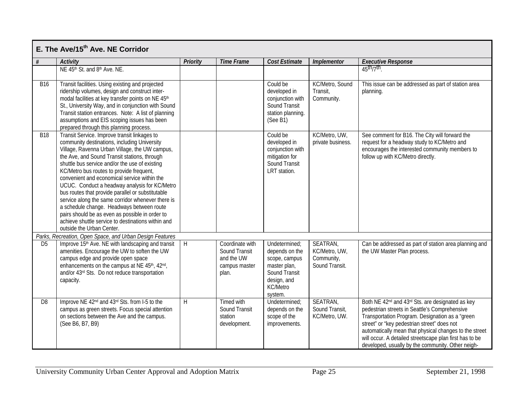|                | E. The Ave/15 <sup>th</sup> Ave. NE Corridor                                                                                                                                                                                                                                                                                                                                                                                                                                                                                                                                                                                                                                               |                 |                                                                          |                                                                                                                                |                                                           |                                                                                                                                                                                                                                                                                                                                                                                                       |
|----------------|--------------------------------------------------------------------------------------------------------------------------------------------------------------------------------------------------------------------------------------------------------------------------------------------------------------------------------------------------------------------------------------------------------------------------------------------------------------------------------------------------------------------------------------------------------------------------------------------------------------------------------------------------------------------------------------------|-----------------|--------------------------------------------------------------------------|--------------------------------------------------------------------------------------------------------------------------------|-----------------------------------------------------------|-------------------------------------------------------------------------------------------------------------------------------------------------------------------------------------------------------------------------------------------------------------------------------------------------------------------------------------------------------------------------------------------------------|
| #              | <b>Activity</b>                                                                                                                                                                                                                                                                                                                                                                                                                                                                                                                                                                                                                                                                            | <b>Priority</b> | <b>Time Frame</b>                                                        | <b>Cost Estimate</b>                                                                                                           | <b>Implementor</b>                                        | <b>Executive Response</b>                                                                                                                                                                                                                                                                                                                                                                             |
|                | NE 45th St. and 8th Ave. NE.                                                                                                                                                                                                                                                                                                                                                                                                                                                                                                                                                                                                                                                               |                 |                                                                          |                                                                                                                                |                                                           | $45th/7th$ .                                                                                                                                                                                                                                                                                                                                                                                          |
| <b>B16</b>     | Transit facilities. Using existing and projected<br>ridership volumes, design and construct inter-<br>modal facilities at key transfer points on NE 45th<br>St., University Way, and in conjunction with Sound<br>Transit station entrances. Note: A list of planning<br>assumptions and EIS scoping issues has been<br>prepared through this planning process.                                                                                                                                                                                                                                                                                                                            |                 |                                                                          | Could be<br>developed in<br>conjunction with<br>Sound Transit<br>station planning.<br>(See B1)                                 | KC/Metro, Sound<br>Transit,<br>Community.                 | This issue can be addressed as part of station area<br>planning.                                                                                                                                                                                                                                                                                                                                      |
| <b>B18</b>     | Transit Service. Improve transit linkages to<br>community destinations, including University<br>Village, Ravenna Urban Village, the UW campus,<br>the Ave, and Sound Transit stations, through<br>shuttle bus service and/or the use of existing<br>KC/Metro bus routes to provide frequent,<br>convenient and economical service within the<br>UCUC. Conduct a headway analysis for KC/Metro<br>bus routes that provide parallel or substitutable<br>service along the same corridor whenever there is<br>a schedule change. Headways between route<br>pairs should be as even as possible in order to<br>achieve shuttle service to destinations within and<br>outside the Urban Center. |                 |                                                                          | Could be<br>developed in<br>conjunction with<br>mitigation for<br>Sound Transit<br>LRT station.                                | KC/Metro, UW,<br>private business.                        | See comment for B16. The City will forward the<br>request for a headway study to KC/Metro and<br>encourages the interested community members to<br>follow up with KC/Metro directly.                                                                                                                                                                                                                  |
|                | Parks, Recreation, Open Space, and Urban Design Features                                                                                                                                                                                                                                                                                                                                                                                                                                                                                                                                                                                                                                   |                 |                                                                          |                                                                                                                                |                                                           |                                                                                                                                                                                                                                                                                                                                                                                                       |
| D <sub>5</sub> | Improve 15 <sup>th</sup> Ave. NE with landscaping and transit<br>amenities. Encourage the UW to soften the UW<br>campus edge and provide open space<br>enhancements on the campus at NE 45th, 42nd,<br>and/or 43rd Sts. Do not reduce transportation<br>capacity.                                                                                                                                                                                                                                                                                                                                                                                                                          | H               | Coordinate with<br>Sound Transit<br>and the UW<br>campus master<br>plan. | Undetermined;<br>depends on the<br>scope, campus<br>master plan,<br>Sound Transit<br>design, and<br><b>KC/Metro</b><br>system. | SEATRAN,<br>KC/Metro, UW,<br>Community,<br>Sound Transit. | Can be addressed as part of station area planning and<br>the UW Master Plan process.                                                                                                                                                                                                                                                                                                                  |
| D <sub>8</sub> | Improve NE 42 <sup>nd</sup> and 43 <sup>rd</sup> Sts. from I-5 to the<br>campus as green streets. Focus special attention<br>on sections between the Ave and the campus.<br>(See B6, B7, B9)                                                                                                                                                                                                                                                                                                                                                                                                                                                                                               | H               | Timed with<br>Sound Transit<br>station<br>development.                   | Undetermined:<br>depends on the<br>scope of the<br>improvements.                                                               | SEATRAN,<br>Sound Transit,<br>KC/Metro, UW.               | Both NE 42 <sup>nd</sup> and 43 <sup>rd</sup> Sts. are designated as key<br>pedestrian streets in Seattle's Comprehensive<br>Transportation Program. Designation as a "green<br>street" or "key pedestrian street" does not<br>automatically mean that physical changes to the street<br>will occur. A detailed streetscape plan first has to be<br>developed, usually by the community. Other neigh- |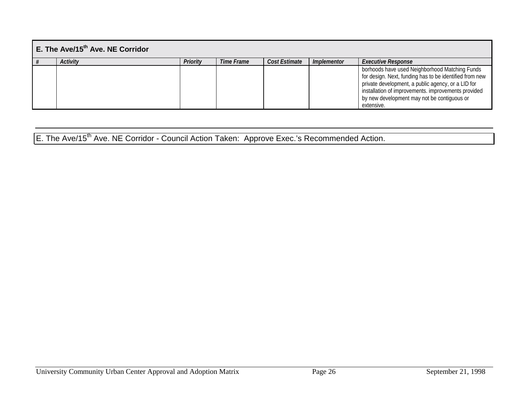| $E$ . The Ave/15 <sup>th</sup> Ave. NE Corridor |                 |          |            |               |                    |                                                                                                                                                                                                                                                                                     |  |  |  |  |  |
|-------------------------------------------------|-----------------|----------|------------|---------------|--------------------|-------------------------------------------------------------------------------------------------------------------------------------------------------------------------------------------------------------------------------------------------------------------------------------|--|--|--|--|--|
|                                                 | <b>Activity</b> | Priority | Time Frame | Cost Estimate | <i>Implementor</i> | <b>Executive Response</b>                                                                                                                                                                                                                                                           |  |  |  |  |  |
|                                                 |                 |          |            |               |                    | borhoods have used Neighborhood Matching Funds<br>for design. Next, funding has to be identified from new<br>private development, a public agency, or a LID for<br>installation of improvements. improvements provided<br>by new development may not be contiguous or<br>extensive. |  |  |  |  |  |

# E. The Ave/15<sup>th</sup> Ave. NE Corridor - Council Action Taken: Approve Exec.'s Recommended Action.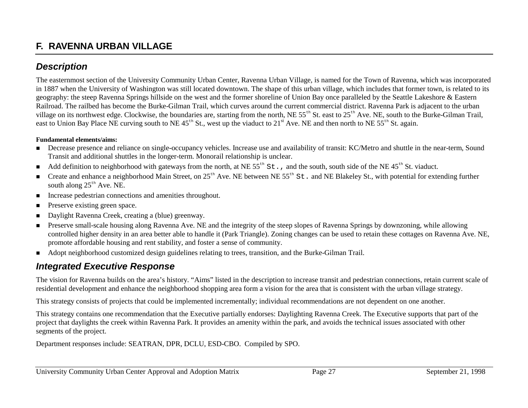### **F. RAVENNA URBAN VILLAGE**

### *Description*

The easternmost section of the University Community Urban Center, Ravenna Urban Village, is named for the Town of Ravenna, which was incorporated in 1887 when the University of Washington was still located downtown. The shape of this urban village, which includes that former town, is related to its geography: the steep Ravenna Springs hillside on the west and the former shoreline of Union Bay once paralleled by the Seattle Lakeshore & Eastern Railroad. The railbed has become the Burke-Gilman Trail, which curves around the current commercial district. Ravenna Park is adjacent to the urban village on its northwest edge. Clockwise, the boundaries are, starting from the north, NE 55<sup>th</sup> St. east to 25<sup>th</sup> Ave. NE, south to the Burke-Gilman Trail, east to Union Bay Place NE curving south to NE  $45<sup>th</sup>$  St., west up the viaduct to  $21<sup>st</sup>$  Ave. NE and then north to NE  $55<sup>th</sup>$  St. again.

#### **Fundamental elements/aims:**

- ! Decrease presence and reliance on single-occupancy vehicles. Increase use and availability of transit: KC/Metro and shuttle in the near-term, Sound Transit and additional shuttles in the longer-term. Monorail relationship is unclear.
- Add definition to neighborhood with gateways from the north, at NE  $55<sup>th</sup>$  St., and the south, south side of the NE  $45<sup>th</sup>$  St. viaduct.
- **12.5** Create and enhance a neighborhood Main Street, on 25<sup>th</sup> Ave. NE between NE 55<sup>th</sup> St. and NE Blakeley St., with potential for extending further south along  $25<sup>th</sup>$  Ave. NE.
- **IDED** Increase pedestrian connections and amenities throughout.
- **1999** Preserve existing green space.
- **.** Daylight Ravenna Creek, creating a (blue) greenway.
- **.**  Preserve small-scale housing along Ravenna Ave. NE and the integrity of the steep slopes of Ravenna Springs by downzoning, while allowing controlled higher density in an area better able to handle it (Park Triangle). Zoning changes can be used to retain these cottages on Ravenna Ave. NE, promote affordable housing and rent stability, and foster a sense of community.
- ! Adopt neighborhood customized design guidelines relating to trees, transition, and the Burke-Gilman Trail.

### *Integrated Executive Response*

The vision for Ravenna builds on the area's history. "Aims" listed in the description to increase transit and pedestrian connections, retain current scale of residential development and enhance the neighborhood shopping area form a vision for the area that is consistent with the urban village strategy.

This strategy consists of projects that could be implemented incrementally; individual recommendations are not dependent on one another.

This strategy contains one recommendation that the Executive partially endorses: Daylighting Ravenna Creek. The Executive supports that part of the project that daylights the creek within Ravenna Park. It provides an amenity within the park, and avoids the technical issues associated with other segments of the project.

Department responses include: SEATRAN, DPR, DCLU, ESD-CBO. Compiled by SPO.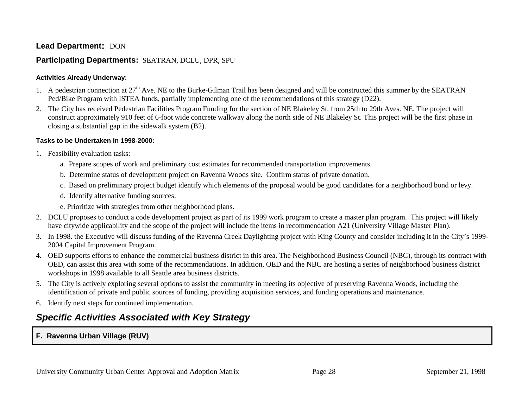#### **Lead Department: DON**

### **Participating Departments:** SEATRAN, DCLU, DPR, SPU

#### **Activities Already Underway:**

- 1. A pedestrian connection at  $27<sup>th</sup>$  Ave. NE to the Burke-Gilman Trail has been designed and will be constructed this summer by the SEATRAN Ped/Bike Program with ISTEA funds, partially implementing one of the recommendations of this strategy (D22).
- 2. The City has received Pedestrian Facilities Program Funding for the section of NE Blakeley St. from 25th to 29th Aves. NE. The project will construct approximately 910 feet of 6-foot wide concrete walkway along the north side of NE Blakeley St. This project will be the first phase in closing a substantial gap in the sidewalk system (B2).

#### **Tasks to be Undertaken in 1998-2000:**

- 1. Feasibility evaluation tasks:
	- a. Prepare scopes of work and preliminary cost estimates for recommended transportation improvements.
	- b. Determine status of development project on Ravenna Woods site. Confirm status of private donation.
	- c. Based on preliminary project budget identify which elements of the proposal would be good candidates for a neighborhood bond or levy.
	- d. Identify alternative funding sources.
	- e. Prioritize with strategies from other neighborhood plans.
- 2. DCLU proposes to conduct a code development project as part of its 1999 work program to create a master plan program. This project will likely have citywide applicability and the scope of the project will include the items in recommendation A21 (University Village Master Plan).
- 3. In 1998. the Executive will discuss funding of the Ravenna Creek Daylighting project with King County and consider including it in the City's 1999- 2004 Capital Improvement Program.
- 4. OED supports efforts to enhance the commercial business district in this area. The Neighborhood Business Council (NBC), through its contract with OED, can assist this area with some of the recommendations. In addition, OED and the NBC are hosting a series of neighborhood business district workshops in 1998 available to all Seattle area business districts.
- 5. The City is actively exploring several options to assist the community in meeting its objective of preserving Ravenna Woods, including the identification of private and public sources of funding, providing acquisition services, and funding operations and maintenance.
- 6. Identify next steps for continued implementation.

### *Specific Activities Associated with Key Strategy*

### **F. Ravenna Urban Village (RUV)**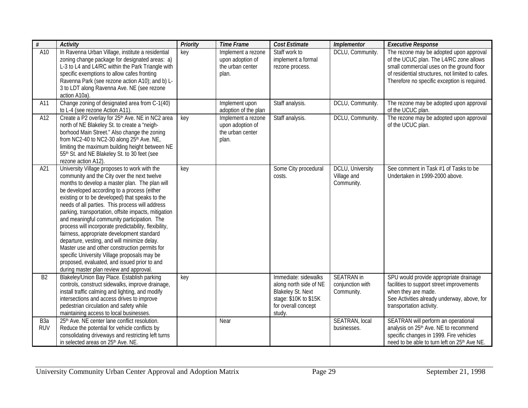| #                              | <b>Activity</b>                                                                                                                                                                                                                                                                                                                                                                                                                                                                                                                                                                                                                                                                                                                                              | Priority | <b>Time Frame</b>                                                   | Cost Estimate                                                                                                                        | <b>Implementor</b>                                  | <b>Executive Response</b>                                                                                                                                                                                                           |
|--------------------------------|--------------------------------------------------------------------------------------------------------------------------------------------------------------------------------------------------------------------------------------------------------------------------------------------------------------------------------------------------------------------------------------------------------------------------------------------------------------------------------------------------------------------------------------------------------------------------------------------------------------------------------------------------------------------------------------------------------------------------------------------------------------|----------|---------------------------------------------------------------------|--------------------------------------------------------------------------------------------------------------------------------------|-----------------------------------------------------|-------------------------------------------------------------------------------------------------------------------------------------------------------------------------------------------------------------------------------------|
| A10                            | In Ravenna Urban Village, institute a residential<br>zoning change package for designated areas: a)<br>L-3 to L4 and L4/RC within the Park Triangle with<br>specific exemptions to allow cafes fronting<br>Ravenna Park (see rezone action A10); and b) L-<br>3 to LDT along Ravenna Ave. NE (see rezone<br>action A10a)                                                                                                                                                                                                                                                                                                                                                                                                                                     | key      | Implement a rezone<br>upon adoption of<br>the urban center<br>plan. | Staff work to<br>implement a formal<br>rezone process.                                                                               | DCLU, Community.                                    | The rezone may be adopted upon approval<br>of the UCUC plan. The L4/RC zone allows<br>small commercial uses on the ground floor<br>of residential structures, not limited to cafes.<br>Therefore no specific exception is required. |
| A11                            | Change zoning of designated area from C-1(40)<br>to L-4 (see rezone Action A11).                                                                                                                                                                                                                                                                                                                                                                                                                                                                                                                                                                                                                                                                             |          | Implement upon<br>adoption of the plan                              | Staff analysis.                                                                                                                      | DCLU, Community.                                    | The rezone may be adopted upon approval<br>of the UCUC plan.                                                                                                                                                                        |
| A12                            | Create a P2 overlay for 25 <sup>th</sup> Ave. NE in NC2 area<br>north of NE Blakeley St. to create a "neigh-<br>borhood Main Street." Also change the zoning<br>from NC2-40 to NC2-30 along 25th Ave. NE,<br>limiting the maximum building height between NE<br>55th St. and NE Blakeley St. to 30 feet (see<br>rezone action A12).                                                                                                                                                                                                                                                                                                                                                                                                                          | key      | Implement a rezone<br>upon adoption of<br>the urban center<br>plan. | Staff analysis.                                                                                                                      | DCLU, Community.                                    | The rezone may be adopted upon approval<br>of the UCUC plan.                                                                                                                                                                        |
| A21                            | University Village proposes to work with the<br>community and the City over the next twelve<br>months to develop a master plan. The plan will<br>be developed according to a process (either<br>existing or to be developed) that speaks to the<br>needs of all parties. This process will address<br>parking, transportation, offsite impacts, mitigation<br>and meaningful community participation. The<br>process will incorporate predictability, flexibility,<br>fairness, appropriate development standard<br>departure, vesting, and will minimize delay.<br>Master use and other construction permits for<br>specific University Village proposals may be<br>proposed, evaluated, and issued prior to and<br>during master plan review and approval. | key      |                                                                     | Some City procedural<br>costs.                                                                                                       | DCLU, University<br>Village and<br>Community.       | See comment in Task #1 of Tasks to be<br>Undertaken in 1999-2000 above.                                                                                                                                                             |
| B <sub>2</sub>                 | Blakeley/Union Bay Place. Establish parking<br>controls, construct sidewalks, improve drainage,<br>install traffic calming and lighting, and modify<br>intersections and access drives to improve<br>pedestrian circulation and safety while<br>maintaining access to local businesses.                                                                                                                                                                                                                                                                                                                                                                                                                                                                      | key      |                                                                     | Immediate: sidewalks<br>along north side of NE<br><b>Blakeley St. Next</b><br>stage: \$10K to \$15K<br>for overall concept<br>study. | <b>SEATRAN</b> in<br>conjunction with<br>Community. | SPU would provide appropriate drainage<br>facilities to support street improvements<br>when they are made.<br>See Activities already underway, above, for<br>transportation activity.                                               |
| B <sub>3</sub> a<br><b>RUV</b> | 25th Ave. NE center lane conflict resolution.<br>Reduce the potential for vehicle conflicts by<br>consolidating driveways and restricting left turns<br>in selected areas on 25th Ave. NE.                                                                                                                                                                                                                                                                                                                                                                                                                                                                                                                                                                   |          | Near                                                                |                                                                                                                                      | SEATRAN, local<br>businesses.                       | SEATRAN will perform an operational<br>analysis on 25 <sup>th</sup> Ave. NE to recommend<br>specific changes in 1999. Fire vehicles<br>need to be able to turn left on 25 <sup>th</sup> Ave NE.                                     |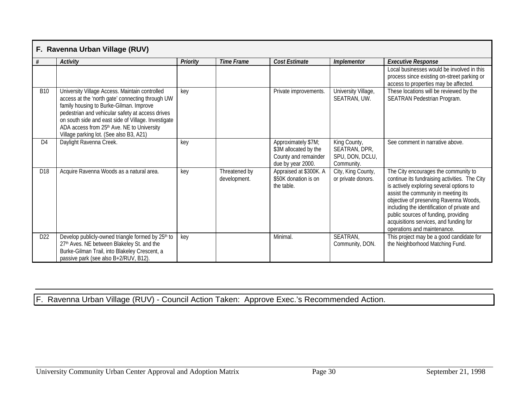|                 | F. Ravenna Urban Village (RUV)                                                                                                                                                                                                                                                                                                                    |                 |                               |                                                                                           |                                                                |                                                                                                                                                                                                                                                                                                                                                                                    |  |  |  |  |  |  |
|-----------------|---------------------------------------------------------------------------------------------------------------------------------------------------------------------------------------------------------------------------------------------------------------------------------------------------------------------------------------------------|-----------------|-------------------------------|-------------------------------------------------------------------------------------------|----------------------------------------------------------------|------------------------------------------------------------------------------------------------------------------------------------------------------------------------------------------------------------------------------------------------------------------------------------------------------------------------------------------------------------------------------------|--|--|--|--|--|--|
| #               | <b>Activity</b>                                                                                                                                                                                                                                                                                                                                   | <b>Priority</b> | <b>Time Frame</b>             | <b>Cost Estimate</b>                                                                      | Implementor                                                    | <b>Executive Response</b>                                                                                                                                                                                                                                                                                                                                                          |  |  |  |  |  |  |
|                 |                                                                                                                                                                                                                                                                                                                                                   |                 |                               |                                                                                           |                                                                | Local businesses would be involved in this<br>process since existing on-street parking or<br>access to properties may be affected.                                                                                                                                                                                                                                                 |  |  |  |  |  |  |
| <b>B10</b>      | University Village Access. Maintain controlled<br>access at the 'north gate' connecting through UW<br>family housing to Burke-Gilman. Improve<br>pedestrian and vehicular safety at access drives<br>on south side and east side of Village. Investigate<br>ADA access from 25th Ave. NE to University<br>Village parking lot. (See also B3, A21) | key             |                               | Private improvements.                                                                     | University Village,<br>SEATRAN, UW.                            | These locations will be reviewed by the<br>SEATRAN Pedestrian Program.                                                                                                                                                                                                                                                                                                             |  |  |  |  |  |  |
| D <sub>4</sub>  | Daylight Ravenna Creek.                                                                                                                                                                                                                                                                                                                           | key             |                               | Approximately \$7M;<br>\$3M allocated by the<br>County and remainder<br>due by year 2000. | King County,<br>SEATRAN, DPR,<br>SPU, DON, DCLU,<br>Community. | See comment in narrative above.                                                                                                                                                                                                                                                                                                                                                    |  |  |  |  |  |  |
| D <sub>18</sub> | Acquire Ravenna Woods as a natural area.                                                                                                                                                                                                                                                                                                          | key             | Threatened by<br>development. | Appraised at \$300K. A<br>\$50K donation is on<br>the table.                              | City, King County,<br>or private donors.                       | The City encourages the community to<br>continue its fundraising activities. The City<br>is actively exploring several options to<br>assist the community in meeting its<br>objective of preserving Ravenna Woods,<br>including the identification of private and<br>public sources of funding, providing<br>acquisitions services, and funding for<br>operations and maintenance. |  |  |  |  |  |  |
| D <sub>22</sub> | Develop publicly-owned triangle formed by 25 <sup>th</sup> to<br>27th Aves. NE between Blakeley St. and the<br>Burke-Gilman Trail, into Blakeley Crescent, a<br>passive park (see also B+2/RUV, B12).                                                                                                                                             | key             |                               | Minimal.                                                                                  | SEATRAN,<br>Community, DON.                                    | This project may be a good candidate for<br>the Neighborhood Matching Fund.                                                                                                                                                                                                                                                                                                        |  |  |  |  |  |  |

F. Ravenna Urban Village (RUV) - Council Action Taken: Approve Exec.'s Recommended Action.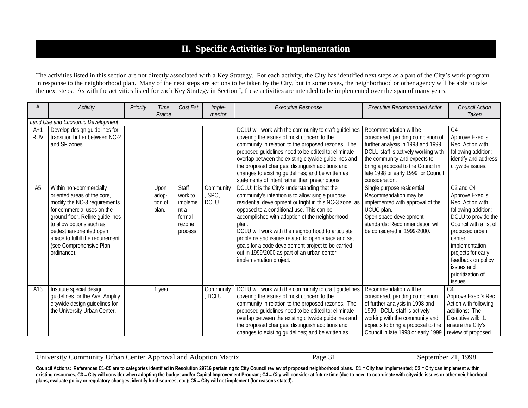### **II. Specific Activities For Implementation**

The activities listed in this section are not directly associated with a Key Strategy. For each activity, the City has identified next steps as a part of the City's work program in response to the neighborhood plan. Many of the next steps are actions to be taken by the City, but in some cases, the neighborhood or other agency will be able to take the next steps. As with the activities listed for each Key Strategy in Section I, these activities are intended to be implemented over the span of many years.

| #                   | Activity                                                                                                                                                                                                                                                                                      | Priority | <b>Time</b><br>Frame              | Cost Est.                                                           | Imple-<br>mentor             | <b>Executive Response</b>                                                                                                                                                                                                                                                                                                                                                                                                                                                                                      | <b>Executive Recommended Action</b>                                                                                                                                                                                                                                     | <b>Council Action</b><br>Taken                                                                                                                                                                                                                                                           |
|---------------------|-----------------------------------------------------------------------------------------------------------------------------------------------------------------------------------------------------------------------------------------------------------------------------------------------|----------|-----------------------------------|---------------------------------------------------------------------|------------------------------|----------------------------------------------------------------------------------------------------------------------------------------------------------------------------------------------------------------------------------------------------------------------------------------------------------------------------------------------------------------------------------------------------------------------------------------------------------------------------------------------------------------|-------------------------------------------------------------------------------------------------------------------------------------------------------------------------------------------------------------------------------------------------------------------------|------------------------------------------------------------------------------------------------------------------------------------------------------------------------------------------------------------------------------------------------------------------------------------------|
|                     | Land Use and Economic Development                                                                                                                                                                                                                                                             |          |                                   |                                                                     |                              |                                                                                                                                                                                                                                                                                                                                                                                                                                                                                                                |                                                                                                                                                                                                                                                                         |                                                                                                                                                                                                                                                                                          |
| $A+1$<br><b>RUV</b> | Develop design guidelines for<br>transition buffer between NC-2<br>and SF zones.                                                                                                                                                                                                              |          |                                   |                                                                     |                              | DCLU will work with the community to craft guidelines<br>covering the issues of most concern to the<br>community in relation to the proposed rezones. The<br>proposed guidelines need to be edited to: eliminate<br>overlap between the existing citywide guidelines and<br>the proposed changes; distinguish additions and<br>changes to existing guidelines; and be written as<br>statements of intent rather than prescriptions.                                                                            | Recommendation will be<br>considered, pending completion of<br>further analysis in 1998 and 1999.<br>DCLU staff is actively working with<br>the community and expects to<br>bring a proposal to the Council in<br>late 1998 or early 1999 for Council<br>consideration. | C <sub>4</sub><br>Approve Exec.'s<br>Rec. Action with<br>following addition:<br>identify and address<br>citywide issues.                                                                                                                                                                 |
| A <sub>5</sub>      | Within non-commercially<br>oriented areas of the core,<br>modify the NC-3 requirements<br>for commercial uses on the<br>ground floor. Refine guidelines<br>to allow options such as<br>pedestrian-oriented open<br>space to fulfill the requirement<br>(see Comprehensive Plan<br>ordinance). |          | Upon<br>adop-<br>tion of<br>plan. | Staff<br>work to<br>impleme<br>nt a<br>formal<br>rezone<br>process. | Community<br>, SPO,<br>DCLU. | DCLU: It is the City's understanding that the<br>community's intention is to allow single purpose<br>residential development outright in this NC-3 zone, as<br>opposed to a conditional use. This can be<br>accomplished with adoption of the neighborhood<br>plan.<br>DCLU will work with the neighborhood to articulate<br>problems and issues related to open space and set<br>goals for a code development project to be carried<br>out in 1999/2000 as part of an urban center<br>implementation project. | Single purpose residential:<br>Recommendation may be<br>implemented with approval of the<br>UCUC plan.<br>Open space development<br>standards: Recommendation will<br>be considered in 1999-2000.                                                                       | C <sub>2</sub> and C <sub>4</sub><br>Approve Exec.'s<br>Rec. Action with<br>following addition:<br>DCLU to provide the<br>Council with a list of<br>proposed urban<br>center<br>implementation<br>projects for early<br>feedback on policy<br>issues and<br>prioritization of<br>issues. |
| A13                 | Institute special design<br>guidelines for the Ave. Amplify<br>citywide design guidelines for<br>the University Urban Center.                                                                                                                                                                 |          | 1 year.                           |                                                                     | Community<br>DCLU.           | DCLU will work with the community to craft guidelines<br>covering the issues of most concern to the<br>community in relation to the proposed rezones. The<br>proposed guidelines need to be edited to: eliminate<br>overlap between the existing citywide guidelines and<br>the proposed changes; distinguish additions and<br>changes to existing guidelines; and be written as                                                                                                                               | Recommendation will be<br>considered, pending completion<br>of further analysis in 1998 and<br>1999. DCLU staff is actively<br>working with the community and<br>expects to bring a proposal to the<br>Council in late 1998 or early 1999                               | C <sub>4</sub><br>Approve Exec.'s Rec.<br>Action with following<br>additions: The<br>Executive will: 1.<br>ensure the City's<br>review of proposed                                                                                                                                       |

University Community Urban Center Approval and Adoption Matrix Page 31 September 21, 1998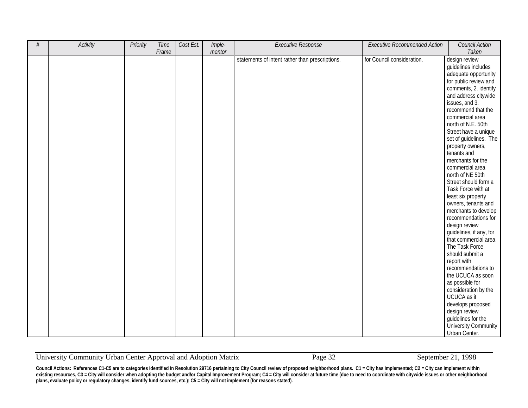| $\#$ | Activity | Priority | Time  | Cost Est. | Imple- | <b>Executive Response</b>                       | <b>Executive Recommended Action</b> | <b>Council Action</b>                   |
|------|----------|----------|-------|-----------|--------|-------------------------------------------------|-------------------------------------|-----------------------------------------|
|      |          |          | Frame |           | mentor |                                                 |                                     | Taken                                   |
|      |          |          |       |           |        |                                                 |                                     |                                         |
|      |          |          |       |           |        | statements of intent rather than prescriptions. | for Council consideration.          | design review                           |
|      |          |          |       |           |        |                                                 |                                     | guidelines includes                     |
|      |          |          |       |           |        |                                                 |                                     | adequate opportunity                    |
|      |          |          |       |           |        |                                                 |                                     | for public review and                   |
|      |          |          |       |           |        |                                                 |                                     | comments, 2. identify                   |
|      |          |          |       |           |        |                                                 |                                     | and address citywide                    |
|      |          |          |       |           |        |                                                 |                                     | issues, and 3.                          |
|      |          |          |       |           |        |                                                 |                                     | recommend that the                      |
|      |          |          |       |           |        |                                                 |                                     | commercial area                         |
|      |          |          |       |           |        |                                                 |                                     | north of N.E. 50th                      |
|      |          |          |       |           |        |                                                 |                                     | Street have a unique                    |
|      |          |          |       |           |        |                                                 |                                     | set of guidelines. The                  |
|      |          |          |       |           |        |                                                 |                                     | property owners,                        |
|      |          |          |       |           |        |                                                 |                                     | tenants and                             |
|      |          |          |       |           |        |                                                 |                                     | merchants for the                       |
|      |          |          |       |           |        |                                                 |                                     | commercial area                         |
|      |          |          |       |           |        |                                                 |                                     | north of NE 50th                        |
|      |          |          |       |           |        |                                                 |                                     | Street should form a                    |
|      |          |          |       |           |        |                                                 |                                     | Task Force with at                      |
|      |          |          |       |           |        |                                                 |                                     | least six property                      |
|      |          |          |       |           |        |                                                 |                                     | owners, tenants and                     |
|      |          |          |       |           |        |                                                 |                                     | merchants to develop                    |
|      |          |          |       |           |        |                                                 |                                     | recommendations for                     |
|      |          |          |       |           |        |                                                 |                                     | design review                           |
|      |          |          |       |           |        |                                                 |                                     | guidelines, if any, for                 |
|      |          |          |       |           |        |                                                 |                                     | that commercial area.                   |
|      |          |          |       |           |        |                                                 |                                     | The Task Force                          |
|      |          |          |       |           |        |                                                 |                                     | should submit a                         |
|      |          |          |       |           |        |                                                 |                                     | report with                             |
|      |          |          |       |           |        |                                                 |                                     |                                         |
|      |          |          |       |           |        |                                                 |                                     | recommendations to<br>the UCUCA as soon |
|      |          |          |       |           |        |                                                 |                                     |                                         |
|      |          |          |       |           |        |                                                 |                                     | as possible for                         |
|      |          |          |       |           |        |                                                 |                                     | consideration by the                    |
|      |          |          |       |           |        |                                                 |                                     | UCUCA as it                             |
|      |          |          |       |           |        |                                                 |                                     | develops proposed                       |
|      |          |          |       |           |        |                                                 |                                     | design review                           |
|      |          |          |       |           |        |                                                 |                                     | guidelines for the                      |
|      |          |          |       |           |        |                                                 |                                     | University Community                    |
|      |          |          |       |           |        |                                                 |                                     | Urban Center.                           |

University Community Urban Center Approval and Adoption Matrix Page 32 September 21, 1998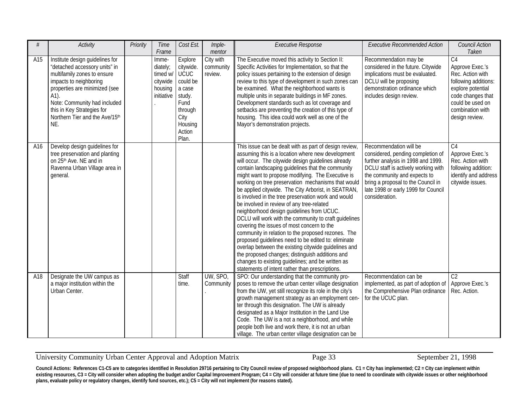| #   | <b>Activity</b>                                                                                                                                                                                                                                                           | Priority | Time<br>Frame                                                      | Cost Est.                                                                                                             | Imple-<br>mentor                  | <b>Executive Response</b>                                                                                                                                                                                                                                                                                                                                                                                                                                                                                                                                                                                                                                                                                                                                                                                                                                                                                                                                                        | <b>Executive Recommended Action</b>                                                                                                                                                                                                                                     | Council Action<br>Taken                                                                                                                                                           |
|-----|---------------------------------------------------------------------------------------------------------------------------------------------------------------------------------------------------------------------------------------------------------------------------|----------|--------------------------------------------------------------------|-----------------------------------------------------------------------------------------------------------------------|-----------------------------------|----------------------------------------------------------------------------------------------------------------------------------------------------------------------------------------------------------------------------------------------------------------------------------------------------------------------------------------------------------------------------------------------------------------------------------------------------------------------------------------------------------------------------------------------------------------------------------------------------------------------------------------------------------------------------------------------------------------------------------------------------------------------------------------------------------------------------------------------------------------------------------------------------------------------------------------------------------------------------------|-------------------------------------------------------------------------------------------------------------------------------------------------------------------------------------------------------------------------------------------------------------------------|-----------------------------------------------------------------------------------------------------------------------------------------------------------------------------------|
| A15 | Institute design guidelines for<br>"detached accessory units" in<br>multifamily zones to ensure<br>impacts to neighboring<br>properties are minimized (see<br>A1).<br>Note: Community had included<br>this in Key Strategies for<br>Northern Tier and the Ave/15th<br>NE. |          | Imme-<br>diately;<br>timed w/<br>citywide<br>housing<br>initiative | Explore<br>citywide.<br>UCUC<br>could be<br>a case<br>study.<br>Fund<br>through<br>City<br>Housing<br>Action<br>Plan. | City with<br>community<br>review. | The Executive moved this activity to Section II:<br>Specific Activities for Implementation, so that the<br>policy issues pertaining to the extension of design<br>review to this type of development in such zones can<br>be examined. What the neighborhood wants is<br>multiple units in separate buildings in MF zones.<br>Development standards such as lot coverage and<br>setbacks are preventing the creation of this type of<br>housing. This idea could work well as one of the<br>Mayor's demonstration projects.                                                                                                                                                                                                                                                                                                                                                                                                                                                      | Recommendation may be<br>considered in the future. Citywide<br>implications must be evaluated.<br>DCLU will be proposing<br>demonstration ordinance which<br>includes design review.                                                                                    | C <sub>4</sub><br>Approve Exec.'s<br>Rec. Action with<br>following additions:<br>explore potential<br>code changes that<br>could be used on<br>combination with<br>design review. |
| A16 | Develop design guidelines for<br>tree preservation and planting<br>on 25 <sup>th</sup> Ave. NE and in<br>Ravenna Urban Village area in<br>general.                                                                                                                        |          |                                                                    |                                                                                                                       |                                   | This issue can be dealt with as part of design review,<br>assuming this is a location where new development<br>will occur. The citywide design guidelines already<br>contain landscaping guidelines that the community<br>might want to propose modifying. The Executive is<br>working on tree preservation mechanisms that would<br>be applied citywide. The City Arborist, in SEATRAN,<br>is involved in the tree preservation work and would<br>be involved in review of any tree-related<br>neighborhood design guidelines from UCUC.<br>DCLU will work with the community to craft guidelines<br>covering the issues of most concern to the<br>community in relation to the proposed rezones. The<br>proposed guidelines need to be edited to: eliminate<br>overlap between the existing citywide guidelines and<br>the proposed changes; distinguish additions and<br>changes to existing guidelines; and be written as<br>statements of intent rather than prescriptions. | Recommendation will be<br>considered, pending completion of<br>further analysis in 1998 and 1999.<br>DCLU staff is actively working with<br>the community and expects to<br>bring a proposal to the Council in<br>late 1998 or early 1999 for Council<br>consideration. | C <sub>4</sub><br>Approve Exec.'s<br>Rec. Action with<br>following addition:<br>identify and address<br>citywide issues.                                                          |
| A18 | Designate the UW campus as<br>a major institution within the<br>Urban Center.                                                                                                                                                                                             |          |                                                                    | Staff<br>time.                                                                                                        | UW, SPO,<br>Community             | SPO: Our understanding that the community pro-<br>poses to remove the urban center village designation<br>from the UW, yet still recognize its role in the city's<br>growth management strategy as an employment cen-<br>ter through this designation. The UW is already<br>designated as a Major Institution in the Land Use<br>Code. The UW is a not a neighborhood, and while<br>people both live and work there, it is not an urban<br>village. The urban center village designation can be                                                                                                                                                                                                                                                                                                                                                                                                                                                                                  | Recommendation can be<br>implemented, as part of adoption of<br>the Comprehensive Plan ordinance<br>for the UCUC plan.                                                                                                                                                  | C <sub>2</sub><br>Approve Exec.'s<br>Rec. Action.                                                                                                                                 |

University Community Urban Center Approval and Adoption Matrix Page 33 September 21, 1998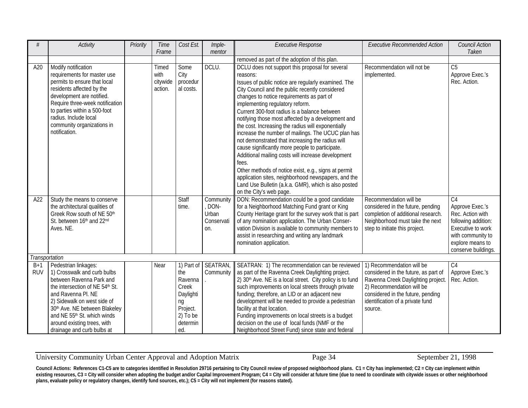| #                   | <b>Activity</b>                                                                                                                                                                                                                                                                                      | Priority | Time<br>Frame                        | Cost Est.                                                                               | Imple-<br>mentor                                | <b>Executive Response</b>                                                                                                                                                                                                                                                                                                                                                                                                                                                                                                                                                                                                                                                                                                                                                                                                                       | <b>Executive Recommended Action</b>                                                                                                                                                                                      | <b>Council Action</b><br>Taken                                                                                                                                    |
|---------------------|------------------------------------------------------------------------------------------------------------------------------------------------------------------------------------------------------------------------------------------------------------------------------------------------------|----------|--------------------------------------|-----------------------------------------------------------------------------------------|-------------------------------------------------|-------------------------------------------------------------------------------------------------------------------------------------------------------------------------------------------------------------------------------------------------------------------------------------------------------------------------------------------------------------------------------------------------------------------------------------------------------------------------------------------------------------------------------------------------------------------------------------------------------------------------------------------------------------------------------------------------------------------------------------------------------------------------------------------------------------------------------------------------|--------------------------------------------------------------------------------------------------------------------------------------------------------------------------------------------------------------------------|-------------------------------------------------------------------------------------------------------------------------------------------------------------------|
|                     |                                                                                                                                                                                                                                                                                                      |          |                                      |                                                                                         |                                                 | removed as part of the adoption of this plan.                                                                                                                                                                                                                                                                                                                                                                                                                                                                                                                                                                                                                                                                                                                                                                                                   |                                                                                                                                                                                                                          |                                                                                                                                                                   |
| A20                 | Modify notification<br>requirements for master use<br>permits to ensure that local<br>residents affected by the<br>development are notified.<br>Require three-week notification<br>to parties within a 500-foot<br>radius. Include local<br>community organizations in<br>notification.              |          | Timed<br>with<br>citywide<br>action. | Some<br>City<br>procedur<br>al costs.                                                   | DCLU.                                           | DCLU does not support this proposal for several<br>reasons:<br>Issues of public notice are regularly examined. The<br>City Council and the public recently considered<br>changes to notice requirements as part of<br>implementing regulatory reform.<br>Current 300-foot radius is a balance between<br>notifying those most affected by a development and<br>the cost. Increasing the radius will exponentially<br>increase the number of mailings. The UCUC plan has<br>not demonstrated that increasing the radius will<br>cause significantly more people to participate.<br>Additional mailing costs will increase development<br>fees.<br>Other methods of notice exist, e.g., signs at permit<br>application sites, neighborhood newspapers, and the<br>Land Use Bulletin (a.k.a. GMR), which is also posted<br>on the City's web page. | Recommendation will not be<br>implemented.                                                                                                                                                                               | C <sub>5</sub><br>Approve Exec.'s<br>Rec. Action.                                                                                                                 |
| A22                 | Study the means to conserve<br>the architectural qualities of<br>Greek Row south of NE 50th<br>St. between 16th and 22nd<br>Aves. NE.                                                                                                                                                                |          |                                      | Staff<br>time.                                                                          | Community<br>DON-<br>Urban<br>Conservati<br>on. | DON: Recommendation could be a good candidate<br>for a Neighborhood Matching Fund grant or King<br>County Heritage grant for the survey work that is part<br>of any nomination application. The Urban Conser-<br>vation Division is available to community members to<br>assist in researching and writing any landmark<br>nomination application.                                                                                                                                                                                                                                                                                                                                                                                                                                                                                              | Recommendation will be<br>considered in the future, pending<br>completion of additional research.<br>Neighborhood must take the next<br>step to initiate this project.                                                   | C <sub>4</sub><br>Approve Exec.'s<br>Rec. Action with<br>following addition:<br>Executive to work<br>with community to<br>explore means to<br>conserve buildings. |
| Transportation      |                                                                                                                                                                                                                                                                                                      |          |                                      |                                                                                         |                                                 |                                                                                                                                                                                                                                                                                                                                                                                                                                                                                                                                                                                                                                                                                                                                                                                                                                                 |                                                                                                                                                                                                                          |                                                                                                                                                                   |
| $B+1$<br><b>RUV</b> | Pedestrian linkages:<br>1) Crosswalk and curb bulbs<br>between Ravenna Park and<br>the intersection of NE 54th St.<br>and Ravenna Pl. NE<br>2) Sidewalk on west side of<br>30th Ave. NE between Blakeley<br>and NE 55th St. which winds<br>around existing trees, with<br>drainage and curb bulbs at |          | Near                                 | the<br>Ravenna<br>Creek<br>Daylighti<br>ng<br>Project.<br>$2)$ To be<br>determin<br>ed. | 1) Part of SEATRAN,<br>Community                | SEATRAN: 1) The recommendation can be reviewed<br>as part of the Ravenna Creek Daylighting project.<br>2) 30 <sup>th</sup> Ave. NE is a local street. City policy is to fund<br>such improvements on local streets through private<br>funding; therefore, an LID or an adjacent new<br>development will be needed to provide a pedestrian<br>facility at that location.<br>Funding improvements on local streets is a budget<br>decision on the use of local funds (NMF or the<br>Neighborhood Street Fund) since state and federal                                                                                                                                                                                                                                                                                                             | 1) Recommendation will be<br>considered in the future, as part of<br>Ravenna Creek Daylighting project.<br>2) Recommendation will be<br>considered in the future, pending<br>identification of a private fund<br>source. | C <sub>4</sub><br>Approve Exec.'s<br>Rec. Action.                                                                                                                 |

University Community Urban Center Approval and Adoption Matrix Page 34 September 21, 1998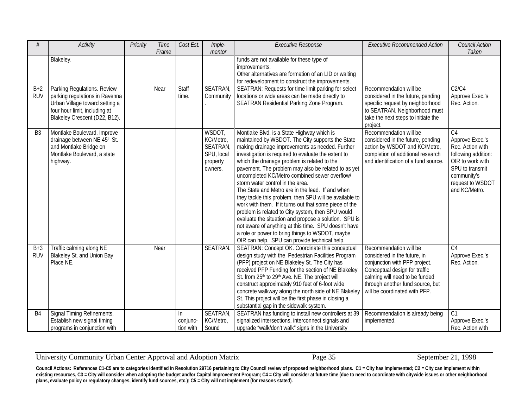| #                   | <b>Activity</b>                                                                                                                                                   | Priority | Time<br>Frame | Cost Est.                    | Imple-<br>mentor                                                           | <b>Executive Response</b>                                                                                                                                                                                                                                                                                                                                                                                                                                                                                                                                                                                                                                                                                                                                                                                                                               | <b>Executive Recommended Action</b>                                                                                                                                                                                             | Council Action<br>Taken                                                                                                                                                 |
|---------------------|-------------------------------------------------------------------------------------------------------------------------------------------------------------------|----------|---------------|------------------------------|----------------------------------------------------------------------------|---------------------------------------------------------------------------------------------------------------------------------------------------------------------------------------------------------------------------------------------------------------------------------------------------------------------------------------------------------------------------------------------------------------------------------------------------------------------------------------------------------------------------------------------------------------------------------------------------------------------------------------------------------------------------------------------------------------------------------------------------------------------------------------------------------------------------------------------------------|---------------------------------------------------------------------------------------------------------------------------------------------------------------------------------------------------------------------------------|-------------------------------------------------------------------------------------------------------------------------------------------------------------------------|
|                     | Blakeley.                                                                                                                                                         |          |               |                              |                                                                            | funds are not available for these type of<br>improvements.<br>Other alternatives are formation of an LID or waiting<br>for redevelopment to construct the improvements.                                                                                                                                                                                                                                                                                                                                                                                                                                                                                                                                                                                                                                                                                 |                                                                                                                                                                                                                                 |                                                                                                                                                                         |
| $B+2$<br><b>RUV</b> | Parking Regulations. Review<br>parking regulations in Ravenna<br>Urban Village toward setting a<br>four hour limit, including at<br>Blakeley Crescent (D22, B12). |          | Near          | Staff<br>time.               | SEATRAN,<br>Community                                                      | SEATRAN: Requests for time limit parking for select<br>locations or wide areas can be made directly to<br>SEATRAN Residential Parking Zone Program.                                                                                                                                                                                                                                                                                                                                                                                                                                                                                                                                                                                                                                                                                                     | Recommendation will be<br>considered in the future, pending<br>specific request by neighborhood<br>to SEATRAN. Neighborhood must<br>take the next steps to initiate the<br>project.                                             | C2/C4<br>Approve Exec.'s<br>Rec. Action.                                                                                                                                |
| B <sub>3</sub>      | Montlake Boulevard. Improve<br>drainage between NE 45th St.<br>and Montlake Bridge on<br>Montlake Boulevard, a state<br>highway.                                  |          |               |                              | WSDOT,<br>KC/Metro,<br><b>SEATRAN</b><br>SPU, local<br>property<br>owners. | Montlake Blvd. is a State Highway which is<br>maintained by WSDOT. The City supports the State<br>making drainage improvements as needed. Further<br>investigation is required to evaluate the extent to<br>which the drainage problem is related to the<br>pavement. The problem may also be related to as yet<br>uncompleted KC/Metro combined sewer overflow/<br>storm water control in the area.<br>The State and Metro are in the lead. If and when<br>they tackle this problem, then SPU will be available to<br>work with them. If it turns out that some piece of the<br>problem is related to City system, then SPU would<br>evaluate the situation and propose a solution. SPU is<br>not aware of anything at this time. SPU doesn't have<br>a role or power to bring things to WSDOT, maybe<br>OIR can help. SPU can provide technical help. | Recommendation will be<br>considered in the future, pending<br>action by WSDOT and KC/Metro,<br>completion of additional research<br>and identification of a fund source.                                                       | C <sub>4</sub><br>Approve Exec.'s<br>Rec. Action with<br>following addition:<br>OIR to work with<br>SPU to transmit<br>community's<br>request to WSDOT<br>and KC/Metro. |
| $B+3$<br><b>RUV</b> | Traffic calming along NE<br>Blakeley St. and Union Bay<br>Place NE.                                                                                               |          | Near          |                              | SEATRAN.                                                                   | SEATRAN: Concept OK. Coordinate this conceptual<br>design study with the Pedestrian Facilities Program<br>(PFP) project on NE Blakeley St. The City has<br>received PFP Funding for the section of NE Blakeley<br>St. from 25 <sup>th</sup> to 29 <sup>th</sup> Ave. NE. The project will<br>construct approximately 910 feet of 6-foot wide<br>concrete walkway along the north side of NE Blakeley<br>St. This project will be the first phase in closing a<br>substantial gap in the sidewalk system.                                                                                                                                                                                                                                                                                                                                                | Recommendation will be<br>considered in the future, in<br>conjunction with PFP project.<br>Conceptual design for traffic<br>calming will need to be funded<br>through another fund source, but<br>will be coordinated with PFP. | C <sub>4</sub><br>Approve Exec.'s<br>Rec. Action.                                                                                                                       |
| B <sub>4</sub>      | Signal Timing Refinements.<br>Establish new signal timing<br>programs in conjunction with                                                                         |          |               | In.<br>conjunc-<br>tion with | SEATRAN,<br>KC/Metro,<br>Sound                                             | SEATRAN has funding to install new controllers at 39<br>signalized intersections, interconnect signals and<br>upgrade "walk/don't walk" signs in the University                                                                                                                                                                                                                                                                                                                                                                                                                                                                                                                                                                                                                                                                                         | Recommendation is already being<br>implemented.                                                                                                                                                                                 | C <sub>1</sub><br>Approve Exec.'s<br>Rec. Action with                                                                                                                   |

#### University Community Urban Center Approval and Adoption Matrix Page 35 September 21, 1998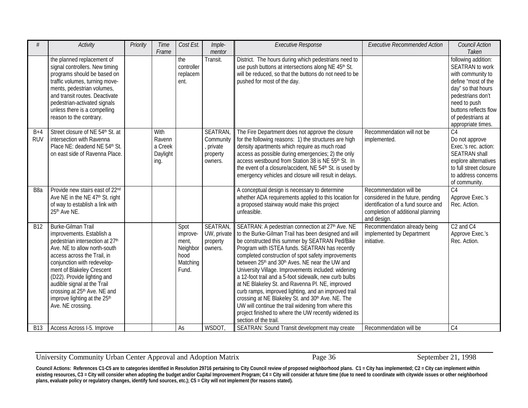| #                | <b>Activity</b>                                               | Priority | Time     | Cost Est.              | Imple-         | <b>Executive Response</b>                                                                                                 | <b>Executive Recommended Action</b> | Council Action                                |
|------------------|---------------------------------------------------------------|----------|----------|------------------------|----------------|---------------------------------------------------------------------------------------------------------------------------|-------------------------------------|-----------------------------------------------|
|                  |                                                               |          | Frame    |                        | mentor         |                                                                                                                           |                                     | Taken                                         |
|                  | the planned replacement of                                    |          |          | the                    | Transit.       | District. The hours during which pedestrians need to                                                                      |                                     | following addition:<br><b>SEATRAN</b> to work |
|                  | signal controllers. New timing<br>programs should be based on |          |          | controller<br>replacem |                | use push buttons at intersections along NE 45 <sup>th</sup> St.<br>will be reduced, so that the buttons do not need to be |                                     | with community to                             |
|                  | traffic volumes, turning move-                                |          |          | ent.                   |                | pushed for most of the day.                                                                                               |                                     | define "most of the                           |
|                  | ments, pedestrian volumes,                                    |          |          |                        |                |                                                                                                                           |                                     | day" so that hours                            |
|                  | and transit routes. Deactivate                                |          |          |                        |                |                                                                                                                           |                                     | pedestrians don't                             |
|                  | pedestrian-activated signals                                  |          |          |                        |                |                                                                                                                           |                                     | need to push                                  |
|                  | unless there is a compelling                                  |          |          |                        |                |                                                                                                                           |                                     | buttons reflects flow                         |
|                  | reason to the contrary.                                       |          |          |                        |                |                                                                                                                           |                                     | of pedestrians at                             |
|                  |                                                               |          |          |                        |                |                                                                                                                           |                                     | appropriate times.                            |
| $B+4$            | Street closure of NE 54th St. at                              |          | With     |                        | <b>SEATRAN</b> | The Fire Department does not approve the closure                                                                          | Recommendation will not be          | $\overline{C4}$                               |
| <b>RUV</b>       | intersection with Ravenna                                     |          | Ravenn   |                        | Community      | for the following reasons: 1) the structures are high                                                                     | implemented.                        | Do not approve                                |
|                  | Place NE: deadend NE 54th St.                                 |          | a Creek  |                        | , private      | density apartments which require as much road                                                                             |                                     | Exec.'s rec. action:                          |
|                  | on east side of Ravenna Place.                                |          | Daylight |                        | property       | access as possible during emergencies; 2) the only                                                                        |                                     | <b>SEATRAN shall</b>                          |
|                  |                                                               |          | ing.     |                        | owners.        | access westbound from Station 38 is NE 55th St. In                                                                        |                                     | explore alternatives                          |
|                  |                                                               |          |          |                        |                | the event of a closure/accident, NE 54 <sup>th</sup> St. is used by                                                       |                                     | to full street closure                        |
|                  |                                                               |          |          |                        |                | emergency vehicles and closure will result in delays.                                                                     |                                     | to address concerns                           |
| B <sub>8</sub> a | Provide new stairs east of 22nd                               |          |          |                        |                | A conceptual design is necessary to determine                                                                             | Recommendation will be              | of community.<br>$\overline{C4}$              |
|                  | Ave NE in the NE 47 <sup>th</sup> St. right                   |          |          |                        |                | whether ADA requirements applied to this location for                                                                     | considered in the future, pending   | Approve Exec.'s                               |
|                  | of way to establish a link with                               |          |          |                        |                | a proposed stairway would make this project                                                                               | identification of a fund source and | Rec. Action.                                  |
|                  | 25th Ave NE.                                                  |          |          |                        |                | unfeasible.                                                                                                               | completion of additional planning   |                                               |
|                  |                                                               |          |          |                        |                |                                                                                                                           | and design.                         |                                               |
| <b>B12</b>       | Burke-Gilman Trail                                            |          |          | Spot                   | <b>SEATRAN</b> | SEATRAN: A pedestrian connection at 27 <sup>th</sup> Ave. NE                                                              | Recommendation already being        | C <sub>2</sub> and C <sub>4</sub>             |
|                  | improvements. Establish a                                     |          |          | improve-               | UW, private    | to the Burke-Gilman Trail has been designed and will                                                                      | implemented by Department           | Approve Exec.'s                               |
|                  | pedestrian intersection at 27th                               |          |          | ment,                  | property       | be constructed this summer by SEATRAN Ped/Bike                                                                            | initiative.                         | Rec. Action.                                  |
|                  | Ave. NE to allow north-south                                  |          |          | Neighbor               | owners.        | Program with ISTEA funds. SEATRAN has recently                                                                            |                                     |                                               |
|                  | access across the Trail, in                                   |          |          | hood                   |                | completed construction of spot safety improvements                                                                        |                                     |                                               |
|                  | conjunction with redevelop-                                   |          |          | Matching               |                | between 25 <sup>th</sup> and 30 <sup>th</sup> Aves. NE near the UW and                                                    |                                     |                                               |
|                  | ment of Blakeley Crescent                                     |          |          | Fund.                  |                | University Village. Improvements included: widening                                                                       |                                     |                                               |
|                  | (D22). Provide lighting and                                   |          |          |                        |                | a 12-foot trail and a 5-foot sidewalk, new curb bulbs                                                                     |                                     |                                               |
|                  | audible signal at the Trail                                   |          |          |                        |                | at NE Blakeley St. and Ravenna Pl. NE, improved                                                                           |                                     |                                               |
|                  | crossing at 25 <sup>th</sup> Ave. NE and                      |          |          |                        |                | curb ramps, improved lighting, and an improved trail                                                                      |                                     |                                               |
|                  | improve lighting at the 25 <sup>th</sup><br>Ave. NE crossing. |          |          |                        |                | crossing at NE Blakeley St. and 30 <sup>th</sup> Ave. NE. The<br>UW will continue the trail widening from where this      |                                     |                                               |
|                  |                                                               |          |          |                        |                | project finished to where the UW recently widened its                                                                     |                                     |                                               |
|                  |                                                               |          |          |                        |                | section of the trail.                                                                                                     |                                     |                                               |
| <b>B13</b>       | Access Across I-5. Improve                                    |          |          | As                     | <b>WSDOT</b>   | SEATRAN: Sound Transit development may create                                                                             | Recommendation will be              | C <sub>4</sub>                                |

University Community Urban Center Approval and Adoption Matrix Page 36 September 21, 1998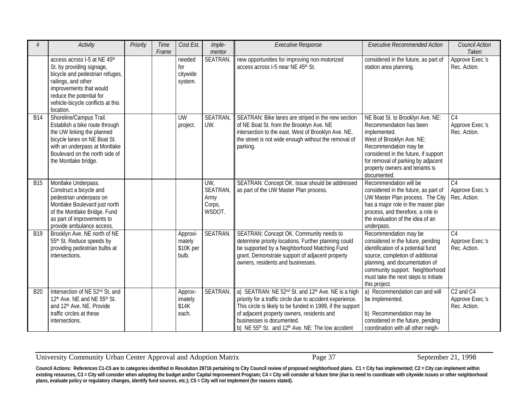| #          | <b>Activity</b>                                                                                                                                                                                                              | Priority | Time<br>Frame | Cost Est.                                | Imple-<br>mentor                                 | <b>Executive Response</b>                                                                                                                                                                                                                                                                                                             | <b>Executive Recommended Action</b>                                                                                                                                                                                                                                | <b>Council Action</b><br>Taken                                       |
|------------|------------------------------------------------------------------------------------------------------------------------------------------------------------------------------------------------------------------------------|----------|---------------|------------------------------------------|--------------------------------------------------|---------------------------------------------------------------------------------------------------------------------------------------------------------------------------------------------------------------------------------------------------------------------------------------------------------------------------------------|--------------------------------------------------------------------------------------------------------------------------------------------------------------------------------------------------------------------------------------------------------------------|----------------------------------------------------------------------|
|            | access across I-5 at NE 45th<br>St. by providing signage,<br>bicycle and pedestrian refuges,<br>railings, and other<br>improvements that would<br>reduce the potential for<br>vehicle-bicycle conflicts at this<br>location. |          |               | needed<br>for<br>citywide<br>system.     | <b>SEATRAN</b>                                   | new opportunities for improving non-motorized<br>access across I-5 near NE 45th St.                                                                                                                                                                                                                                                   | considered in the future, as part of<br>station area planning.                                                                                                                                                                                                     | Approve Exec.'s<br>Rec. Action.                                      |
| <b>B14</b> | Shoreline/Campus Trail.<br>Establish a bike route through<br>the UW linking the planned<br>bicycle lanes on NE Boat St.<br>with an underpass at Montlake<br>Boulevard on the north side of<br>the Montlake bridge.           |          |               | <b>UW</b><br>project.                    | <b>SEATRAN</b><br>UW.                            | SEATRAN: Bike lanes are striped in the new section<br>of NE Boat St. from the Brooklyn Ave. NE<br>intersection to the east. West of Brooklyn Ave. NE,<br>the street is not wide enough without the removal of<br>parking.                                                                                                             | NE Boat St. to Brooklyn Ave. NE:<br>Recommendation has been<br>implemented.<br>West of Brooklyn Ave. NE:<br>Recommendation may be<br>considered in the future, if support<br>for removal of parking by adjacent<br>property owners and tenants is<br>documented.   | C <sub>4</sub><br>Approve Exec.'s<br>Rec. Action.                    |
| <b>B15</b> | Montlake Underpass.<br>Construct a bicycle and<br>pedestrian underpass on<br>Montlake Boulevard just north<br>of the Montlake Bridge. Fund<br>as part of improvements to<br>provide ambulance access.                        |          |               |                                          | UW<br><b>SEATRAN</b><br>Army<br>Corps,<br>WSDOT. | SEATRAN: Concept OK. Issue should be addressed<br>as part of the UW Master Plan process.                                                                                                                                                                                                                                              | Recommendation will be<br>considered in the future, as part of<br>UW Master Plan process. The City<br>has a major role in the master plan<br>process, and therefore, a role in<br>the evaluation of the idea of an<br>underpass.                                   | $\overline{C4}$<br>Approve Exec.'s<br>Rec. Action.                   |
| B19        | Brooklyn Ave. NE north of NE<br>55th St. Reduce speeds by<br>providing pedestrian bulbs at<br>intersections.                                                                                                                 |          |               | Approxi-<br>mately<br>\$10K per<br>bulb. | SEATRAN.                                         | SEATRAN: Concept OK. Community needs to<br>determine priority locations. Further planning could<br>be supported by a Neighborhood Matching Fund<br>grant. Demonstrate support of adjacent property<br>owners, residents and businesses.                                                                                               | Recommendation may be<br>considered in the future, pending<br>identification of a potential fund<br>source, completion of additional<br>planning, and documentation of<br>community support. Neighborhood<br>must take the next steps to initiate<br>this project. | C <sub>4</sub><br>Approve Exec.'s<br>Rec. Action.                    |
| <b>B20</b> | Intersection of NE 52nd St. and<br>12 <sup>th</sup> Ave. NE and NE 55 <sup>th</sup> St.<br>and 12 <sup>th</sup> Ave. NE. Provide<br>traffic circles at these<br>intersections.                                               |          |               | Approx-<br>imately<br>\$14K<br>each.     | SEATRAN.                                         | a) SEATRAN: NE 52nd St. and 12th Ave. NE is a high<br>priority for a traffic circle due to accident experience.<br>This circle is likely to be funded in 1999, if the support<br>of adjacent property owners, residents and<br>businesses is documented.<br>b) NE 55 <sup>th</sup> St. and 12 <sup>th</sup> Ave. NE: The low accident | a) Recommendation can and will<br>be implemented.<br>b) Recommendation may be<br>considered in the future, pending<br>coordination with all other neigh-                                                                                                           | C <sub>2</sub> and C <sub>4</sub><br>Approve Exec.'s<br>Rec. Action. |

University Community Urban Center Approval and Adoption Matrix Page 37 September 21, 1998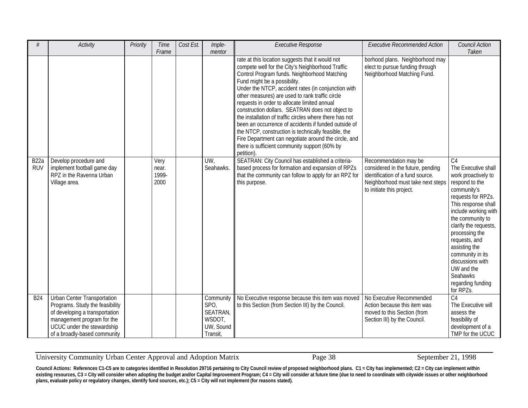| #                               | Activity                                                                                                                                                                                     | Priority | Time<br>Frame                  | Cost Est. | Imple-<br>mentor                                                 | <b>Executive Response</b>                                                                                                                                                                                                                                                                                                                                                                                                                                                                                                                                                                                                                                                                                                                                                                                                                                                               | <b>Executive Recommended Action</b>                                                                                                                                                                                                                                   | Council Action<br>Taken                                                                                                                                                                                                                                                                                                                                                 |
|---------------------------------|----------------------------------------------------------------------------------------------------------------------------------------------------------------------------------------------|----------|--------------------------------|-----------|------------------------------------------------------------------|-----------------------------------------------------------------------------------------------------------------------------------------------------------------------------------------------------------------------------------------------------------------------------------------------------------------------------------------------------------------------------------------------------------------------------------------------------------------------------------------------------------------------------------------------------------------------------------------------------------------------------------------------------------------------------------------------------------------------------------------------------------------------------------------------------------------------------------------------------------------------------------------|-----------------------------------------------------------------------------------------------------------------------------------------------------------------------------------------------------------------------------------------------------------------------|-------------------------------------------------------------------------------------------------------------------------------------------------------------------------------------------------------------------------------------------------------------------------------------------------------------------------------------------------------------------------|
| B <sub>22</sub> a<br><b>RUV</b> | Develop procedure and<br>implement football game day<br>RPZ in the Ravenna Urban<br>Village area.                                                                                            |          | Very<br>near.<br>1999-<br>2000 |           | UW,<br>Seahawks.                                                 | rate at this location suggests that it would not<br>compete well for the City's Neighborhood Traffic<br>Control Program funds. Neighborhood Matching<br>Fund might be a possibility.<br>Under the NTCP, accident rates (in conjunction with<br>other measures) are used to rank traffic circle<br>requests in order to allocate limited annual<br>construction dollars. SEATRAN does not object to<br>the installation of traffic circles where there has not<br>been an occurrence of accidents if funded outside of<br>the NTCP, construction is technically feasible, the<br>Fire Department can negotiate around the circle, and<br>there is sufficient community support (60% by<br>petition).<br>SEATRAN: City Council has established a criteria-<br>based process for formation and expansion of RPZs<br>that the community can follow to apply for an RPZ for<br>this purpose. | borhood plans. Neighborhood may<br>elect to pursue funding through<br>Neighborhood Matching Fund.<br>Recommendation may be<br>considered in the future, pending<br>identification of a fund source.<br>Neighborhood must take next steps<br>to initiate this project. | C <sub>4</sub><br>The Executive shall<br>work proactively to<br>respond to the<br>community's<br>requests for RPZs.<br>This response shall<br>include working with<br>the community to<br>clarify the requests,<br>processing the<br>requests, and<br>assisting the<br>community in its<br>discussions with<br>UW and the<br>Seahawks<br>regarding funding<br>for RPZs. |
| <b>B24</b>                      | Urban Center Transportation<br>Programs. Study the feasibility<br>of developing a transportation<br>management program for the<br>UCUC under the stewardship<br>of a broadly-based community |          |                                |           | Community<br>SPO,<br>SEATRAN,<br>WSDOT,<br>UW, Sound<br>Transit, | No Executive response because this item was moved<br>to this Section (from Section III) by the Council.                                                                                                                                                                                                                                                                                                                                                                                                                                                                                                                                                                                                                                                                                                                                                                                 | No Executive Recommended<br>Action because this item was<br>moved to this Section (from<br>Section III) by the Council.                                                                                                                                               | C <sub>4</sub><br>The Executive will<br>assess the<br>feasibility of<br>development of a<br>TMP for the UCUC                                                                                                                                                                                                                                                            |

University Community Urban Center Approval and Adoption Matrix Page 38 September 21, 1998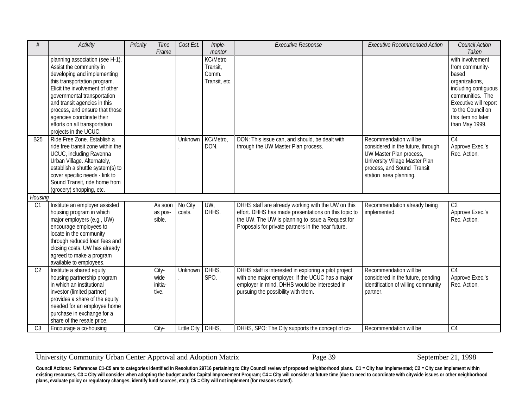| #                | Activity                                                                                                                                                                                                                                                                                                                                             | Priority | Time<br>Frame                     | Cost Est.          | Imple-<br>mentor                                      | <b>Executive Response</b>                                                                                                                                                                                             | <b>Executive Recommended Action</b>                                                                                                                                              | Council Action<br>Taken                                                                                                                                                                          |
|------------------|------------------------------------------------------------------------------------------------------------------------------------------------------------------------------------------------------------------------------------------------------------------------------------------------------------------------------------------------------|----------|-----------------------------------|--------------------|-------------------------------------------------------|-----------------------------------------------------------------------------------------------------------------------------------------------------------------------------------------------------------------------|----------------------------------------------------------------------------------------------------------------------------------------------------------------------------------|--------------------------------------------------------------------------------------------------------------------------------------------------------------------------------------------------|
|                  | planning association (see H-1).<br>Assist the community in<br>developing and implementing<br>this transportation program.<br>Elicit the involvement of other<br>governmental transportation<br>and transit agencies in this<br>process, and ensure that those<br>agencies coordinate their<br>efforts on all transportation<br>projects in the UCUC. |          |                                   |                    | <b>KC/Metro</b><br>Transit,<br>Comm.<br>Transit, etc. |                                                                                                                                                                                                                       |                                                                                                                                                                                  | with involvement<br>from community-<br>based<br>organizations,<br>including contiguous<br>communities. The<br>Executive will report<br>to the Council on<br>this item no later<br>than May 1999. |
| $\overline{B25}$ | Ride Free Zone. Establish a<br>ride free transit zone within the<br>UCUC, including Ravenna<br>Urban Village. Alternately,<br>establish a shuttle system(s) to<br>cover specific needs - link to<br>Sound Transit, ride home from<br>(grocery) shopping, etc.                                                                                        |          |                                   | Unknown            | KC/Metro,<br>DON.                                     | DON: This issue can, and should, be dealt with<br>through the UW Master Plan process.                                                                                                                                 | Recommendation will be<br>considered in the future, through<br>UW Master Plan process,<br>University Village Master Plan<br>process, and Sound Transit<br>station area planning. | C <sub>4</sub><br>Approve Exec.'s<br>Rec. Action.                                                                                                                                                |
| Housing          |                                                                                                                                                                                                                                                                                                                                                      |          |                                   |                    |                                                       |                                                                                                                                                                                                                       |                                                                                                                                                                                  |                                                                                                                                                                                                  |
| C1               | Institute an employer assisted<br>housing program in which<br>major employers (e.g., UW)<br>encourage employees to<br>locate in the community<br>through reduced loan fees and<br>closing costs. UW has already<br>agreed to make a program<br>available to employees.                                                                               |          | As soon<br>as pos-<br>sible.      | No City<br>costs.  | UW,<br>DHHS.                                          | DHHS staff are already working with the UW on this<br>effort. DHHS has made presentations on this topic to<br>the UW. The UW is planning to issue a Request for<br>Proposals for private partners in the near future. | Recommendation already being<br>implemented.                                                                                                                                     | C <sub>2</sub><br>Approve Exec.'s<br>Rec. Action.                                                                                                                                                |
| C <sub>2</sub>   | Institute a shared equity<br>housing partnership program<br>in which an institutional<br>investor (limited partner)<br>provides a share of the equity<br>needed for an employee home<br>purchase in exchange for a<br>share of the resale price.                                                                                                     |          | City-<br>wide<br>initia-<br>tive. | Unknown            | DHHS,<br>SPO.                                         | DHHS staff is interested in exploring a pilot project<br>with one major employer. If the UCUC has a major<br>employer in mind, DHHS would be interested in<br>pursuing the possibility with them.                     | Recommendation will be<br>considered in the future, pending<br>identification of willing community<br>partner.                                                                   | C <sub>4</sub><br>Approve Exec.'s<br>Rec. Action.                                                                                                                                                |
| C <sub>3</sub>   | Encourage a co-housing                                                                                                                                                                                                                                                                                                                               |          | City-                             | <b>Little City</b> | DHHS,                                                 | DHHS, SPO: The City supports the concept of co-                                                                                                                                                                       | Recommendation will be                                                                                                                                                           | $\overline{C4}$                                                                                                                                                                                  |

University Community Urban Center Approval and Adoption Matrix Page 39 September 21, 1998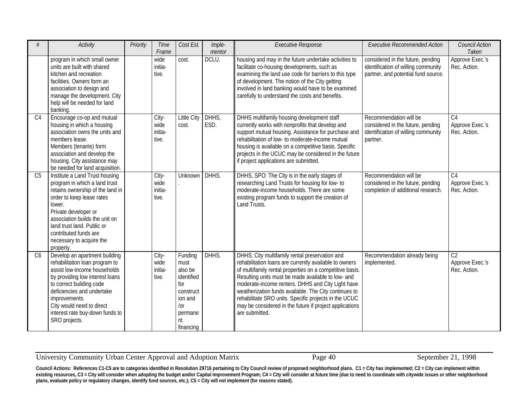| #               | Activity                                                                                                                                                                                                                                                                                             | Priority | Time<br>Frame                     | Cost Est.                                                                                                    | Imple-<br>mentor | <b>Executive Response</b>                                                                                                                                                                                                                                                                                                                                                                                                                                                      | <b>Executive Recommended Action</b>                                                                             | <b>Council Action</b><br>Taken                     |
|-----------------|------------------------------------------------------------------------------------------------------------------------------------------------------------------------------------------------------------------------------------------------------------------------------------------------------|----------|-----------------------------------|--------------------------------------------------------------------------------------------------------------|------------------|--------------------------------------------------------------------------------------------------------------------------------------------------------------------------------------------------------------------------------------------------------------------------------------------------------------------------------------------------------------------------------------------------------------------------------------------------------------------------------|-----------------------------------------------------------------------------------------------------------------|----------------------------------------------------|
|                 | program in which small owner<br>units are built with shared<br>kitchen and recreation<br>facilities. Owners form an<br>association to design and<br>manage the development. City<br>help will be needed for land<br>banking.                                                                         |          | wide<br>initia-<br>tive.          | cost.                                                                                                        | DCLU.            | housing and may in the future undertake activities to<br>facilitate co-housing developments, such as<br>examining the land use code for barriers to this type<br>of development. The notion of the City getting<br>involved in land banking would have to be examined<br>carefully to understand the costs and benefits.                                                                                                                                                       | considered in the future, pending<br>identification of willing community<br>partner, and potential fund source. | Approve Exec.'s<br>Rec. Action.                    |
| C4              | Encourage co-op and mutual<br>housing in which a housing<br>association owns the units and<br>members lease.<br>Members (tenants) form<br>association and develop the<br>housing. City assistance may<br>be needed for land acquisition.                                                             |          | City-<br>wide<br>initia-<br>tive. | Little City<br>cost.                                                                                         | DHHS,<br>ESD.    | DHHS multifamily housing development staff<br>currently works with nonprofits that develop and<br>support mutual housing. Assistance for purchase and<br>rehabilitation of low- to moderate-income mutual<br>housing is available on a competitive basis. Specific<br>projects in the UCUC may be considered in the future<br>if project applications are submitted.                                                                                                           | Recommendation will be<br>considered in the future, pending<br>identification of willing community<br>partner.  | C4<br>Approve Exec.'s<br>Rec. Action.              |
| C <sub>5</sub>  | Institute a Land Trust housing<br>program in which a land trust<br>retains ownership of the land in<br>order to keep lease rates<br>lower.<br>Private developer or<br>association builds the unit on<br>land trust land. Public or<br>contributed funds are<br>necessary to acquire the<br>property. |          | City-<br>wide<br>initia-<br>tive. | Unknown                                                                                                      | DHHS.            | DHHS, SPO: The City is in the early stages of<br>researching Land Trusts for housing for low- to<br>moderate-income households. There are some<br>existing program funds to support the creation of<br>Land Trusts.                                                                                                                                                                                                                                                            | Recommendation will be<br>considered in the future, pending<br>completion of additional research.               | $\overline{C4}$<br>Approve Exec.'s<br>Rec. Action. |
| $\overline{C6}$ | Develop an apartment building<br>rehabilitation loan program to<br>assist low-income households<br>by providing low interest loans<br>to correct building code<br>deficiencies and undertake<br>improvements.<br>City would need to direct<br>interest rate buy-down funds to<br>SRO projects.       |          | City-<br>wide<br>initia-<br>tive. | Funding<br>must<br>also be<br>identified<br>for<br>construct<br>ion and<br>/or<br>permane<br>nt<br>financing | DHHS.            | DHHS: City multifamily rental preservation and<br>rehabilitation loans are currently available to owners<br>of multifamily rental properties on a competitive basis.<br>Resulting units must be made available to low- and<br>moderate-income renters. DHHS and City Light have<br>weatherization funds available. The City continues to<br>rehabilitate SRO units. Specific projects in the UCUC<br>may be considered in the future if project applications<br>are submitted. | Recommendation already being<br>implemented.                                                                    | $\overline{C2}$<br>Approve Exec.'s<br>Rec. Action. |

University Community Urban Center Approval and Adoption Matrix Page 40 September 21, 1998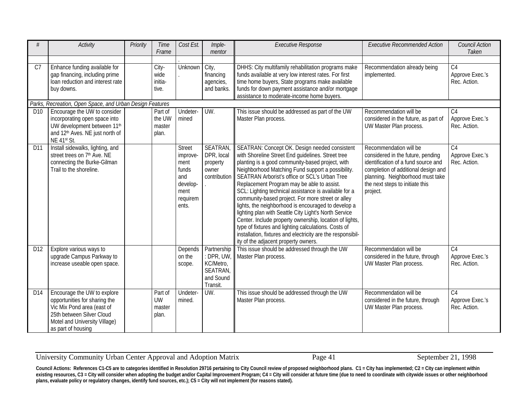| #               | Activity                                                                                                                                                                       | Priority | Time<br>Frame                           | Cost Est.                                                                                  | Imple-<br>mentor                                                           | <b>Executive Response</b>                                                                                                                                                                                                                                                                                                                                                                                                                                                                                                                                                                                                                                                                                                                                          | <b>Executive Recommended Action</b>                                                                                                                                                                                          | <b>Council Action</b><br>Taken                     |
|-----------------|--------------------------------------------------------------------------------------------------------------------------------------------------------------------------------|----------|-----------------------------------------|--------------------------------------------------------------------------------------------|----------------------------------------------------------------------------|--------------------------------------------------------------------------------------------------------------------------------------------------------------------------------------------------------------------------------------------------------------------------------------------------------------------------------------------------------------------------------------------------------------------------------------------------------------------------------------------------------------------------------------------------------------------------------------------------------------------------------------------------------------------------------------------------------------------------------------------------------------------|------------------------------------------------------------------------------------------------------------------------------------------------------------------------------------------------------------------------------|----------------------------------------------------|
| C <sub>7</sub>  | Enhance funding available for<br>gap financing, including prime<br>loan reduction and interest rate<br>buy downs.                                                              |          | City-<br>wide<br>initia-<br>tive.       | Unknown                                                                                    | City,<br>financing<br>agencies,<br>and banks.                              | DHHS: City multifamily rehabilitation programs make<br>funds available at very low interest rates. For first<br>time home buyers, State programs make available<br>funds for down payment assistance and/or mortgage<br>assistance to moderate-income home buyers.                                                                                                                                                                                                                                                                                                                                                                                                                                                                                                 | Recommendation already being<br>implemented.                                                                                                                                                                                 | $\overline{C4}$<br>Approve Exec.'s<br>Rec. Action. |
|                 | Parks, Recreation, Open Space, and Urban Design Features                                                                                                                       |          |                                         |                                                                                            |                                                                            |                                                                                                                                                                                                                                                                                                                                                                                                                                                                                                                                                                                                                                                                                                                                                                    |                                                                                                                                                                                                                              |                                                    |
| D <sub>10</sub> | Encourage the UW to consider<br>incorporating open space into<br>UW development between 11 <sup>th</sup><br>and 12 <sup>th</sup> Aves. NE just north of<br>NE 41st St.         |          | Part of<br>the UW<br>master<br>plan.    | Undeter-<br>mined                                                                          | $UW$ .                                                                     | This issue should be addressed as part of the UW<br>Master Plan process.                                                                                                                                                                                                                                                                                                                                                                                                                                                                                                                                                                                                                                                                                           | Recommendation will be<br>considered in the future, as part of<br>UW Master Plan process.                                                                                                                                    | C <sub>4</sub><br>Approve Exec.'s<br>Rec. Action.  |
| D11             | Install sidewalks, lighting, and<br>street trees on 7 <sup>th</sup> Ave. NE<br>connecting the Burke-Gilman<br>Trail to the shoreline.                                          |          |                                         | <b>Street</b><br>improve-<br>ment<br>funds<br>and<br>develop-<br>ment<br>requirem<br>ents. | <b>SEATRAN</b><br>DPR, local<br>property<br>owner<br>contribution          | SEATRAN: Concept OK. Design needed consistent<br>with Shoreline Street End guidelines. Street tree<br>planting is a good community-based project, with<br>Neighborhood Matching Fund support a possibility.<br>SEATRAN Arborist's office or SCL's Urban Tree<br>Replacement Program may be able to assist.<br>SCL: Lighting technical assistance is available for a<br>community-based project. For more street or alley<br>lights, the neighborhood is encouraged to develop a<br>lighting plan with Seattle City Light's North Service<br>Center. Include property ownership, location of lights,<br>type of fixtures and lighting calculations. Costs of<br>installation, fixtures and electricity are the responsibil-<br>ity of the adjacent property owners. | Recommendation will be<br>considered in the future, pending<br>identification of a fund source and<br>completion of additional design and<br>planning. Neighborhood must take<br>the next steps to initiate this<br>project. | $\overline{C4}$<br>Approve Exec.'s<br>Rec. Action. |
| D12             | Explore various ways to<br>upgrade Campus Parkway to<br>increase useable open space.                                                                                           |          |                                         | Depends<br>on the<br>scope.                                                                | Partnership<br>: DPR, UW<br>KC/Metro,<br>SEATRAN,<br>and Sound<br>Transit. | This issue should be addressed through the UW<br>Master Plan process.                                                                                                                                                                                                                                                                                                                                                                                                                                                                                                                                                                                                                                                                                              | Recommendation will be<br>considered in the future, through<br>UW Master Plan process.                                                                                                                                       | C <sub>4</sub><br>Approve Exec.'s<br>Rec. Action.  |
| D14             | Encourage the UW to explore<br>opportunities for sharing the<br>Vic Mix Pond area (east of<br>25th between Silver Cloud<br>Motel and University Village)<br>as part of housing |          | Part of<br><b>UW</b><br>master<br>plan. | Undeter-<br>mined.                                                                         | UW.                                                                        | This issue should be addressed through the UW<br>Master Plan process.                                                                                                                                                                                                                                                                                                                                                                                                                                                                                                                                                                                                                                                                                              | Recommendation will be<br>considered in the future, through<br>UW Master Plan process.                                                                                                                                       | $\overline{C4}$<br>Approve Exec.'s<br>Rec. Action. |

University Community Urban Center Approval and Adoption Matrix Page 41 September 21, 1998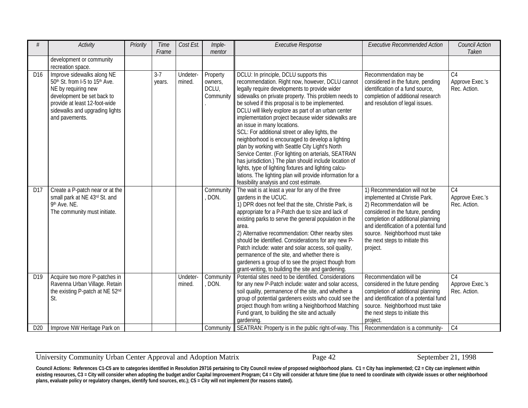| #               | <b>Activity</b>                                                                                                                                                                                                                | Priority | Time<br>Frame     | Cost Est.          | Imple-<br>mentor                          | <b>Executive Response</b>                                                                                                                                                                                                                                                                                                                                                                                                                                                                                                                                                                                                                                                                                                                                                                                                                      | <b>Executive Recommended Action</b>                                                                                                                                                                                                                                                              | Council Action<br>Taken                            |
|-----------------|--------------------------------------------------------------------------------------------------------------------------------------------------------------------------------------------------------------------------------|----------|-------------------|--------------------|-------------------------------------------|------------------------------------------------------------------------------------------------------------------------------------------------------------------------------------------------------------------------------------------------------------------------------------------------------------------------------------------------------------------------------------------------------------------------------------------------------------------------------------------------------------------------------------------------------------------------------------------------------------------------------------------------------------------------------------------------------------------------------------------------------------------------------------------------------------------------------------------------|--------------------------------------------------------------------------------------------------------------------------------------------------------------------------------------------------------------------------------------------------------------------------------------------------|----------------------------------------------------|
|                 | development or community<br>recreation space.                                                                                                                                                                                  |          |                   |                    |                                           |                                                                                                                                                                                                                                                                                                                                                                                                                                                                                                                                                                                                                                                                                                                                                                                                                                                |                                                                                                                                                                                                                                                                                                  |                                                    |
| D16             | Improve sidewalks along NE<br>50 <sup>th</sup> St. from I-5 to 15 <sup>th</sup> Ave.<br>NE by requiring new<br>development be set back to<br>provide at least 12-foot-wide<br>sidewalks and upgrading lights<br>and pavements. |          | $3 - 7$<br>years. | Undeter-<br>mined. | Property<br>owners,<br>DCLU,<br>Community | DCLU: In principle, DCLU supports this<br>recommendation. Right now, however, DCLU cannot<br>legally require developments to provide wider<br>sidewalks on private property. This problem needs to<br>be solved if this proposal is to be implemented.<br>DCLU will likely explore as part of an urban center<br>implementation project because wider sidewalks are<br>an issue in many locations.<br>SCL: For additional street or alley lights, the<br>neighborhood is encouraged to develop a lighting<br>plan by working with Seattle City Light's North<br>Service Center. (For lighting on arterials, SEATRAN<br>has jurisdiction.) The plan should include location of<br>lights, type of lighting fixtures and lighting calcu-<br>lations. The lighting plan will provide information for a<br>feasibility analysis and cost estimate. | Recommendation may be<br>considered in the future, pending<br>identification of a fund source,<br>completion of additional research<br>and resolution of legal issues.                                                                                                                           | $\overline{C4}$<br>Approve Exec.'s<br>Rec. Action. |
| D17             | Create a P-patch near or at the<br>small park at NE 43rd St. and<br>9th Ave. NE.<br>The community must initiate.                                                                                                               |          |                   |                    | Community<br>DON.                         | The wait is at least a year for any of the three<br>gardens in the UCUC.<br>1) DPR does not feel that the site, Christie Park, is<br>appropriate for a P-Patch due to size and lack of<br>existing parks to serve the general population in the<br>area.<br>2) Alternative recommendation: Other nearby sites<br>should be identified. Considerations for any new P-<br>Patch include: water and solar access, soil quality,<br>permanence of the site, and whether there is<br>gardeners a group of to see the project though from<br>grant-writing, to building the site and gardening.                                                                                                                                                                                                                                                      | 1) Recommendation will not be<br>implemented at Christie Park.<br>2) Recommendation will be<br>considered in the future, pending<br>completion of additional planning<br>and identification of a potential fund<br>source. Neighborhood must take<br>the next steps to initiate this<br>project. | C <sub>4</sub><br>Approve Exec.'s<br>Rec. Action.  |
| D19             | Acquire two more P-patches in<br>Ravenna Urban Village. Retain<br>the existing P-patch at NE 52nd<br>St.                                                                                                                       |          |                   | Undeter-<br>mined. | Community<br>DON.                         | Potential sites need to be identified. Considerations<br>for any new P-Patch include: water and solar access<br>soil quality, permanence of the site, and whether a<br>group of potential gardeners exists who could see the<br>project though from writing a Neighborhood Matching<br>Fund grant, to building the site and actually<br>gardening.                                                                                                                                                                                                                                                                                                                                                                                                                                                                                             | Recommendation will be<br>considered in the future pending<br>completion of additional planning<br>and identification of a potential fund<br>source. Neighborhood must take<br>the next steps to initiate this<br>project.                                                                       | C <sub>4</sub><br>Approve Exec.'s<br>Rec. Action.  |
| D <sub>20</sub> | Improve NW Heritage Park on                                                                                                                                                                                                    |          |                   |                    | Community                                 | SEATRAN: Property is in the public right-of-way. This   Recommendation is a community-                                                                                                                                                                                                                                                                                                                                                                                                                                                                                                                                                                                                                                                                                                                                                         |                                                                                                                                                                                                                                                                                                  | C <sub>4</sub>                                     |

#### University Community Urban Center Approval and Adoption Matrix Page 42 September 21, 1998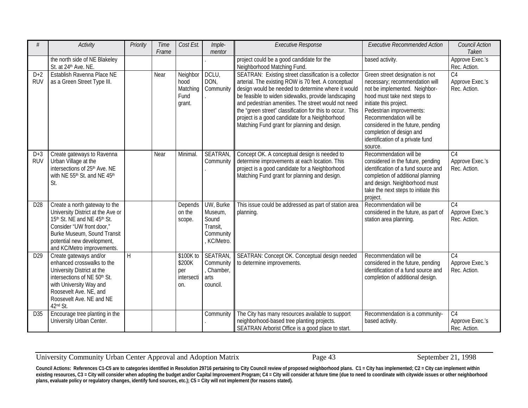| #                   | <b>Activity</b>                                                                                                                                                                                                           | Priority | Time<br>Frame | Cost Est.                                       | Imple-<br>mentor                                                      | <b>Executive Response</b>                                                                                                                                                                                                                                                                                                                                                                                                                        | <b>Executive Recommended Action</b>                                                                                                                                                                                                                                                                                                | <b>Council Action</b><br>Taken                     |
|---------------------|---------------------------------------------------------------------------------------------------------------------------------------------------------------------------------------------------------------------------|----------|---------------|-------------------------------------------------|-----------------------------------------------------------------------|--------------------------------------------------------------------------------------------------------------------------------------------------------------------------------------------------------------------------------------------------------------------------------------------------------------------------------------------------------------------------------------------------------------------------------------------------|------------------------------------------------------------------------------------------------------------------------------------------------------------------------------------------------------------------------------------------------------------------------------------------------------------------------------------|----------------------------------------------------|
|                     | the north side of NE Blakeley<br>St. at 24 <sup>th</sup> Ave. NE.                                                                                                                                                         |          |               |                                                 |                                                                       | project could be a good candidate for the<br>Neighborhood Matching Fund.                                                                                                                                                                                                                                                                                                                                                                         | based activity.                                                                                                                                                                                                                                                                                                                    | Approve Exec.'s<br>Rec. Action.                    |
| $D+2$<br><b>RUV</b> | Establish Ravenna Place NE<br>as a Green Street Type III.                                                                                                                                                                 |          | Near          | Neighbor<br>hood<br>Matching<br>Fund<br>grant.  | DCLU,<br>DON,<br>Community                                            | SEATRAN: Existing street classification is a collector<br>arterial. The existing ROW is 70 feet. A conceptual<br>design would be needed to determine where it would<br>be feasible to widen sidewalks, provide landscaping<br>and pedestrian amenities. The street would not need<br>the "green street" classification for this to occur. This<br>project is a good candidate for a Neighborhood<br>Matching Fund grant for planning and design. | Green street designation is not<br>necessary; recommendation will<br>not be implemented. Neighbor-<br>hood must take next steps to<br>initiate this project.<br>Pedestrian improvements:<br>Recommendation will be<br>considered in the future, pending<br>completion of design and<br>identification of a private fund<br>source. | $\overline{C4}$<br>Approve Exec.'s<br>Rec. Action. |
| $D+3$<br><b>RUV</b> | Create gateways to Ravenna<br>Urban Village at the<br>intersections of 25 <sup>th</sup> Ave. NE<br>with NE 55 <sup>th</sup> St. and NE 45 <sup>th</sup><br>St.                                                            |          | Near          | Minimal.                                        | <b>SEATRAN</b><br>Community                                           | Concept OK. A conceptual design is needed to<br>determine improvements at each location. This<br>project is a good candidate for a Neighborhood<br>Matching Fund grant for planning and design.                                                                                                                                                                                                                                                  | Recommendation will be<br>considered in the future, pending<br>identification of a fund source and<br>completion of additional planning<br>and design. Neighborhood must<br>take the next steps to initiate this<br>project.                                                                                                       | C <sub>4</sub><br>Approve Exec.'s<br>Rec. Action.  |
| D <sub>28</sub>     | Create a north gateway to the<br>University District at the Ave or<br>15th St. NE and NE 45th St.<br>Consider "UW front door,"<br>Burke Museum, Sound Transit<br>potential new development,<br>and KC/Metro improvements. |          |               | Depends<br>on the<br>scope.                     | UW, Burke<br>Museum,<br>Sound<br>Transit,<br>Community<br>, KC/Metro. | This issue could be addressed as part of station area<br>planning.                                                                                                                                                                                                                                                                                                                                                                               | Recommendation will be<br>considered in the future, as part of<br>station area planning.                                                                                                                                                                                                                                           | C <sub>4</sub><br>Approve Exec.'s<br>Rec. Action.  |
| D <sub>29</sub>     | Create gateways and/or<br>enhanced crosswalks to the<br>University District at the<br>intersections of NE 50th St.<br>with University Way and<br>Roosevelt Ave. NE, and<br>Roosevelt Ave. NE and NE<br>42nd St.           | $\sf H$  |               | \$100K to<br>\$200K<br>per<br>intersecti<br>on. | <b>SEATRAN</b><br>Community<br>, Chamber,<br>arts<br>council.         | SEATRAN: Concept OK. Conceptual design needed<br>to determine improvements.                                                                                                                                                                                                                                                                                                                                                                      | Recommendation will be<br>considered in the future, pending<br>identification of a fund source and<br>completion of additional design.                                                                                                                                                                                             | C <sub>4</sub><br>Approve Exec.'s<br>Rec. Action.  |
| D35                 | Encourage tree planting in the<br>University Urban Center.                                                                                                                                                                |          |               |                                                 | Community                                                             | The City has many resources available to support<br>neighborhood-based tree planting projects.<br>SEATRAN Arborist Office is a good place to start.                                                                                                                                                                                                                                                                                              | Recommendation is a community-<br>based activity.                                                                                                                                                                                                                                                                                  | C <sub>4</sub><br>Approve Exec.'s<br>Rec. Action.  |

University Community Urban Center Approval and Adoption Matrix Page 43 September 21, 1998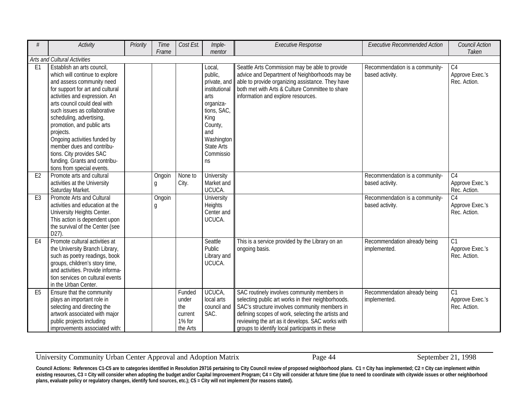| #              | <b>Activity</b>                                                                                                                                                                                                                                                                                                                                                                                                                                               | Priority | Time<br>Frame | Cost Est.                                               | Imple-<br>mentor                                                                                                                                        | <b>Executive Response</b>                                                                                                                                                                                                                                                                                      | <b>Executive Recommended Action</b>               | <b>Council Action</b><br>Taken                      |
|----------------|---------------------------------------------------------------------------------------------------------------------------------------------------------------------------------------------------------------------------------------------------------------------------------------------------------------------------------------------------------------------------------------------------------------------------------------------------------------|----------|---------------|---------------------------------------------------------|---------------------------------------------------------------------------------------------------------------------------------------------------------|----------------------------------------------------------------------------------------------------------------------------------------------------------------------------------------------------------------------------------------------------------------------------------------------------------------|---------------------------------------------------|-----------------------------------------------------|
|                | Arts and Cultural Activities                                                                                                                                                                                                                                                                                                                                                                                                                                  |          |               |                                                         |                                                                                                                                                         |                                                                                                                                                                                                                                                                                                                |                                                   |                                                     |
| E <sub>1</sub> | Establish an arts council,<br>which will continue to explore<br>and assess community need<br>for support for art and cultural<br>activities and expression. An<br>arts council could deal with<br>such issues as collaborative<br>scheduling, advertising,<br>promotion, and public arts<br>projects.<br>Ongoing activities funded by<br>member dues and contribu-<br>tions. City provides SAC<br>funding. Grants and contribu-<br>tions from special events. |          |               |                                                         | Local,<br>public,<br>institutional<br>arts<br>organiza-<br>tions, SAC,<br>King<br>County,<br>and<br>Washington<br><b>State Arts</b><br>Commissio<br>ns. | Seattle Arts Commission may be able to provide<br>advice and Department of Neighborhoods may be<br>private, and able to provide organizing assistance. They have<br>both met with Arts & Culture Committee to share<br>information and explore resources.                                                      | Recommendation is a community-<br>based activity. | C <sub>4</sub><br>Approve Exec.'s<br>Rec. Action.   |
| E <sub>2</sub> | Promote arts and cultural<br>activities at the University<br>Saturday Market.                                                                                                                                                                                                                                                                                                                                                                                 |          | Ongoin<br>g   | None to<br>City.                                        | University<br>Market and<br>UCUCA.                                                                                                                      |                                                                                                                                                                                                                                                                                                                | Recommendation is a community-<br>based activity. | C <sub>4</sub><br>Approve Exec.'s<br>Rec. Action.   |
| E <sub>3</sub> | Promote Arts and Cultural<br>activities and education at the<br>University Heights Center.<br>This action is dependent upon<br>the survival of the Center (see<br>D27).                                                                                                                                                                                                                                                                                       |          | Ongoin<br>g   |                                                         | University<br>Heights<br>Center and<br>UCUCA.                                                                                                           |                                                                                                                                                                                                                                                                                                                | Recommendation is a community-<br>based activity. | C <sub>4</sub><br>Approve Exec.'s<br>Rec. Action.   |
| E <sub>4</sub> | Promote cultural activities at<br>the University Branch Library,<br>such as poetry readings, book<br>groups, children's story time,<br>and activities. Provide informa-<br>tion services on cultural events<br>in the Urban Center.                                                                                                                                                                                                                           |          |               |                                                         | Seattle<br>Public<br>Library and<br>UCUCA.                                                                                                              | This is a service provided by the Library on an<br>ongoing basis.                                                                                                                                                                                                                                              | Recommendation already being<br>implemented.      | $\overline{C}$ 1<br>Approve Exec.'s<br>Rec. Action. |
| E <sub>5</sub> | Ensure that the community<br>plays an important role in<br>selecting and directing the<br>artwork associated with major<br>public projects including<br>improvements associated with:                                                                                                                                                                                                                                                                         |          |               | Funded<br>under<br>the<br>current<br>1% for<br>the Arts | UCUCA,<br>local arts<br>council and<br>SAC.                                                                                                             | SAC routinely involves community members in<br>selecting public art works in their neighborhoods.<br>SAC's structure involves community members in<br>defining scopes of work, selecting the artists and<br>reviewing the art as it develops. SAC works with<br>groups to identify local participants in these | Recommendation already being<br>implemented.      | $\overline{C}$ 1<br>Approve Exec.'s<br>Rec. Action. |

University Community Urban Center Approval and Adoption Matrix Page 44 September 21, 1998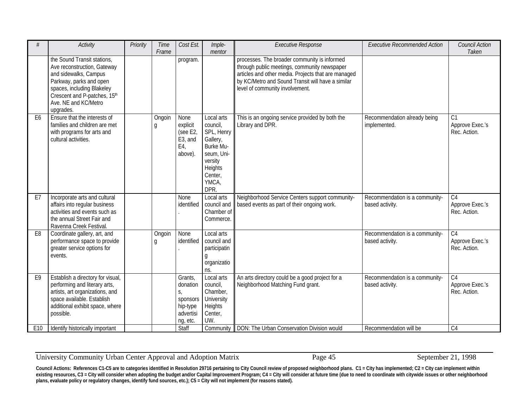| #              | <b>Activity</b>                                                                                                                                                                                                   | Priority | Time<br>Frame | Cost Est.                                                                  | Imple-<br>mentor                                                                                                              | <b>Executive Response</b>                                                                                                                                                                                                                   | <b>Executive Recommended Action</b>               | Council Action<br>Taken                            |
|----------------|-------------------------------------------------------------------------------------------------------------------------------------------------------------------------------------------------------------------|----------|---------------|----------------------------------------------------------------------------|-------------------------------------------------------------------------------------------------------------------------------|---------------------------------------------------------------------------------------------------------------------------------------------------------------------------------------------------------------------------------------------|---------------------------------------------------|----------------------------------------------------|
|                | the Sound Transit stations,<br>Ave reconstruction, Gateway<br>and sidewalks, Campus<br>Parkway, parks and open<br>spaces, including Blakeley<br>Crescent and P-patches, 15th<br>Ave. NE and KC/Metro<br>upgrades. |          |               | program.                                                                   |                                                                                                                               | processes. The broader community is informed<br>through public meetings, community newspaper<br>articles and other media. Projects that are managed<br>by KC/Metro and Sound Transit will have a similar<br>level of community involvement. |                                                   |                                                    |
| E <sub>6</sub> | Ensure that the interests of<br>families and children are met<br>with programs for arts and<br>cultural activities.                                                                                               |          | Ongoin<br>g   | None<br>explicit<br>(see E2,<br>E <sub>3</sub> , and<br>E4,<br>above).     | Local arts<br>council,<br>SPL, Henry<br>Gallery,<br>Burke Mu-<br>seum, Uni-<br>versity<br>Heights<br>Center,<br>YMCA,<br>DPR. | This is an ongoing service provided by both the<br>Library and DPR.                                                                                                                                                                         | Recommendation already being<br>implemented.      | C1<br>Approve Exec.'s<br>Rec. Action.              |
| E7             | Incorporate arts and cultural<br>affairs into regular business<br>activities and events such as<br>the annual Street Fair and<br>Ravenna Creek Festival.                                                          |          |               | None<br>identified                                                         | Local arts<br>council and<br>Chamber of<br>Commerce.                                                                          | Neighborhood Service Centers support community-<br>based events as part of their ongoing work.                                                                                                                                              | Recommendation is a community-<br>based activity. | C <sub>4</sub><br>Approve Exec.'s<br>Rec. Action.  |
| E <sub>8</sub> | Coordinate gallery, art, and<br>performance space to provide<br>greater service options for<br>events.                                                                                                            |          | Ongoin<br>g   | None<br>identified                                                         | Local arts<br>council and<br>participatin<br>organizatio<br>ns.                                                               |                                                                                                                                                                                                                                             | Recommendation is a community-<br>based activity. | C <sub>4</sub><br>Approve Exec.'s<br>Rec. Action.  |
| E <sub>9</sub> | Establish a directory for visual,<br>performing and literary arts,<br>artists, art organizations, and<br>space available. Establish<br>additional exhibit space, where<br>possible.                               |          |               | Grants,<br>donation<br>S,<br>sponsors<br>hip-type<br>advertisi<br>ng, etc. | Local arts<br>council,<br>Chamber,<br>University<br>Heights<br>Center,<br>UW.                                                 | An arts directory could be a good project for a<br>Neighborhood Matching Fund grant.                                                                                                                                                        | Recommendation is a community-<br>based activity. | $\overline{C4}$<br>Approve Exec.'s<br>Rec. Action. |
| E10            | Identify historically important                                                                                                                                                                                   |          |               | Staff                                                                      |                                                                                                                               | Community   DON: The Urban Conservation Division would                                                                                                                                                                                      | Recommendation will be                            | C <sub>4</sub>                                     |

University Community Urban Center Approval and Adoption Matrix Page 45 September 21, 1998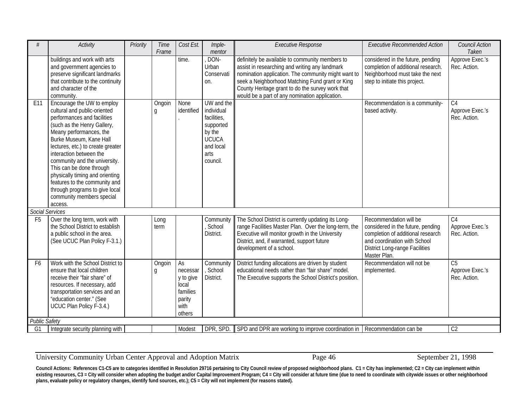| #                      | <b>Activity</b>                                                                                                                                                                                                                                                                                                                                                                                                                                           | Priority | Time<br>Frame | Cost Est.                                                                    | Imple-<br>mentor                                                                                                | <b>Executive Response</b>                                                                                                                                                                                                                                                                                         | <b>Executive Recommended Action</b>                                                                                                                                                       | <b>Council Action</b><br>Taken                     |
|------------------------|-----------------------------------------------------------------------------------------------------------------------------------------------------------------------------------------------------------------------------------------------------------------------------------------------------------------------------------------------------------------------------------------------------------------------------------------------------------|----------|---------------|------------------------------------------------------------------------------|-----------------------------------------------------------------------------------------------------------------|-------------------------------------------------------------------------------------------------------------------------------------------------------------------------------------------------------------------------------------------------------------------------------------------------------------------|-------------------------------------------------------------------------------------------------------------------------------------------------------------------------------------------|----------------------------------------------------|
|                        | buildings and work with arts<br>and government agencies to<br>preserve significant landmarks<br>that contribute to the continuity<br>and character of the<br>community.                                                                                                                                                                                                                                                                                   |          |               | time.                                                                        | DON-<br>Urban<br>Conservati<br>on.                                                                              | definitely be available to community members to<br>assist in researching and writing any landmark<br>nomination application. The community might want to<br>seek a Neighborhood Matching Fund grant or King<br>County Heritage grant to do the survey work that<br>would be a part of any nomination application. | considered in the future, pending<br>completion of additional research.<br>Neighborhood must take the next<br>step to initiate this project.                                              | Approve Exec.'s<br>Rec. Action.                    |
| E11                    | Encourage the UW to employ<br>cultural and public-oriented<br>performances and facilities<br>(such as the Henry Gallery,<br>Meany performances, the<br>Burke Museum, Kane Hall<br>lectures, etc.) to create greater<br>interaction between the<br>community and the university.<br>This can be done through<br>physically timing and orienting<br>features to the community and<br>through programs to give local<br>community members special<br>access. |          | Ongoin<br>g   | None<br>identified                                                           | UW and the<br>individual<br>facilities,<br>supported<br>by the<br><b>UCUCA</b><br>and local<br>arts<br>council. |                                                                                                                                                                                                                                                                                                                   | Recommendation is a community-<br>based activity.                                                                                                                                         | C <sub>4</sub><br>Approve Exec.'s<br>Rec. Action.  |
| <b>Social Services</b> |                                                                                                                                                                                                                                                                                                                                                                                                                                                           |          |               |                                                                              |                                                                                                                 |                                                                                                                                                                                                                                                                                                                   |                                                                                                                                                                                           |                                                    |
| F <sub>5</sub>         | Over the long term, work with<br>the School District to establish<br>a public school in the area.<br>(See UCUC Plan Policy F-3.1.)                                                                                                                                                                                                                                                                                                                        |          | Long<br>term  |                                                                              | Community<br>School<br>District.                                                                                | The School District is currently updating its Long-<br>range Facilities Master Plan. Over the long-term, the<br>Executive will monitor growth in the University<br>District, and, if warranted, support future<br>development of a school.                                                                        | Recommendation will be<br>considered in the future, pending<br>completion of additional research<br>and coordination with School<br><b>District Long-range Facilities</b><br>Master Plan. | C <sub>4</sub><br>Approve Exec.'s<br>Rec. Action.  |
| F <sub>6</sub>         | Work with the School District to<br>ensure that local children<br>receive their "fair share" of<br>resources. If necessary, add<br>transportation services and an<br>"education center." (See<br>UCUC Plan Policy F-3.4.)                                                                                                                                                                                                                                 |          | Ongoin<br>g   | As<br>necessar<br>y to give<br>local<br>families<br>parity<br>with<br>others | Community<br>, School<br>District.                                                                              | District funding allocations are driven by student<br>educational needs rather than "fair share" model.<br>The Executive supports the School District's position.                                                                                                                                                 | Recommendation will not be<br>implemented.                                                                                                                                                | $\overline{C5}$<br>Approve Exec.'s<br>Rec. Action. |
| <b>Public Safety</b>   |                                                                                                                                                                                                                                                                                                                                                                                                                                                           |          |               |                                                                              |                                                                                                                 |                                                                                                                                                                                                                                                                                                                   |                                                                                                                                                                                           |                                                    |
| G1                     | Integrate security planning with                                                                                                                                                                                                                                                                                                                                                                                                                          |          |               | Modest                                                                       | DPR, SPD.                                                                                                       | SPD and DPR are working to improve coordination in   Recommendation can be                                                                                                                                                                                                                                        |                                                                                                                                                                                           | C <sub>2</sub>                                     |

University Community Urban Center Approval and Adoption Matrix Page 46 September 21, 1998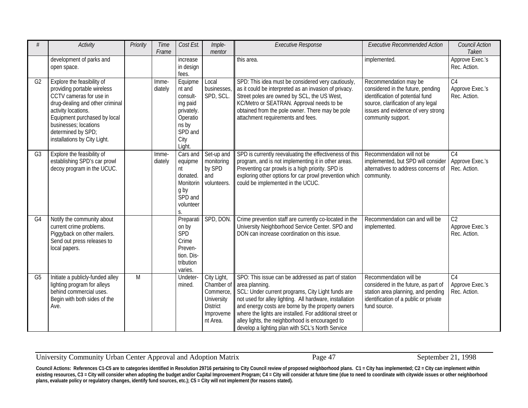| #              | Activity                                                                                                                                                                                                                                                      | Priority       | Time<br>Frame    | Cost Est.                                                                                                 | Imple-<br>mentor                                                                                 | <b>Executive Response</b>                                                                                                                                                                                                                                                                                                                                                                                     | <b>Executive Recommended Action</b>                                                                                                                                                              | Council Action<br>Taken                            |
|----------------|---------------------------------------------------------------------------------------------------------------------------------------------------------------------------------------------------------------------------------------------------------------|----------------|------------------|-----------------------------------------------------------------------------------------------------------|--------------------------------------------------------------------------------------------------|---------------------------------------------------------------------------------------------------------------------------------------------------------------------------------------------------------------------------------------------------------------------------------------------------------------------------------------------------------------------------------------------------------------|--------------------------------------------------------------------------------------------------------------------------------------------------------------------------------------------------|----------------------------------------------------|
|                | development of parks and<br>open space.                                                                                                                                                                                                                       |                |                  | increase<br>in design<br>fees.                                                                            |                                                                                                  | this area.                                                                                                                                                                                                                                                                                                                                                                                                    | implemented.                                                                                                                                                                                     | Approve Exec.'s<br>Rec. Action.                    |
| G <sub>2</sub> | Explore the feasibility of<br>providing portable wireless<br>CCTV cameras for use in<br>drug-dealing and other criminal<br>activity locations.<br>Equipment purchased by local<br>businesses; locations<br>determined by SPD;<br>installations by City Light. |                | Imme-<br>diately | Equipme<br>nt and<br>consult-<br>ing paid<br>privately.<br>Operatio<br>ns by<br>SPD and<br>City<br>Light. | Local<br>businesses<br>SPD, SCL.                                                                 | SPD: This idea must be considered very cautiously,<br>as it could be interpreted as an invasion of privacy.<br>Street poles are owned by SCL, the US West,<br>KC/Metro or SEATRAN. Approval needs to be<br>obtained from the pole owner. There may be pole<br>attachment requirements and fees.                                                                                                               | Recommendation may be<br>considered in the future, pending<br>identification of potential fund<br>source, clarification of any legal<br>issues and evidence of very strong<br>community support. | $\overline{C4}$<br>Approve Exec.'s<br>Rec. Action. |
| G <sub>3</sub> | Explore the feasibility of<br>establishing SPD's car prowl<br>decoy program in the UCUC.                                                                                                                                                                      |                | Imme-<br>diately | Cars and<br>equipme<br>nt<br>donated.<br>Monitorin<br>g by<br>SPD and<br>volunteer<br>S.                  | Set-up and<br>monitoring<br>by SPD<br>and<br>volunteers.                                         | SPD is currently reevaluating the effectiveness of this<br>program, and is not implementing it in other areas.<br>Preventing car prowls is a high priority. SPD is<br>exploring other options for car prowl prevention which<br>could be implemented in the UCUC.                                                                                                                                             | Recommendation will not be<br>implemented, but SPD will consider<br>alternatives to address concerns of<br>community.                                                                            | C <sub>4</sub><br>Approve Exec.'s<br>Rec. Action.  |
| G <sub>4</sub> | Notify the community about<br>current crime problems.<br>Piggyback on other mailers.<br>Send out press releases to<br>local papers.                                                                                                                           |                |                  | Preparati<br>on by<br>SPD<br>Crime<br>Preven-<br>tion. Dis-<br>tribution<br>varies.                       | SPD, DON.                                                                                        | Crime prevention staff are currently co-located in the<br>University Neighborhood Service Center. SPD and<br>DON can increase coordination on this issue.                                                                                                                                                                                                                                                     | Recommendation can and will be<br>implemented.                                                                                                                                                   | $\overline{C2}$<br>Approve Exec.'s<br>Rec. Action. |
| G <sub>5</sub> | Initiate a publicly-funded alley<br>lighting program for alleys<br>behind commercial uses.<br>Begin with both sides of the<br>Ave.                                                                                                                            | $\overline{M}$ |                  | Undeter-<br>mined.                                                                                        | City Light,<br>Chamber of<br>Commerce,<br>University<br><b>District</b><br>Improveme<br>nt Area. | SPO: This issue can be addressed as part of station<br>area planning.<br>SCL: Under current programs, City Light funds are<br>not used for alley lighting. All hardware, installation<br>and energy costs are borne by the property owners<br>where the lights are installed. For additional street or<br>alley lights, the neighborhood is encouraged to<br>develop a lighting plan with SCL's North Service | Recommendation will be<br>considered in the future, as part of<br>station area planning, and pending<br>identification of a public or private<br>fund source.                                    | $\overline{C4}$<br>Approve Exec.'s<br>Rec. Action. |

University Community Urban Center Approval and Adoption Matrix Page 47 September 21, 1998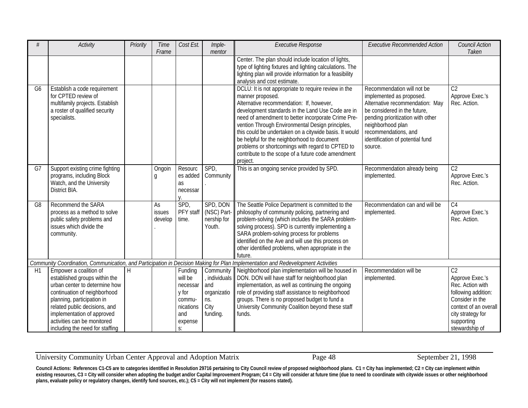| $\frac{1}{2}$  | <b>Activity</b>                                                                                                                                                                                                                                                                         | Priority | Time<br>Frame                  | Cost Est.                                                                              | Imple-<br>mentor                                                            | <b>Executive Response</b>                                                                                                                                                                                                                                                                                                                                                                                                                                                                                          | <b>Executive Recommended Action</b>                                                                                                                                                                                                                        | Council Action<br>Taken                                                                                                                                                       |
|----------------|-----------------------------------------------------------------------------------------------------------------------------------------------------------------------------------------------------------------------------------------------------------------------------------------|----------|--------------------------------|----------------------------------------------------------------------------------------|-----------------------------------------------------------------------------|--------------------------------------------------------------------------------------------------------------------------------------------------------------------------------------------------------------------------------------------------------------------------------------------------------------------------------------------------------------------------------------------------------------------------------------------------------------------------------------------------------------------|------------------------------------------------------------------------------------------------------------------------------------------------------------------------------------------------------------------------------------------------------------|-------------------------------------------------------------------------------------------------------------------------------------------------------------------------------|
|                |                                                                                                                                                                                                                                                                                         |          |                                |                                                                                        |                                                                             | Center. The plan should include location of lights,<br>type of lighting fixtures and lighting calculations. The<br>lighting plan will provide information for a feasibility<br>analysis and cost estimate.                                                                                                                                                                                                                                                                                                         |                                                                                                                                                                                                                                                            |                                                                                                                                                                               |
| G <sub>6</sub> | Establish a code requirement<br>for CPTED review of<br>multifamily projects. Establish<br>a roster of qualified security<br>specialists.                                                                                                                                                |          |                                |                                                                                        |                                                                             | DCLU: It is not appropriate to require review in the<br>manner proposed.<br>Alternative recommendation: If, however,<br>development standards in the Land Use Code are in<br>need of amendment to better incorporate Crime Pre-<br>vention Through Environmental Design principles,<br>this could be undertaken on a citywide basis. It would<br>be helpful for the neighborhood to document<br>problems or shortcomings with regard to CPTED to<br>contribute to the scope of a future code amendment<br>project. | Recommendation will not be<br>implemented as proposed.<br>Alternative recommendation: May<br>be considered in the future,<br>pending prioritization with other<br>neighborhood plan<br>recommendations, and<br>identification of potential fund<br>source. | C <sub>2</sub><br>Approve Exec.'s<br>Rec. Action.                                                                                                                             |
| G7             | Support existing crime fighting<br>programs, including Block<br>Watch, and the University<br>District BIA.                                                                                                                                                                              |          | Ongoin<br>g                    | Resourc<br>es added<br>as<br>necessar<br>V.                                            | SPD,<br>Community                                                           | This is an ongoing service provided by SPD.                                                                                                                                                                                                                                                                                                                                                                                                                                                                        | Recommendation already being<br>implemented.                                                                                                                                                                                                               | C <sub>2</sub><br>Approve Exec.'s<br>Rec. Action.                                                                                                                             |
| G <sub>8</sub> | Recommend the SARA<br>process as a method to solve<br>public safety problems and<br>issues which divide the<br>community.                                                                                                                                                               |          | As<br><b>issues</b><br>develop | SPD,<br>PFY staff<br>time.                                                             | SPD, DON<br>(NSC) Part<br>nership for<br>Youth.                             | The Seattle Police Department is committed to the<br>philosophy of community policing, partnering and<br>problem-solving (which includes the SARA problem-<br>solving process). SPD is currently implementing a<br>SARA problem-solving process for problems<br>identified on the Ave and will use this process on<br>other identified problems, when appropriate in the<br>future.                                                                                                                                | Recommendation can and will be<br>implemented.                                                                                                                                                                                                             | C <sub>4</sub><br>Approve Exec.'s<br>Rec. Action.                                                                                                                             |
|                |                                                                                                                                                                                                                                                                                         |          |                                |                                                                                        |                                                                             | Community Coordination, Communication, and Participation in Decision Making for Plan Implementation and Redevelopment Activities                                                                                                                                                                                                                                                                                                                                                                                   |                                                                                                                                                                                                                                                            |                                                                                                                                                                               |
| H1             | Empower a coalition of<br>established groups within the<br>urban center to determine how<br>continuation of neighborhood<br>planning, participation in<br>related public decisions, and<br>implementation of approved<br>activities can be monitored<br>including the need for staffing | Η        |                                | Funding<br>will be<br>necessar<br>y for<br>commu-<br>nications<br>and<br>expense<br>S: | Community<br>, individuals<br>and<br>organizatio<br>ns.<br>City<br>funding. | Neighborhood plan implementation will be housed in<br>DON. DON will have staff for neighborhood plan<br>implementation, as well as continuing the ongoing<br>role of providing staff assistance to neighborhood<br>groups. There is no proposed budget to fund a<br>University Community Coalition beyond these staff<br>funds.                                                                                                                                                                                    | Recommendation will be<br>implemented.                                                                                                                                                                                                                     | C <sub>2</sub><br>Approve Exec.'s<br>Rec. Action with<br>following addition:<br>Consider in the<br>context of an overall<br>city strategy for<br>supporting<br>stewardship of |

University Community Urban Center Approval and Adoption Matrix Page 48 September 21, 1998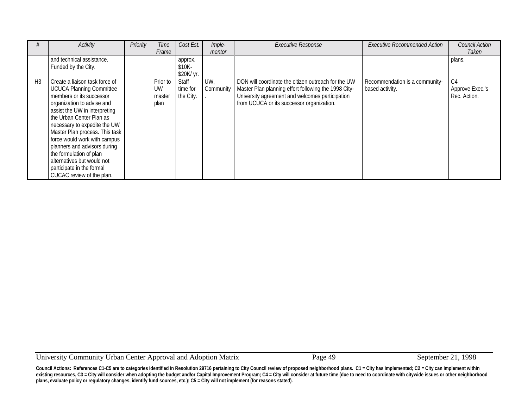|                | Activity                        | Priority | Time     | Cost Est.  | Imple-    | <b>Executive Response</b>                            | <b>Executive Recommended Action</b> | <b>Council Action</b> |
|----------------|---------------------------------|----------|----------|------------|-----------|------------------------------------------------------|-------------------------------------|-----------------------|
|                |                                 |          | Frame    |            | mentor    |                                                      |                                     | Taken                 |
|                | and technical assistance.       |          |          | approx.    |           |                                                      |                                     | plans.                |
|                | Funded by the City.             |          |          | $$10K-$    |           |                                                      |                                     |                       |
|                |                                 |          |          | \$20K/ yr. |           |                                                      |                                     |                       |
| H <sub>3</sub> | Create a liaison task force of  |          | Prior to | Staff      | UW,       | DON will coordinate the citizen outreach for the UW  | Recommendation is a community-      | C4                    |
|                | <b>UCUCA Planning Committee</b> |          | UW       | time for   | Community | Master Plan planning effort following the 1998 City- | based activity.                     | Approve Exec.'s       |
|                | members or its successor        |          | master   | the City.  |           | University agreement and welcomes participation      |                                     | Rec. Action.          |
|                | organization to advise and      |          | plan     |            |           | from UCUCA or its successor organization.            |                                     |                       |
|                | assist the UW in interpreting   |          |          |            |           |                                                      |                                     |                       |
|                | the Urban Center Plan as        |          |          |            |           |                                                      |                                     |                       |
|                | necessary to expedite the UW    |          |          |            |           |                                                      |                                     |                       |
|                | Master Plan process. This task  |          |          |            |           |                                                      |                                     |                       |
|                | force would work with campus    |          |          |            |           |                                                      |                                     |                       |
|                | planners and advisors during    |          |          |            |           |                                                      |                                     |                       |
|                | the formulation of plan         |          |          |            |           |                                                      |                                     |                       |
|                | alternatives but would not      |          |          |            |           |                                                      |                                     |                       |
|                | participate in the formal       |          |          |            |           |                                                      |                                     |                       |
|                | CUCAC review of the plan.       |          |          |            |           |                                                      |                                     |                       |

University Community Urban Center Approval and Adoption Matrix Page 49 September 21, 1998